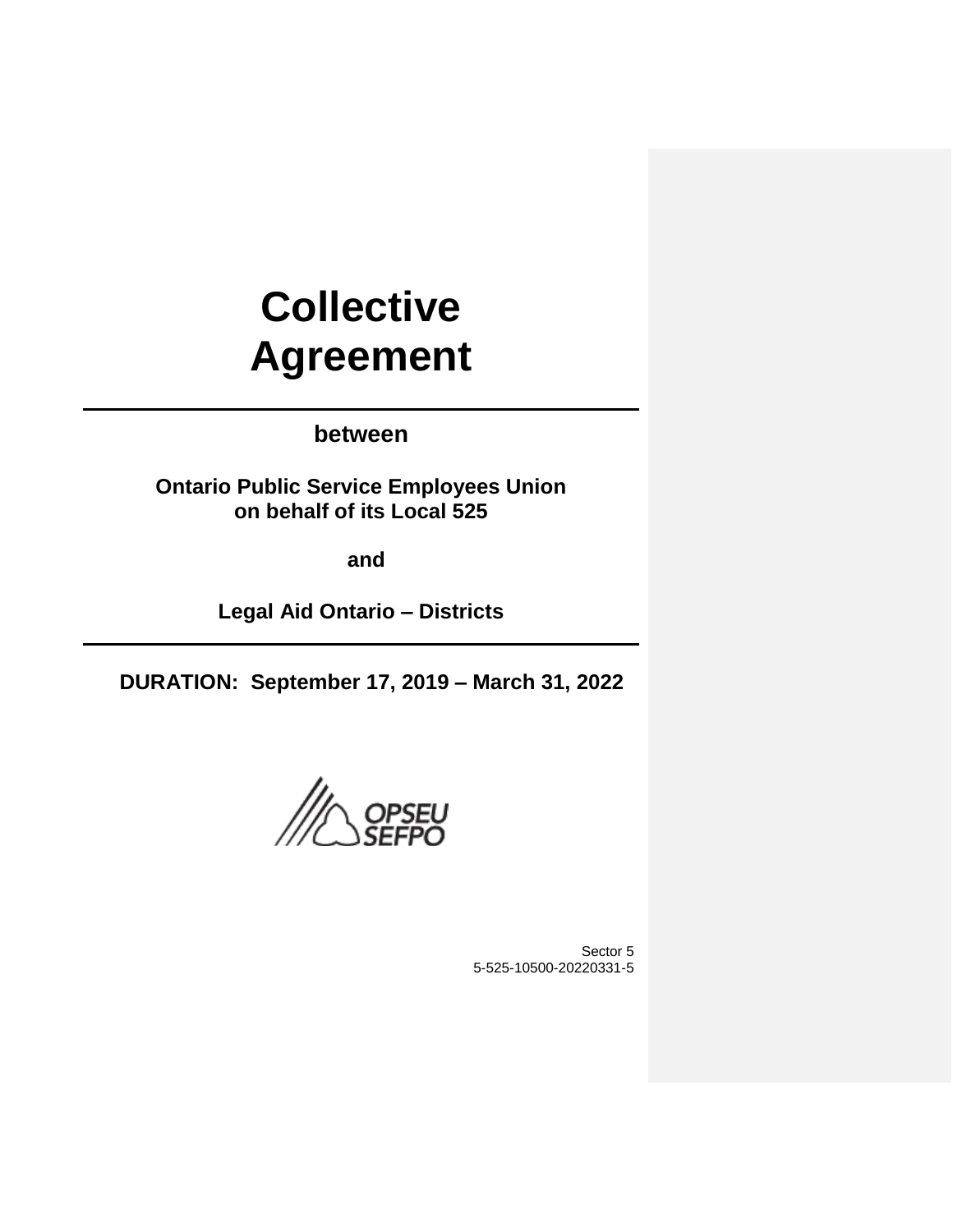# **Collective Agreement**

# **between**

**Ontario Public Service Employees Union on behalf of its Local 525**

**and**

**Legal Aid Ontario – Districts**

**DURATION: September 17, 2019 – March 31, 2022**

**OPSEU** 

Sector 5 5-525-10500-20220331-5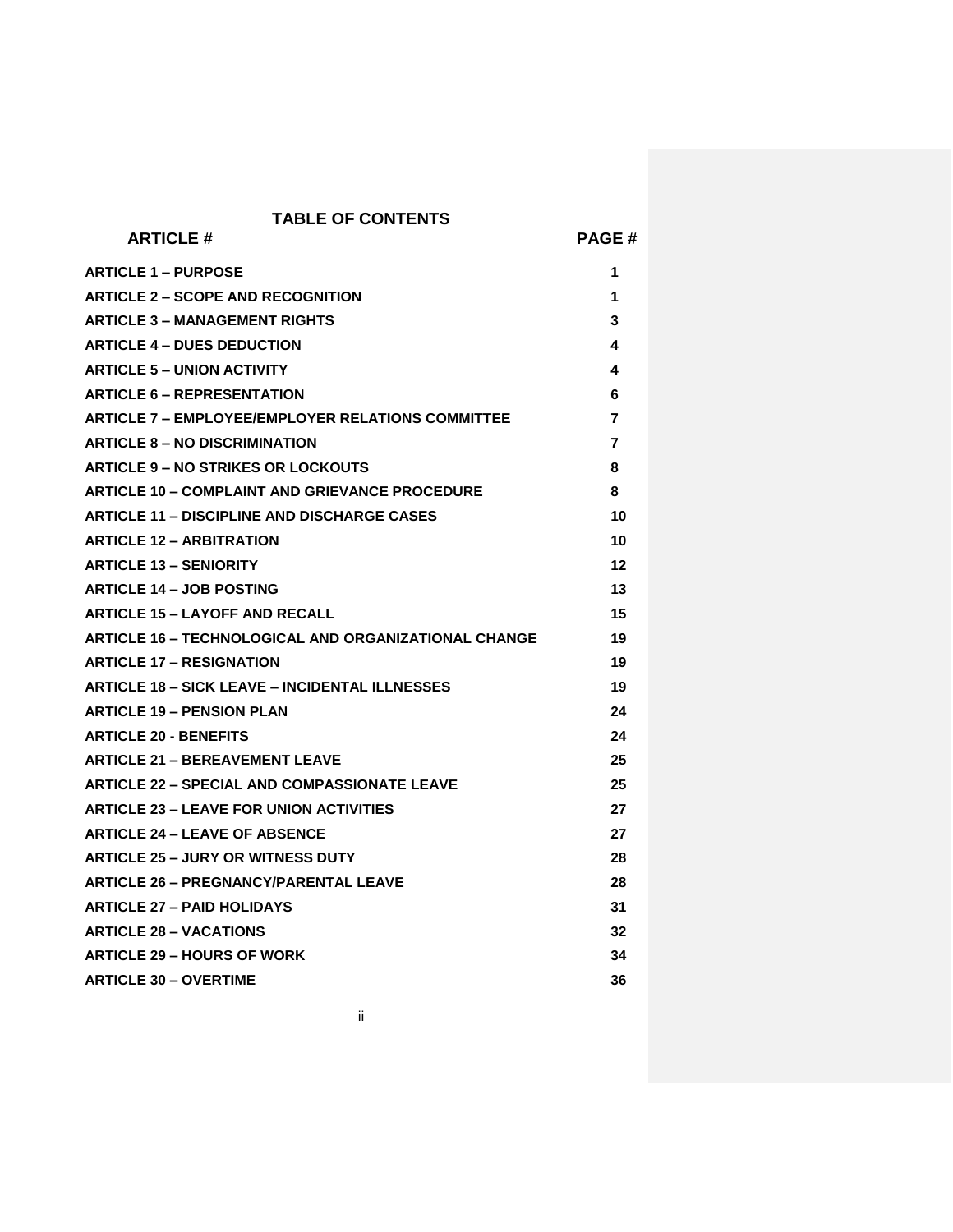# **TABLE OF CONTENTS**

| <b>ARTICLE 1 – PURPOSE</b>                                  | 1  |
|-------------------------------------------------------------|----|
| <b>ARTICLE 2 – SCOPE AND RECOGNITION</b>                    | 1  |
| <b>ARTICLE 3 – MANAGEMENT RIGHTS</b>                        | 3  |
| <b>ARTICLE 4 – DUES DEDUCTION</b>                           | 4  |
| <b>ARTICLE 5 – UNION ACTIVITY</b>                           | 4  |
| <b>ARTICLE 6 – REPRESENTATION</b>                           | 6  |
| ARTICLE 7 – EMPLOYEE/EMPLOYER RELATIONS COMMITTEE           | 7  |
| <b>ARTICLE 8 – NO DISCRIMINATION</b>                        | 7  |
| <b>ARTICLE 9 – NO STRIKES OR LOCKOUTS</b>                   | 8  |
| <b>ARTICLE 10 - COMPLAINT AND GRIEVANCE PROCEDURE</b>       | 8  |
| <b>ARTICLE 11 - DISCIPLINE AND DISCHARGE CASES</b>          | 10 |
| <b>ARTICLE 12 – ARBITRATION</b>                             | 10 |
| <b>ARTICLE 13 – SENIORITY</b>                               | 12 |
| <b>ARTICLE 14 – JOB POSTING</b>                             | 13 |
| <b>ARTICLE 15 – LAYOFF AND RECALL</b>                       | 15 |
| <b>ARTICLE 16 – TECHNOLOGICAL AND ORGANIZATIONAL CHANGE</b> | 19 |
| <b>ARTICLE 17 – RESIGNATION</b>                             | 19 |
| ARTICLE 18 – SICK LEAVE – INCIDENTAL ILLNESSES              | 19 |
| <b>ARTICLE 19 – PENSION PLAN</b>                            | 24 |
| <b>ARTICLE 20 - BENEFITS</b>                                | 24 |
| <b>ARTICLE 21 - BEREAVEMENT LEAVE</b>                       | 25 |
| <b>ARTICLE 22 - SPECIAL AND COMPASSIONATE LEAVE</b>         | 25 |
| <b>ARTICLE 23 – LEAVE FOR UNION ACTIVITIES</b>              | 27 |
| <b>ARTICLE 24 – LEAVE OF ABSENCE</b>                        | 27 |
| <b>ARTICLE 25 – JURY OR WITNESS DUTY</b>                    | 28 |
| <b>ARTICLE 26 - PREGNANCY/PARENTAL LEAVE</b>                | 28 |
| <b>ARTICLE 27 – PAID HOLIDAYS</b>                           | 31 |
| <b>ARTICLE 28 – VACATIONS</b>                               | 32 |
| <b>ARTICLE 29 – HOURS OF WORK</b>                           | 34 |
| <b>ARTICLE 30 - OVERTIME</b>                                | 36 |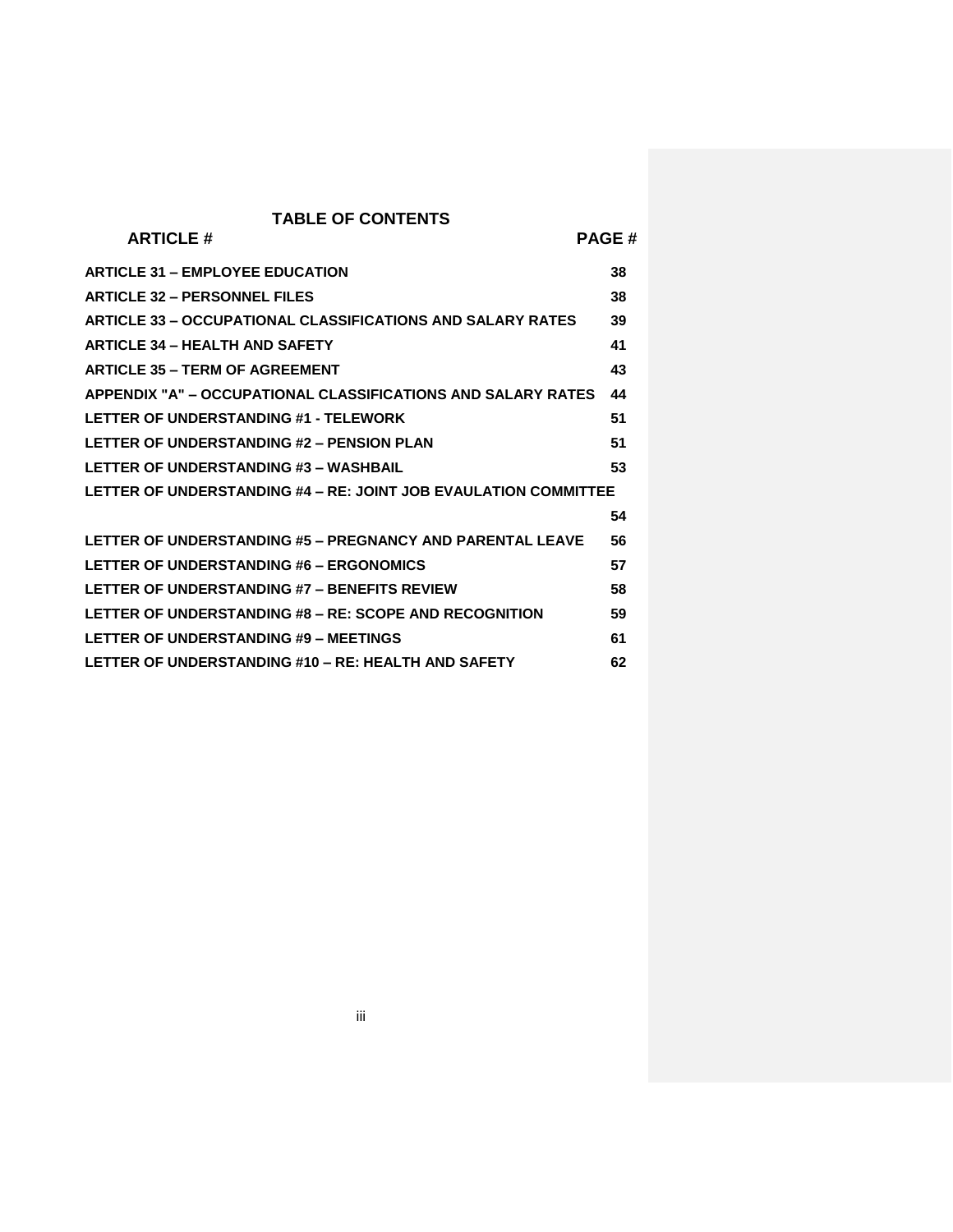# **TABLE OF CONTENTS**

| <b>ARTICLE #</b> | <b>PAGE#</b> |
|------------------|--------------|
|                  |              |

| <b>ARTICLE 31 - EMPLOYEE EDUCATION</b>                            | 38 |
|-------------------------------------------------------------------|----|
| <b>ARTICLE 32 - PERSONNEL FILES</b>                               | 38 |
| <b>ARTICLE 33 - OCCUPATIONAL CLASSIFICATIONS AND SALARY RATES</b> | 39 |
| ARTICLE 34 - HEALTH AND SAFFTY                                    | 41 |
| <b>ARTICLE 35 - TERM OF AGREEMENT</b>                             | 43 |
| APPENDIX "A" – OCCUPATIONAL CLASSIFICATIONS AND SALARY RATES      | 44 |
| LETTER OF UNDERSTANDING #1 - TELEWORK                             | 51 |
| LETTER OF UNDERSTANDING #2 - PENSION PLAN                         | 51 |
| <b>LETTER OF UNDERSTANDING #3 - WASHBAIL</b>                      | 53 |
| LETTER OF UNDERSTANDING #4 – RE: JOINT JOB EVAULATION COMMITTEE   |    |
|                                                                   | 54 |
| LETTER OF UNDERSTANDING #5 - PREGNANCY AND PARENTAL LEAVE         | 56 |
| LETTER OF UNDERSTANDING #6 – ERGONOMICS                           | 57 |
| LETTER OF UNDERSTANDING #7 - BENEFITS REVIEW                      | 58 |
| LETTER OF UNDERSTANDING #8 - RE: SCOPE AND RECOGNITION            | 59 |
| <b>LETTER OF UNDERSTANDING #9 - MEETINGS</b>                      | 61 |
| LETTER OF UNDERSTANDING #10 - RE: HEALTH AND SAFETY               | 62 |
|                                                                   |    |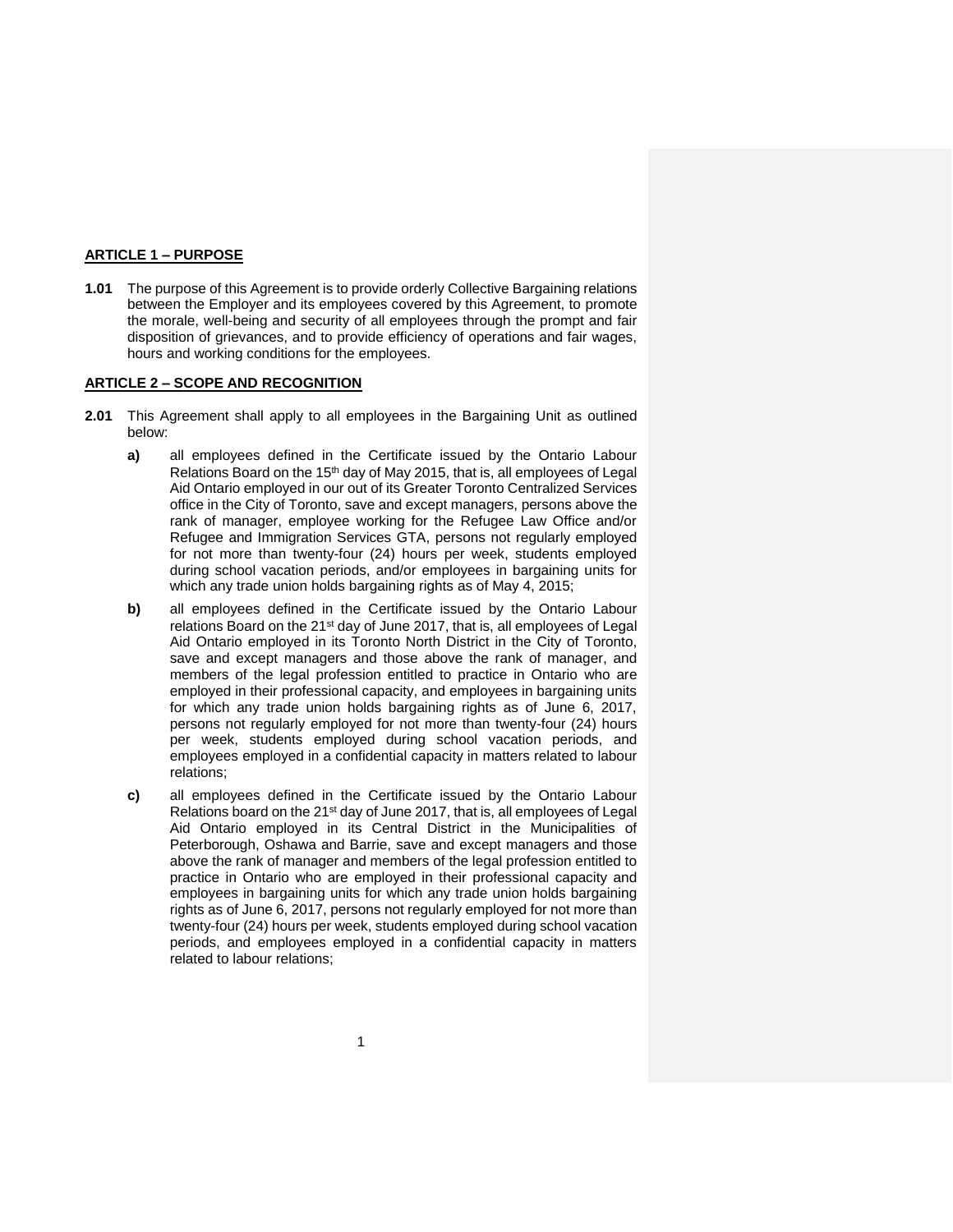#### <span id="page-3-0"></span>**ARTICLE 1 – PURPOSE**

**1.01** The purpose of this Agreement is to provide orderly Collective Bargaining relations between the Employer and its employees covered by this Agreement, to promote the morale, well-being and security of all employees through the prompt and fair disposition of grievances, and to provide efficiency of operations and fair wages, hours and working conditions for the employees.

#### <span id="page-3-1"></span>**ARTICLE 2 – SCOPE AND RECOGNITION**

- **2.01** This Agreement shall apply to all employees in the Bargaining Unit as outlined below:
	- **a)** all employees defined in the Certificate issued by the Ontario Labour Relations Board on the 15<sup>th</sup> day of May 2015, that is, all employees of Legal Aid Ontario employed in our out of its Greater Toronto Centralized Services office in the City of Toronto, save and except managers, persons above the rank of manager, employee working for the Refugee Law Office and/or Refugee and Immigration Services GTA, persons not regularly employed for not more than twenty-four (24) hours per week, students employed during school vacation periods, and/or employees in bargaining units for which any trade union holds bargaining rights as of May 4, 2015;
	- **b)** all employees defined in the Certificate issued by the Ontario Labour relations Board on the 21st day of June 2017, that is, all employees of Legal Aid Ontario employed in its Toronto North District in the City of Toronto, save and except managers and those above the rank of manager, and members of the legal profession entitled to practice in Ontario who are employed in their professional capacity, and employees in bargaining units for which any trade union holds bargaining rights as of June 6, 2017, persons not regularly employed for not more than twenty-four (24) hours per week, students employed during school vacation periods, and employees employed in a confidential capacity in matters related to labour relations;
	- **c)** all employees defined in the Certificate issued by the Ontario Labour Relations board on the 21st day of June 2017, that is, all employees of Legal Aid Ontario employed in its Central District in the Municipalities of Peterborough, Oshawa and Barrie, save and except managers and those above the rank of manager and members of the legal profession entitled to practice in Ontario who are employed in their professional capacity and employees in bargaining units for which any trade union holds bargaining rights as of June 6, 2017, persons not regularly employed for not more than twenty-four (24) hours per week, students employed during school vacation periods, and employees employed in a confidential capacity in matters related to labour relations;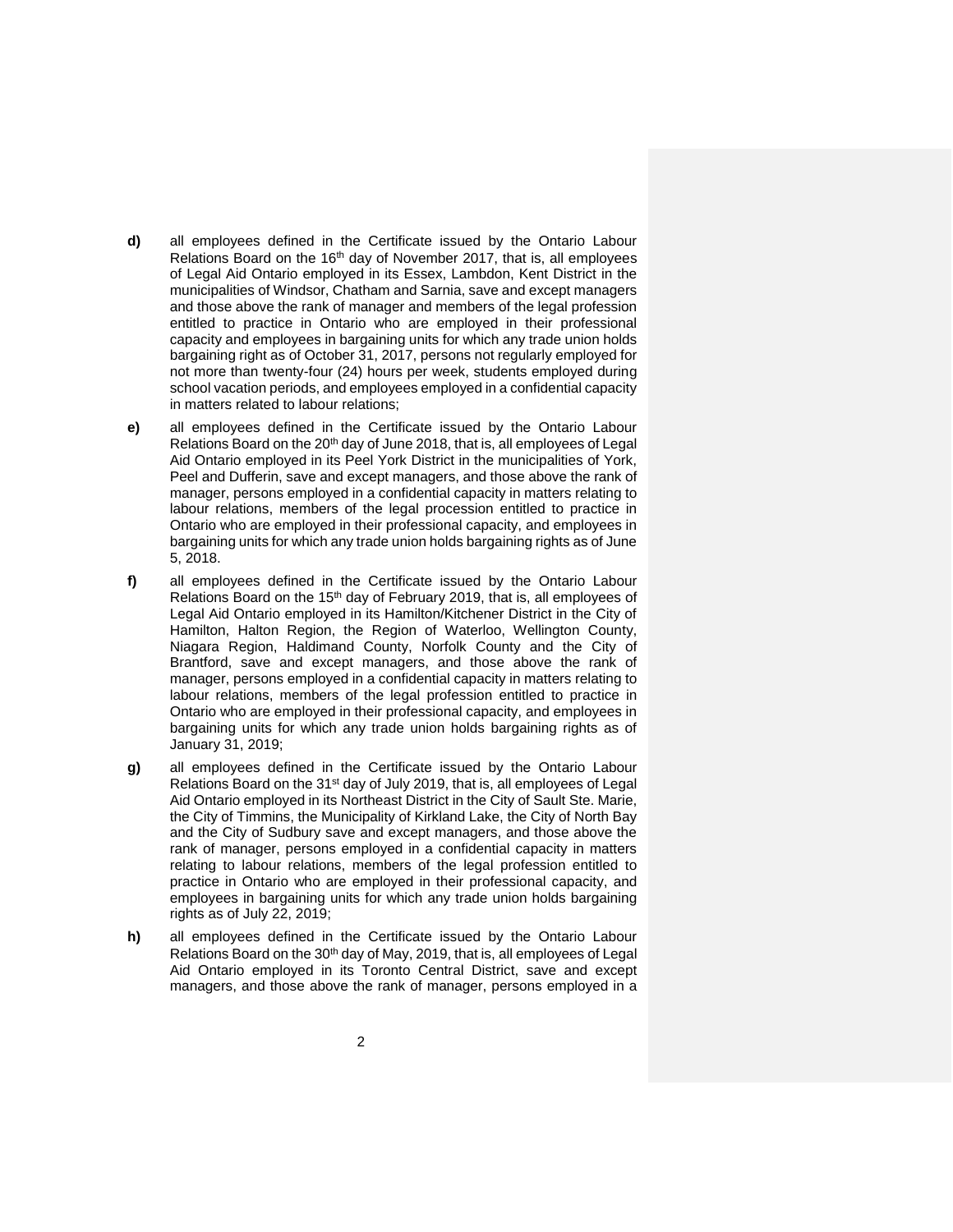- **d)** all employees defined in the Certificate issued by the Ontario Labour Relations Board on the 16<sup>th</sup> day of November 2017, that is, all employees of Legal Aid Ontario employed in its Essex, Lambdon, Kent District in the municipalities of Windsor, Chatham and Sarnia, save and except managers and those above the rank of manager and members of the legal profession entitled to practice in Ontario who are employed in their professional capacity and employees in bargaining units for which any trade union holds bargaining right as of October 31, 2017, persons not regularly employed for not more than twenty-four (24) hours per week, students employed during school vacation periods, and employees employed in a confidential capacity in matters related to labour relations;
- **e)** all employees defined in the Certificate issued by the Ontario Labour Relations Board on the 20<sup>th</sup> day of June 2018, that is, all employees of Legal Aid Ontario employed in its Peel York District in the municipalities of York, Peel and Dufferin, save and except managers, and those above the rank of manager, persons employed in a confidential capacity in matters relating to labour relations, members of the legal procession entitled to practice in Ontario who are employed in their professional capacity, and employees in bargaining units for which any trade union holds bargaining rights as of June 5, 2018.
- **f)** all employees defined in the Certificate issued by the Ontario Labour Relations Board on the 15<sup>th</sup> day of February 2019, that is, all employees of Legal Aid Ontario employed in its Hamilton/Kitchener District in the City of Hamilton, Halton Region, the Region of Waterloo, Wellington County, Niagara Region, Haldimand County, Norfolk County and the City of Brantford, save and except managers, and those above the rank of manager, persons employed in a confidential capacity in matters relating to labour relations, members of the legal profession entitled to practice in Ontario who are employed in their professional capacity, and employees in bargaining units for which any trade union holds bargaining rights as of January 31, 2019;
- **g)** all employees defined in the Certificate issued by the Ontario Labour Relations Board on the 31st day of July 2019, that is, all employees of Legal Aid Ontario employed in its Northeast District in the City of Sault Ste. Marie, the City of Timmins, the Municipality of Kirkland Lake, the City of North Bay and the City of Sudbury save and except managers, and those above the rank of manager, persons employed in a confidential capacity in matters relating to labour relations, members of the legal profession entitled to practice in Ontario who are employed in their professional capacity, and employees in bargaining units for which any trade union holds bargaining rights as of July 22, 2019;
- **h)** all employees defined in the Certificate issued by the Ontario Labour Relations Board on the 30<sup>th</sup> day of May, 2019, that is, all employees of Legal Aid Ontario employed in its Toronto Central District, save and except managers, and those above the rank of manager, persons employed in a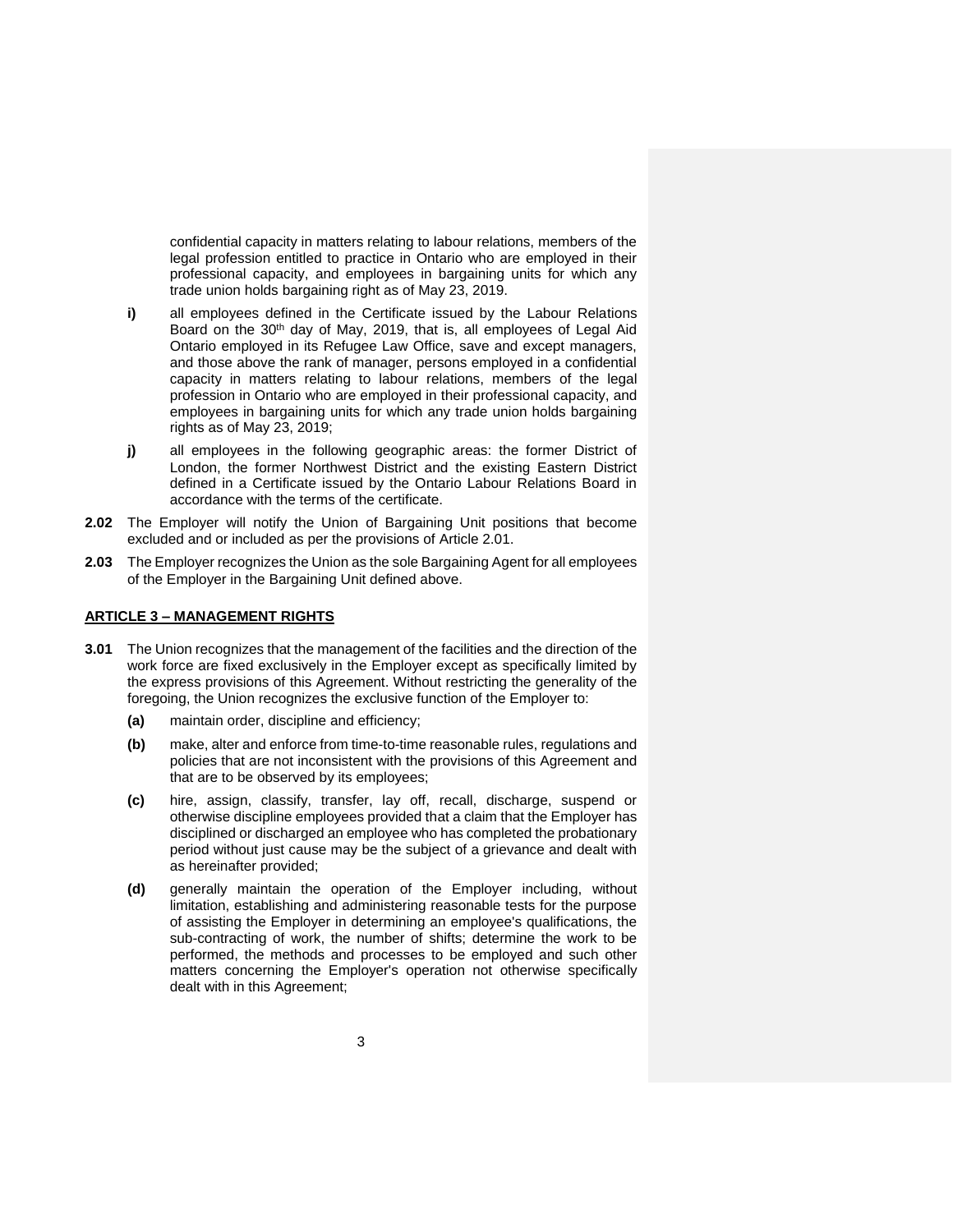confidential capacity in matters relating to labour relations, members of the legal profession entitled to practice in Ontario who are employed in their professional capacity, and employees in bargaining units for which any trade union holds bargaining right as of May 23, 2019.

- **i)** all employees defined in the Certificate issued by the Labour Relations Board on the 30<sup>th</sup> day of May, 2019, that is, all employees of Legal Aid Ontario employed in its Refugee Law Office, save and except managers, and those above the rank of manager, persons employed in a confidential capacity in matters relating to labour relations, members of the legal profession in Ontario who are employed in their professional capacity, and employees in bargaining units for which any trade union holds bargaining rights as of May 23, 2019;
- **j)** all employees in the following geographic areas: the former District of London, the former Northwest District and the existing Eastern District defined in a Certificate issued by the Ontario Labour Relations Board in accordance with the terms of the certificate.
- **2.02** The Employer will notify the Union of Bargaining Unit positions that become excluded and or included as per the provisions of Article 2.01.
- **2.03** The Employer recognizes the Union as the sole Bargaining Agent for all employees of the Employer in the Bargaining Unit defined above.

#### <span id="page-5-0"></span>**ARTICLE 3 – MANAGEMENT RIGHTS**

- **3.01** The Union recognizes that the management of the facilities and the direction of the work force are fixed exclusively in the Employer except as specifically limited by the express provisions of this Agreement. Without restricting the generality of the foregoing, the Union recognizes the exclusive function of the Employer to:
	- **(a)** maintain order, discipline and efficiency;
	- **(b)** make, alter and enforce from time-to-time reasonable rules, regulations and policies that are not inconsistent with the provisions of this Agreement and that are to be observed by its employees;
	- **(c)** hire, assign, classify, transfer, lay off, recall, discharge, suspend or otherwise discipline employees provided that a claim that the Employer has disciplined or discharged an employee who has completed the probationary period without just cause may be the subject of a grievance and dealt with as hereinafter provided;
	- **(d)** generally maintain the operation of the Employer including, without limitation, establishing and administering reasonable tests for the purpose of assisting the Employer in determining an employee's qualifications, the sub-contracting of work, the number of shifts; determine the work to be performed, the methods and processes to be employed and such other matters concerning the Employer's operation not otherwise specifically dealt with in this Agreement;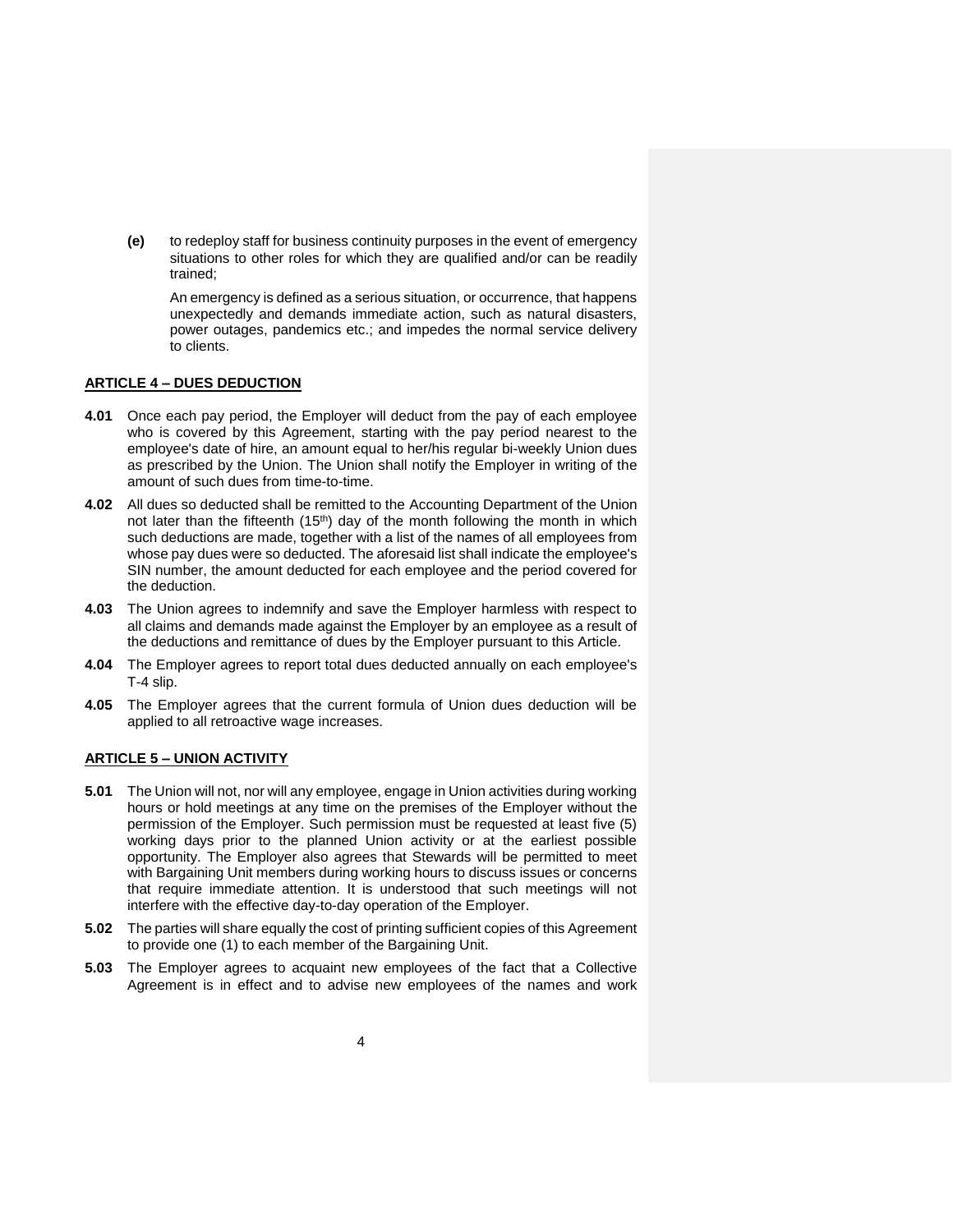**(e)** to redeploy staff for business continuity purposes in the event of emergency situations to other roles for which they are qualified and/or can be readily trained;

An emergency is defined as a serious situation, or occurrence, that happens unexpectedly and demands immediate action, such as natural disasters, power outages, pandemics etc.; and impedes the normal service delivery to clients.

#### <span id="page-6-0"></span>**ARTICLE 4 – DUES DEDUCTION**

- **4.01** Once each pay period, the Employer will deduct from the pay of each employee who is covered by this Agreement, starting with the pay period nearest to the employee's date of hire, an amount equal to her/his regular bi-weekly Union dues as prescribed by the Union. The Union shall notify the Employer in writing of the amount of such dues from time-to-time.
- **4.02** All dues so deducted shall be remitted to the Accounting Department of the Union not later than the fifteenth (15th) day of the month following the month in which such deductions are made, together with a list of the names of all employees from whose pay dues were so deducted. The aforesaid list shall indicate the employee's SIN number, the amount deducted for each employee and the period covered for the deduction.
- **4.03** The Union agrees to indemnify and save the Employer harmless with respect to all claims and demands made against the Employer by an employee as a result of the deductions and remittance of dues by the Employer pursuant to this Article.
- **4.04** The Employer agrees to report total dues deducted annually on each employee's T-4 slip.
- **4.05** The Employer agrees that the current formula of Union dues deduction will be applied to all retroactive wage increases.

#### <span id="page-6-1"></span>**ARTICLE 5 – UNION ACTIVITY**

- **5.01** The Union will not, nor will any employee, engage in Union activities during working hours or hold meetings at any time on the premises of the Employer without the permission of the Employer. Such permission must be requested at least five (5) working days prior to the planned Union activity or at the earliest possible opportunity. The Employer also agrees that Stewards will be permitted to meet with Bargaining Unit members during working hours to discuss issues or concerns that require immediate attention. It is understood that such meetings will not interfere with the effective day-to-day operation of the Employer.
- **5.02** The parties will share equally the cost of printing sufficient copies of this Agreement to provide one (1) to each member of the Bargaining Unit.
- **5.03** The Employer agrees to acquaint new employees of the fact that a Collective Agreement is in effect and to advise new employees of the names and work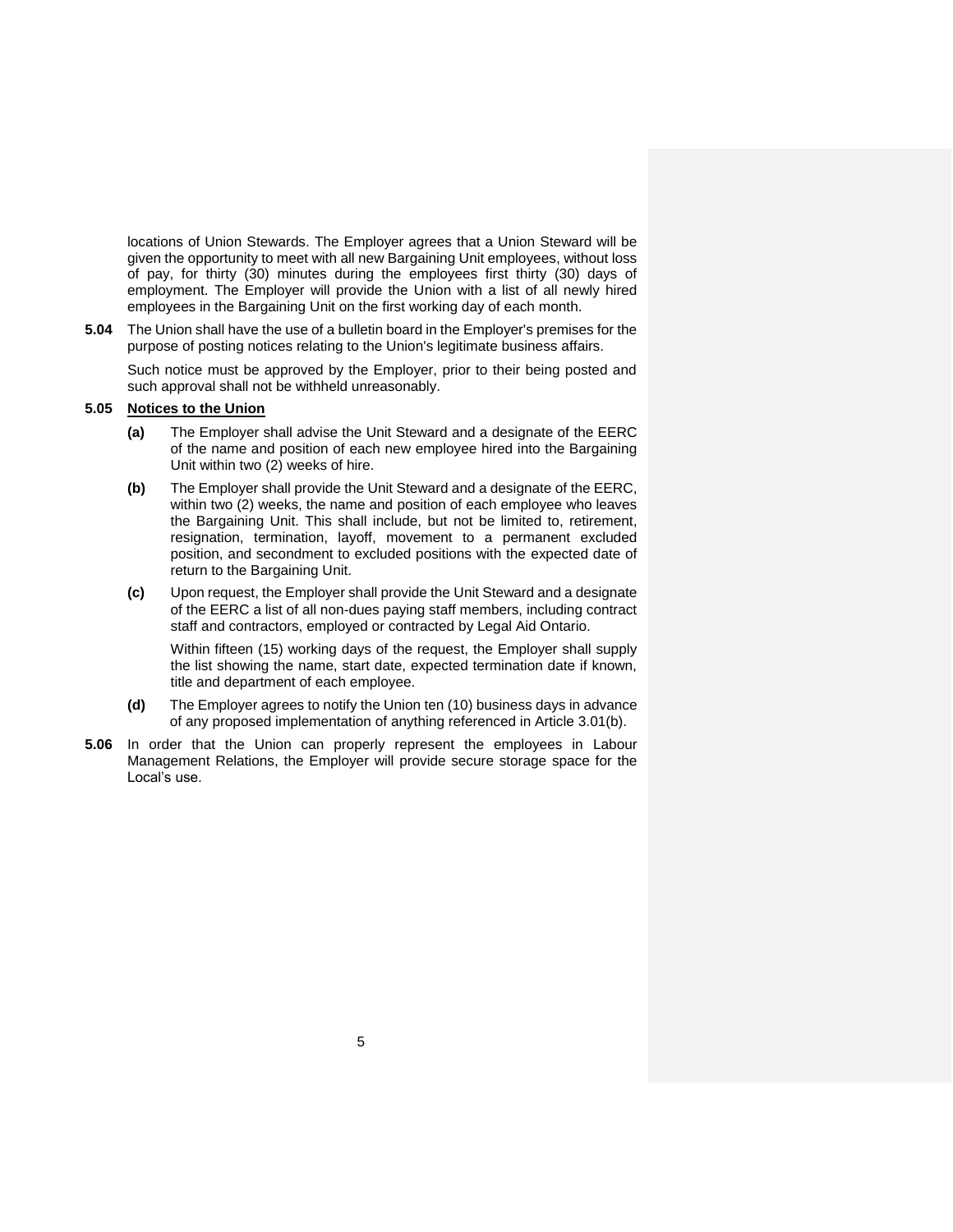locations of Union Stewards. The Employer agrees that a Union Steward will be given the opportunity to meet with all new Bargaining Unit employees, without loss of pay, for thirty (30) minutes during the employees first thirty (30) days of employment. The Employer will provide the Union with a list of all newly hired employees in the Bargaining Unit on the first working day of each month.

**5.04** The Union shall have the use of a bulletin board in the Employer's premises for the purpose of posting notices relating to the Union's legitimate business affairs.

Such notice must be approved by the Employer, prior to their being posted and such approval shall not be withheld unreasonably.

- **5.05 Notices to the Union**
	- **(a)** The Employer shall advise the Unit Steward and a designate of the EERC of the name and position of each new employee hired into the Bargaining Unit within two (2) weeks of hire.
	- **(b)** The Employer shall provide the Unit Steward and a designate of the EERC, within two (2) weeks, the name and position of each employee who leaves the Bargaining Unit. This shall include, but not be limited to, retirement, resignation, termination, layoff, movement to a permanent excluded position, and secondment to excluded positions with the expected date of return to the Bargaining Unit.
	- **(c)** Upon request, the Employer shall provide the Unit Steward and a designate of the EERC a list of all non-dues paying staff members, including contract staff and contractors, employed or contracted by Legal Aid Ontario.

Within fifteen (15) working days of the request, the Employer shall supply the list showing the name, start date, expected termination date if known, title and department of each employee.

- **(d)** The Employer agrees to notify the Union ten (10) business days in advance of any proposed implementation of anything referenced in Article 3.01(b).
- **5.06** In order that the Union can properly represent the employees in Labour Management Relations, the Employer will provide secure storage space for the Local's use.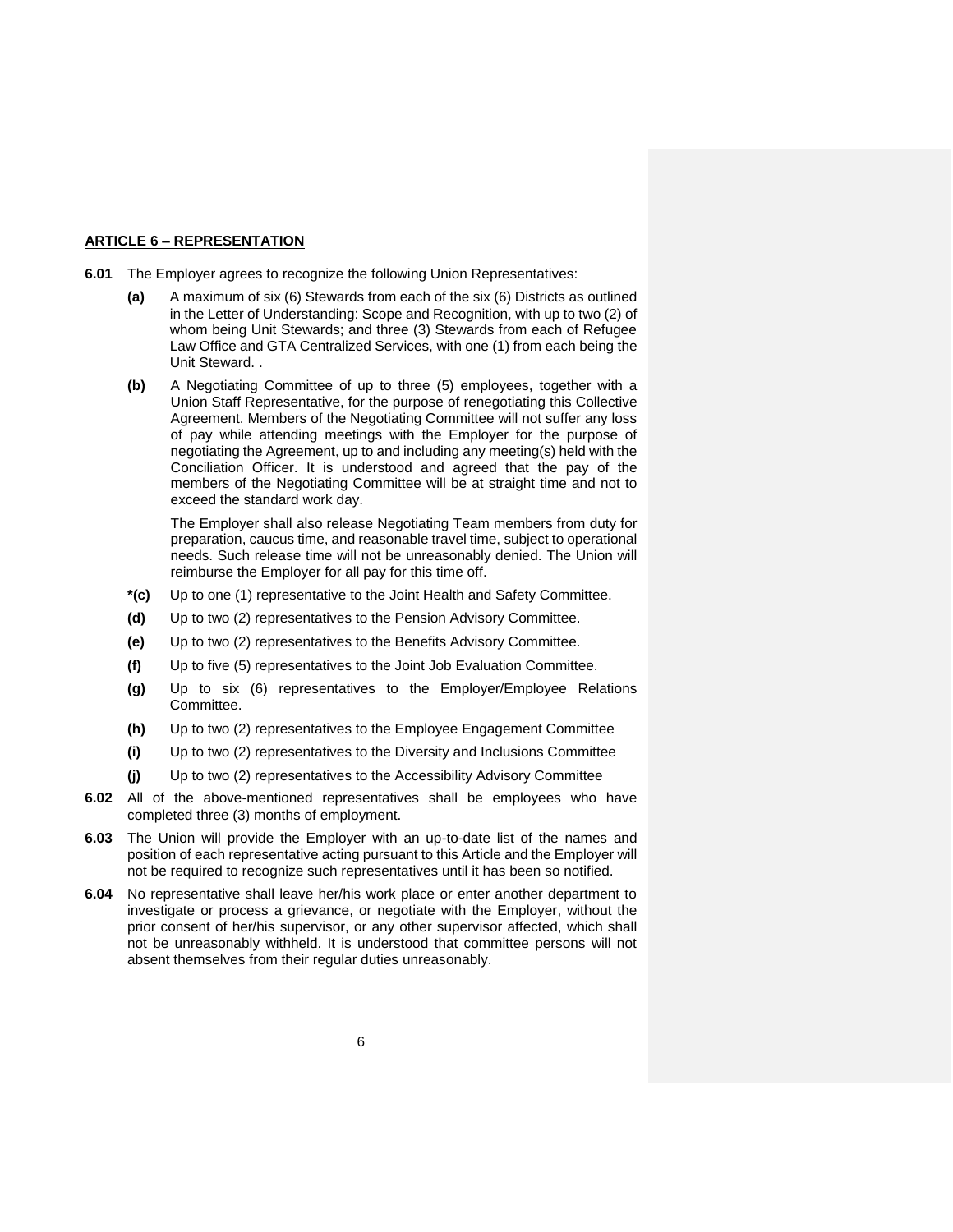#### <span id="page-8-0"></span>**ARTICLE 6 – REPRESENTATION**

- **6.01** The Employer agrees to recognize the following Union Representatives:
	- **(a)** A maximum of six (6) Stewards from each of the six (6) Districts as outlined in the Letter of Understanding: Scope and Recognition, with up to two (2) of whom being Unit Stewards; and three (3) Stewards from each of Refugee Law Office and GTA Centralized Services, with one (1) from each being the Unit Steward. .
	- **(b)** A Negotiating Committee of up to three (5) employees, together with a Union Staff Representative, for the purpose of renegotiating this Collective Agreement. Members of the Negotiating Committee will not suffer any loss of pay while attending meetings with the Employer for the purpose of negotiating the Agreement, up to and including any meeting(s) held with the Conciliation Officer. It is understood and agreed that the pay of the members of the Negotiating Committee will be at straight time and not to exceed the standard work day.

The Employer shall also release Negotiating Team members from duty for preparation, caucus time, and reasonable travel time, subject to operational needs. Such release time will not be unreasonably denied. The Union will reimburse the Employer for all pay for this time off.

- **\*(c)** Up to one (1) representative to the Joint Health and Safety Committee.
- **(d)** Up to two (2) representatives to the Pension Advisory Committee.
- **(e)** Up to two (2) representatives to the Benefits Advisory Committee.
- **(f)** Up to five (5) representatives to the Joint Job Evaluation Committee.
- **(g)** Up to six (6) representatives to the Employer/Employee Relations Committee.
- **(h)** Up to two (2) representatives to the Employee Engagement Committee
- **(i)** Up to two (2) representatives to the Diversity and Inclusions Committee
- **(j)** Up to two (2) representatives to the Accessibility Advisory Committee
- **6.02** All of the above-mentioned representatives shall be employees who have completed three (3) months of employment.
- **6.03** The Union will provide the Employer with an up-to-date list of the names and position of each representative acting pursuant to this Article and the Employer will not be required to recognize such representatives until it has been so notified.
- **6.04** No representative shall leave her/his work place or enter another department to investigate or process a grievance, or negotiate with the Employer, without the prior consent of her/his supervisor, or any other supervisor affected, which shall not be unreasonably withheld. It is understood that committee persons will not absent themselves from their regular duties unreasonably.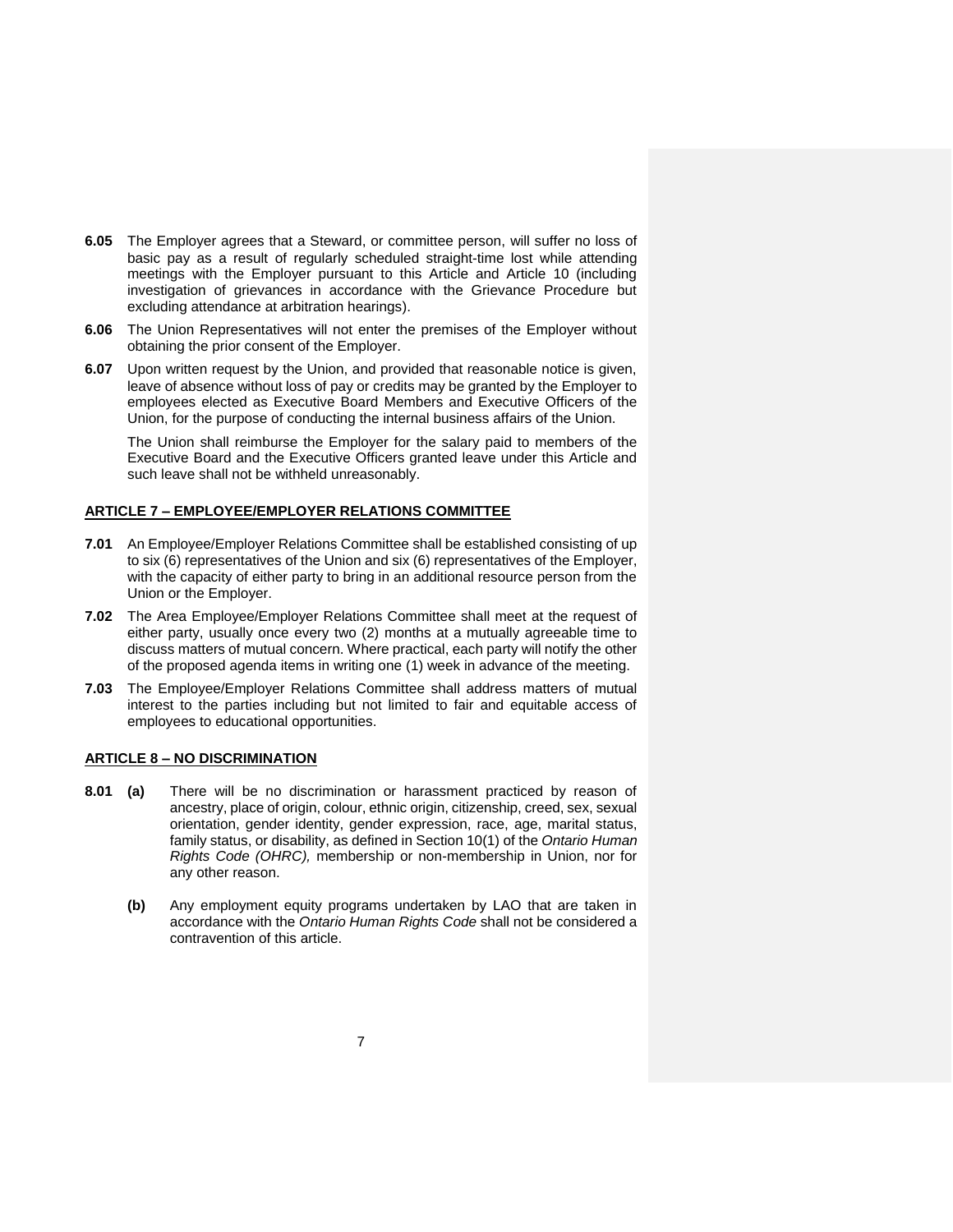- **6.05** The Employer agrees that a Steward, or committee person, will suffer no loss of basic pay as a result of regularly scheduled straight-time lost while attending meetings with the Employer pursuant to this Article and Article 10 (including investigation of grievances in accordance with the Grievance Procedure but excluding attendance at arbitration hearings).
- **6.06** The Union Representatives will not enter the premises of the Employer without obtaining the prior consent of the Employer.
- **6.07** Upon written request by the Union, and provided that reasonable notice is given, leave of absence without loss of pay or credits may be granted by the Employer to employees elected as Executive Board Members and Executive Officers of the Union, for the purpose of conducting the internal business affairs of the Union.

The Union shall reimburse the Employer for the salary paid to members of the Executive Board and the Executive Officers granted leave under this Article and such leave shall not be withheld unreasonably.

#### <span id="page-9-0"></span>**ARTICLE 7 – EMPLOYEE/EMPLOYER RELATIONS COMMITTEE**

- **7.01** An Employee/Employer Relations Committee shall be established consisting of up to six (6) representatives of the Union and six (6) representatives of the Employer, with the capacity of either party to bring in an additional resource person from the Union or the Employer.
- **7.02** The Area Employee/Employer Relations Committee shall meet at the request of either party, usually once every two (2) months at a mutually agreeable time to discuss matters of mutual concern. Where practical, each party will notify the other of the proposed agenda items in writing one (1) week in advance of the meeting.
- **7.03** The Employee/Employer Relations Committee shall address matters of mutual interest to the parties including but not limited to fair and equitable access of employees to educational opportunities.

#### <span id="page-9-1"></span>**ARTICLE 8 – NO DISCRIMINATION**

- **8.01 (a)** There will be no discrimination or harassment practiced by reason of ancestry, place of origin, colour, ethnic origin, citizenship, creed, sex, sexual orientation, gender identity, gender expression, race, age, marital status, family status, or disability, as defined in Section 10(1) of the *Ontario Human Rights Code (OHRC),* membership or non-membership in Union, nor for any other reason.
	- **(b)** Any employment equity programs undertaken by LAO that are taken in accordance with the *Ontario Human Rights Code* shall not be considered a contravention of this article.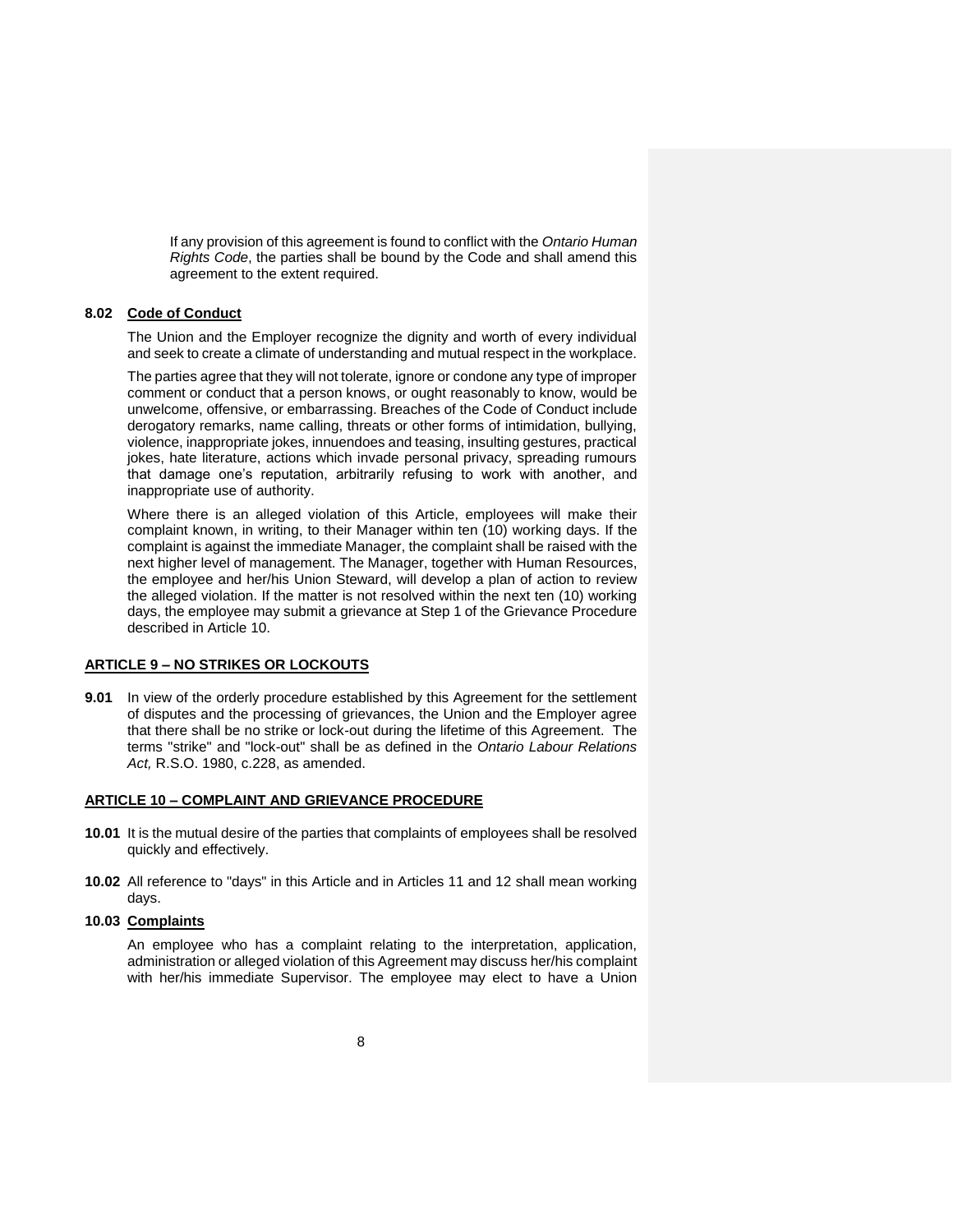If any provision of this agreement is found to conflict with the *Ontario Human Rights Code*, the parties shall be bound by the Code and shall amend this agreement to the extent required.

#### **8.02 Code of Conduct**

The Union and the Employer recognize the dignity and worth of every individual and seek to create a climate of understanding and mutual respect in the workplace.

The parties agree that they will not tolerate, ignore or condone any type of improper comment or conduct that a person knows, or ought reasonably to know, would be unwelcome, offensive, or embarrassing. Breaches of the Code of Conduct include derogatory remarks, name calling, threats or other forms of intimidation, bullying, violence, inappropriate jokes, innuendoes and teasing, insulting gestures, practical jokes, hate literature, actions which invade personal privacy, spreading rumours that damage one's reputation, arbitrarily refusing to work with another, and inappropriate use of authority.

Where there is an alleged violation of this Article, employees will make their complaint known, in writing, to their Manager within ten (10) working days. If the complaint is against the immediate Manager, the complaint shall be raised with the next higher level of management. The Manager, together with Human Resources, the employee and her/his Union Steward, will develop a plan of action to review the alleged violation. If the matter is not resolved within the next ten (10) working days, the employee may submit a grievance at Step 1 of the Grievance Procedure described in Article 10.

#### <span id="page-10-0"></span>**ARTICLE 9 – NO STRIKES OR LOCKOUTS**

**9.01** In view of the orderly procedure established by this Agreement for the settlement of disputes and the processing of grievances, the Union and the Employer agree that there shall be no strike or lock-out during the lifetime of this Agreement. The terms "strike" and "lock-out" shall be as defined in the *Ontario Labour Relations Act,* R.S.O. 1980, c.228, as amended.

#### <span id="page-10-1"></span>**ARTICLE 10 – COMPLAINT AND GRIEVANCE PROCEDURE**

- **10.01** It is the mutual desire of the parties that complaints of employees shall be resolved quickly and effectively.
- **10.02** All reference to "days" in this Article and in Articles 11 and 12 shall mean working days.

#### **10.03 Complaints**

An employee who has a complaint relating to the interpretation, application, administration or alleged violation of this Agreement may discuss her/his complaint with her/his immediate Supervisor. The employee may elect to have a Union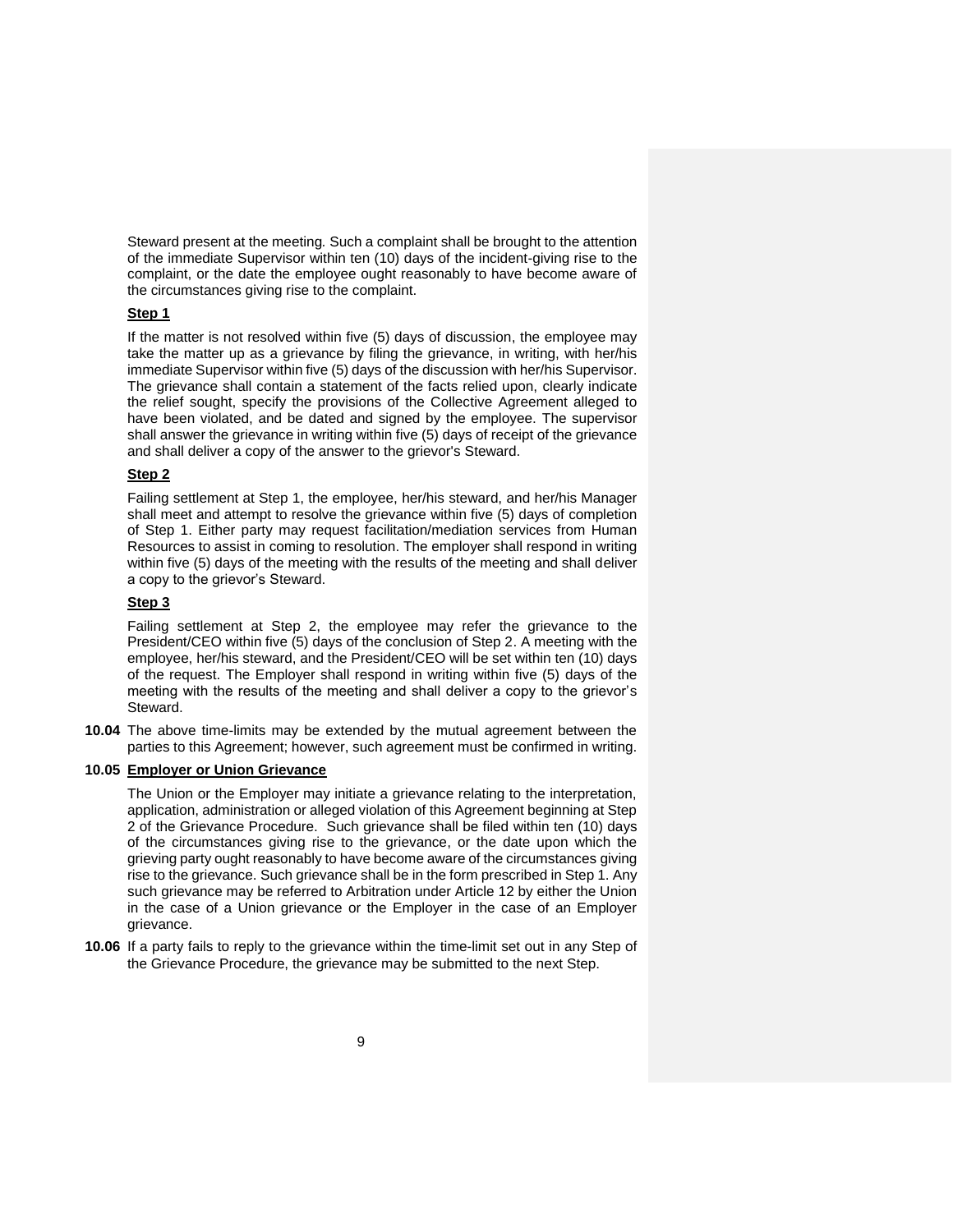Steward present at the meeting*.* Such a complaint shall be brought to the attention of the immediate Supervisor within ten (10) days of the incident-giving rise to the complaint, or the date the employee ought reasonably to have become aware of the circumstances giving rise to the complaint.

#### **Step 1**

If the matter is not resolved within five (5) days of discussion, the employee may take the matter up as a grievance by filing the grievance, in writing, with her/his immediate Supervisor within five (5) days of the discussion with her/his Supervisor. The grievance shall contain a statement of the facts relied upon, clearly indicate the relief sought, specify the provisions of the Collective Agreement alleged to have been violated, and be dated and signed by the employee. The supervisor shall answer the grievance in writing within five (5) days of receipt of the grievance and shall deliver a copy of the answer to the grievor's Steward.

#### **Step 2**

Failing settlement at Step 1, the employee, her/his steward, and her/his Manager shall meet and attempt to resolve the grievance within five (5) days of completion of Step 1. Either party may request facilitation/mediation services from Human Resources to assist in coming to resolution. The employer shall respond in writing within five (5) days of the meeting with the results of the meeting and shall deliver a copy to the grievor's Steward.

#### **Step 3**

Failing settlement at Step 2, the employee may refer the grievance to the President/CEO within five (5) days of the conclusion of Step 2. A meeting with the employee, her/his steward, and the President/CEO will be set within ten (10) days of the request. The Employer shall respond in writing within five (5) days of the meeting with the results of the meeting and shall deliver a copy to the grievor's Steward.

**10.04** The above time-limits may be extended by the mutual agreement between the parties to this Agreement; however, such agreement must be confirmed in writing.

## **10.05 Employer or Union Grievance**

The Union or the Employer may initiate a grievance relating to the interpretation, application, administration or alleged violation of this Agreement beginning at Step 2 of the Grievance Procedure. Such grievance shall be filed within ten (10) days of the circumstances giving rise to the grievance, or the date upon which the grieving party ought reasonably to have become aware of the circumstances giving rise to the grievance. Such grievance shall be in the form prescribed in Step 1. Any such grievance may be referred to Arbitration under Article 12 by either the Union in the case of a Union grievance or the Employer in the case of an Employer grievance.

**10.06** If a party fails to reply to the grievance within the time-limit set out in any Step of the Grievance Procedure, the grievance may be submitted to the next Step.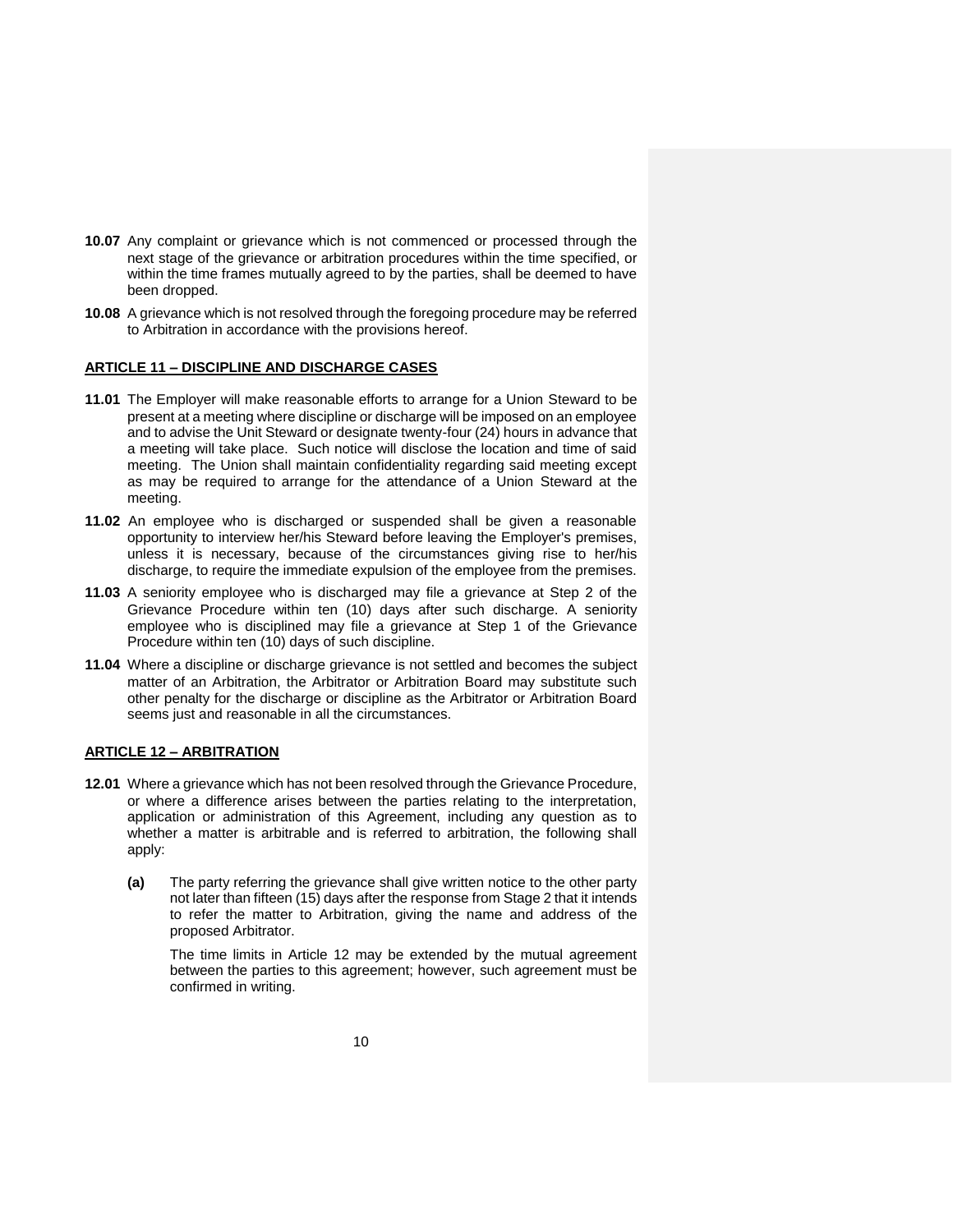- **10.07** Any complaint or grievance which is not commenced or processed through the next stage of the grievance or arbitration procedures within the time specified, or within the time frames mutually agreed to by the parties, shall be deemed to have been dropped.
- **10.08** A grievance which is not resolved through the foregoing procedure may be referred to Arbitration in accordance with the provisions hereof.

#### <span id="page-12-0"></span>**ARTICLE 11 – DISCIPLINE AND DISCHARGE CASES**

- **11.01** The Employer will make reasonable efforts to arrange for a Union Steward to be present at a meeting where discipline or discharge will be imposed on an employee and to advise the Unit Steward or designate twenty-four (24) hours in advance that a meeting will take place. Such notice will disclose the location and time of said meeting. The Union shall maintain confidentiality regarding said meeting except as may be required to arrange for the attendance of a Union Steward at the meeting.
- **11.02** An employee who is discharged or suspended shall be given a reasonable opportunity to interview her/his Steward before leaving the Employer's premises, unless it is necessary, because of the circumstances giving rise to her/his discharge, to require the immediate expulsion of the employee from the premises.
- **11.03** A seniority employee who is discharged may file a grievance at Step 2 of the Grievance Procedure within ten (10) days after such discharge. A seniority employee who is disciplined may file a grievance at Step 1 of the Grievance Procedure within ten (10) days of such discipline.
- **11.04** Where a discipline or discharge grievance is not settled and becomes the subject matter of an Arbitration, the Arbitrator or Arbitration Board may substitute such other penalty for the discharge or discipline as the Arbitrator or Arbitration Board seems just and reasonable in all the circumstances.

#### <span id="page-12-1"></span>**ARTICLE 12 – ARBITRATION**

- **12.01** Where a grievance which has not been resolved through the Grievance Procedure, or where a difference arises between the parties relating to the interpretation, application or administration of this Agreement, including any question as to whether a matter is arbitrable and is referred to arbitration, the following shall apply:
	- **(a)** The party referring the grievance shall give written notice to the other party not later than fifteen (15) days after the response from Stage 2 that it intends to refer the matter to Arbitration, giving the name and address of the proposed Arbitrator.

The time limits in Article 12 may be extended by the mutual agreement between the parties to this agreement; however, such agreement must be confirmed in writing.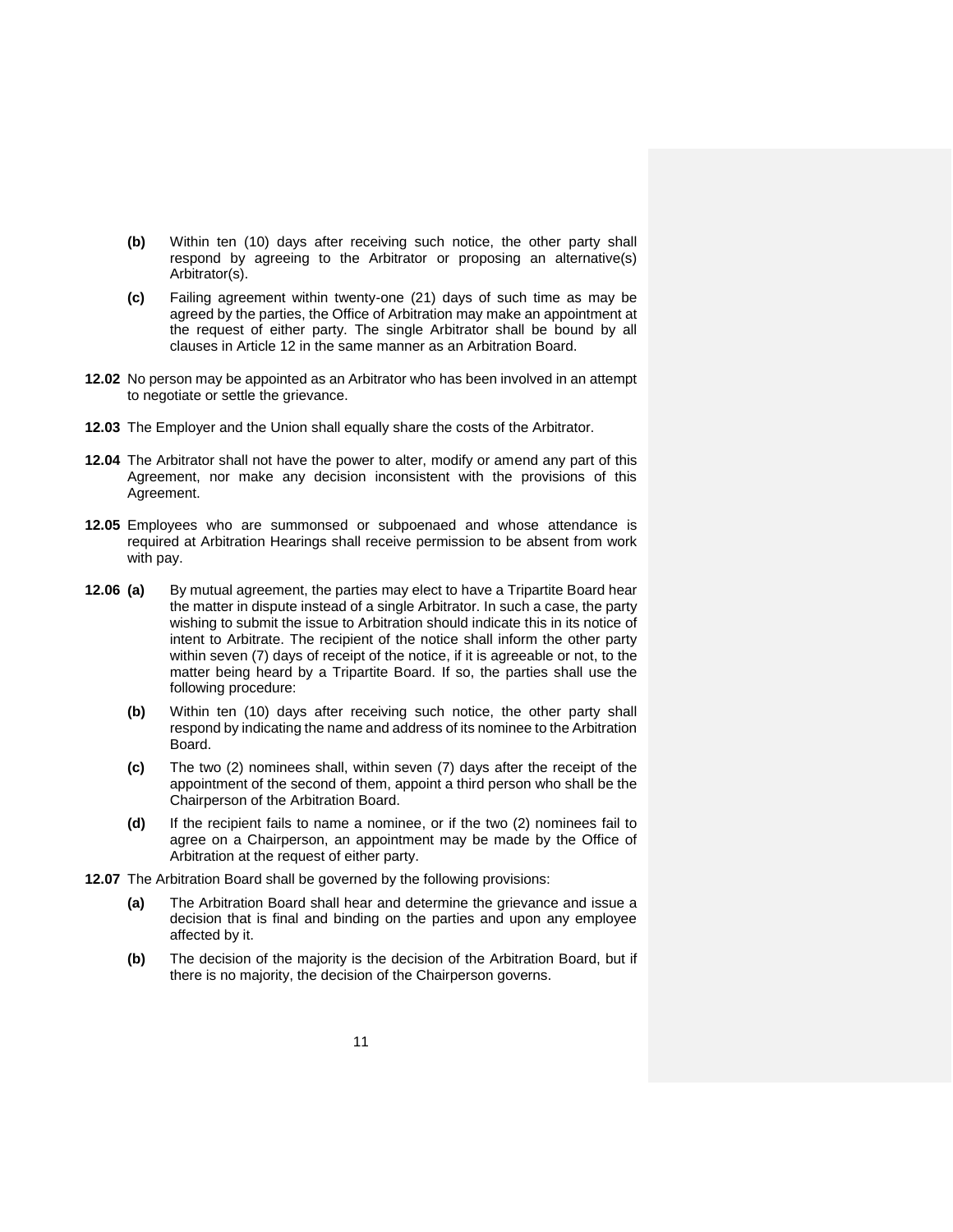- **(b)** Within ten (10) days after receiving such notice, the other party shall respond by agreeing to the Arbitrator or proposing an alternative(s) Arbitrator(s).
- **(c)** Failing agreement within twenty-one (21) days of such time as may be agreed by the parties, the Office of Arbitration may make an appointment at the request of either party. The single Arbitrator shall be bound by all clauses in Article 12 in the same manner as an Arbitration Board.
- **12.02** No person may be appointed as an Arbitrator who has been involved in an attempt to negotiate or settle the grievance.
- **12.03** The Employer and the Union shall equally share the costs of the Arbitrator.
- **12.04** The Arbitrator shall not have the power to alter, modify or amend any part of this Agreement, nor make any decision inconsistent with the provisions of this Agreement.
- **12.05** Employees who are summonsed or subpoenaed and whose attendance is required at Arbitration Hearings shall receive permission to be absent from work with pay.
- **12.06 (a)** By mutual agreement, the parties may elect to have a Tripartite Board hear the matter in dispute instead of a single Arbitrator. In such a case, the party wishing to submit the issue to Arbitration should indicate this in its notice of intent to Arbitrate. The recipient of the notice shall inform the other party within seven (7) days of receipt of the notice, if it is agreeable or not, to the matter being heard by a Tripartite Board. If so, the parties shall use the following procedure:
	- **(b)** Within ten (10) days after receiving such notice, the other party shall respond by indicating the name and address of its nominee to the Arbitration Board.
	- **(c)** The two (2) nominees shall, within seven (7) days after the receipt of the appointment of the second of them, appoint a third person who shall be the Chairperson of the Arbitration Board.
	- **(d)** If the recipient fails to name a nominee, or if the two (2) nominees fail to agree on a Chairperson, an appointment may be made by the Office of Arbitration at the request of either party.
- **12.07** The Arbitration Board shall be governed by the following provisions:
	- **(a)** The Arbitration Board shall hear and determine the grievance and issue a decision that is final and binding on the parties and upon any employee affected by it.
	- **(b)** The decision of the majority is the decision of the Arbitration Board, but if there is no majority, the decision of the Chairperson governs.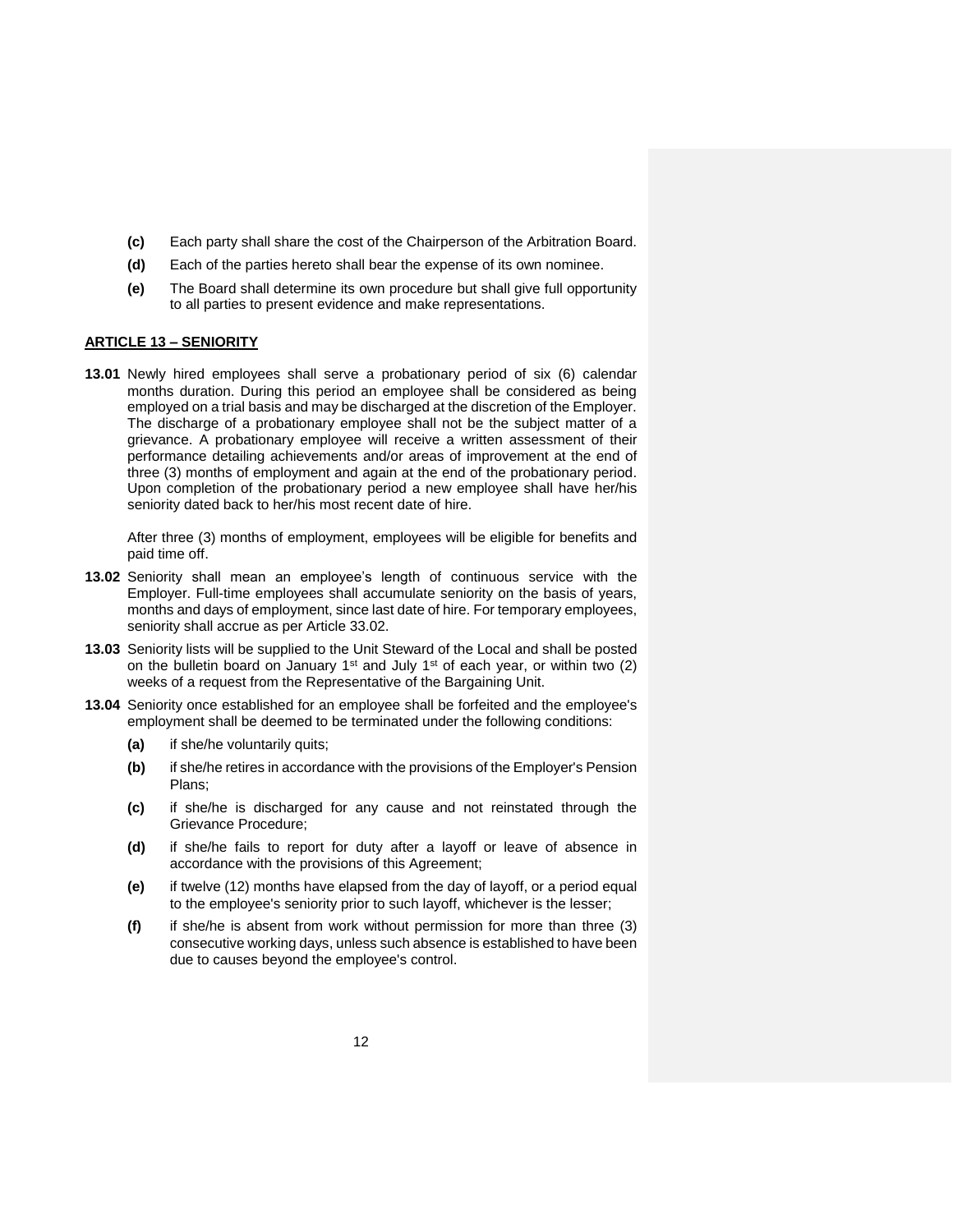- **(c)** Each party shall share the cost of the Chairperson of the Arbitration Board.
- **(d)** Each of the parties hereto shall bear the expense of its own nominee.
- **(e)** The Board shall determine its own procedure but shall give full opportunity to all parties to present evidence and make representations.

## <span id="page-14-0"></span>**ARTICLE 13 – SENIORITY**

**13.01** Newly hired employees shall serve a probationary period of six (6) calendar months duration. During this period an employee shall be considered as being employed on a trial basis and may be discharged at the discretion of the Employer. The discharge of a probationary employee shall not be the subject matter of a grievance. A probationary employee will receive a written assessment of their performance detailing achievements and/or areas of improvement at the end of three (3) months of employment and again at the end of the probationary period. Upon completion of the probationary period a new employee shall have her/his seniority dated back to her/his most recent date of hire.

After three (3) months of employment, employees will be eligible for benefits and paid time off.

- **13.02** Seniority shall mean an employee's length of continuous service with the Employer. Full-time employees shall accumulate seniority on the basis of years, months and days of employment, since last date of hire. For temporary employees, seniority shall accrue as per Article 33.02.
- **13.03** Seniority lists will be supplied to the Unit Steward of the Local and shall be posted on the bulletin board on January 1<sup>st</sup> and July 1<sup>st</sup> of each year, or within two (2) weeks of a request from the Representative of the Bargaining Unit.
- **13.04** Seniority once established for an employee shall be forfeited and the employee's employment shall be deemed to be terminated under the following conditions:
	- **(a)** if she/he voluntarily quits;
	- **(b)** if she/he retires in accordance with the provisions of the Employer's Pension Plans;
	- **(c)** if she/he is discharged for any cause and not reinstated through the Grievance Procedure;
	- **(d)** if she/he fails to report for duty after a layoff or leave of absence in accordance with the provisions of this Agreement;
	- **(e)** if twelve (12) months have elapsed from the day of layoff, or a period equal to the employee's seniority prior to such layoff, whichever is the lesser;
	- **(f)** if she/he is absent from work without permission for more than three (3) consecutive working days, unless such absence is established to have been due to causes beyond the employee's control.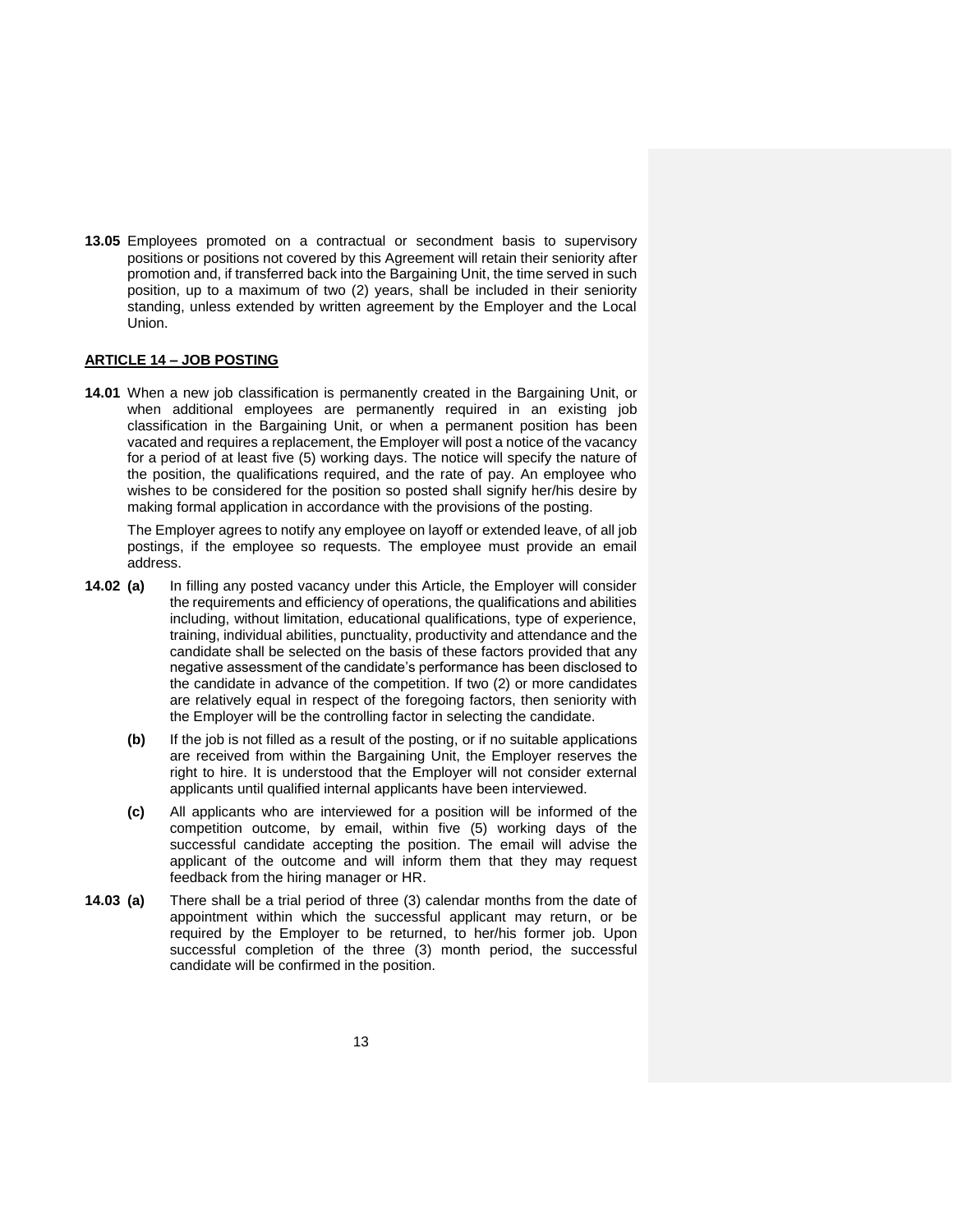**13.05** Employees promoted on a contractual or secondment basis to supervisory positions or positions not covered by this Agreement will retain their seniority after promotion and, if transferred back into the Bargaining Unit, the time served in such position, up to a maximum of two (2) years, shall be included in their seniority standing, unless extended by written agreement by the Employer and the Local Union.

#### <span id="page-15-0"></span>**ARTICLE 14 – JOB POSTING**

**14.01** When a new job classification is permanently created in the Bargaining Unit, or when additional employees are permanently required in an existing job classification in the Bargaining Unit, or when a permanent position has been vacated and requires a replacement, the Employer will post a notice of the vacancy for a period of at least five (5) working days. The notice will specify the nature of the position, the qualifications required, and the rate of pay. An employee who wishes to be considered for the position so posted shall signify her/his desire by making formal application in accordance with the provisions of the posting.

The Employer agrees to notify any employee on layoff or extended leave, of all job postings, if the employee so requests. The employee must provide an email address.

- **14.02 (a)** In filling any posted vacancy under this Article, the Employer will consider the requirements and efficiency of operations, the qualifications and abilities including, without limitation, educational qualifications, type of experience, training, individual abilities, punctuality, productivity and attendance and the candidate shall be selected on the basis of these factors provided that any negative assessment of the candidate's performance has been disclosed to the candidate in advance of the competition. If two (2) or more candidates are relatively equal in respect of the foregoing factors, then seniority with the Employer will be the controlling factor in selecting the candidate.
	- **(b)** If the job is not filled as a result of the posting, or if no suitable applications are received from within the Bargaining Unit, the Employer reserves the right to hire. It is understood that the Employer will not consider external applicants until qualified internal applicants have been interviewed.
	- **(c)** All applicants who are interviewed for a position will be informed of the competition outcome, by email, within five (5) working days of the successful candidate accepting the position. The email will advise the applicant of the outcome and will inform them that they may request feedback from the hiring manager or HR.
- **14.03 (a)** There shall be a trial period of three (3) calendar months from the date of appointment within which the successful applicant may return, or be required by the Employer to be returned, to her/his former job. Upon successful completion of the three (3) month period, the successful candidate will be confirmed in the position.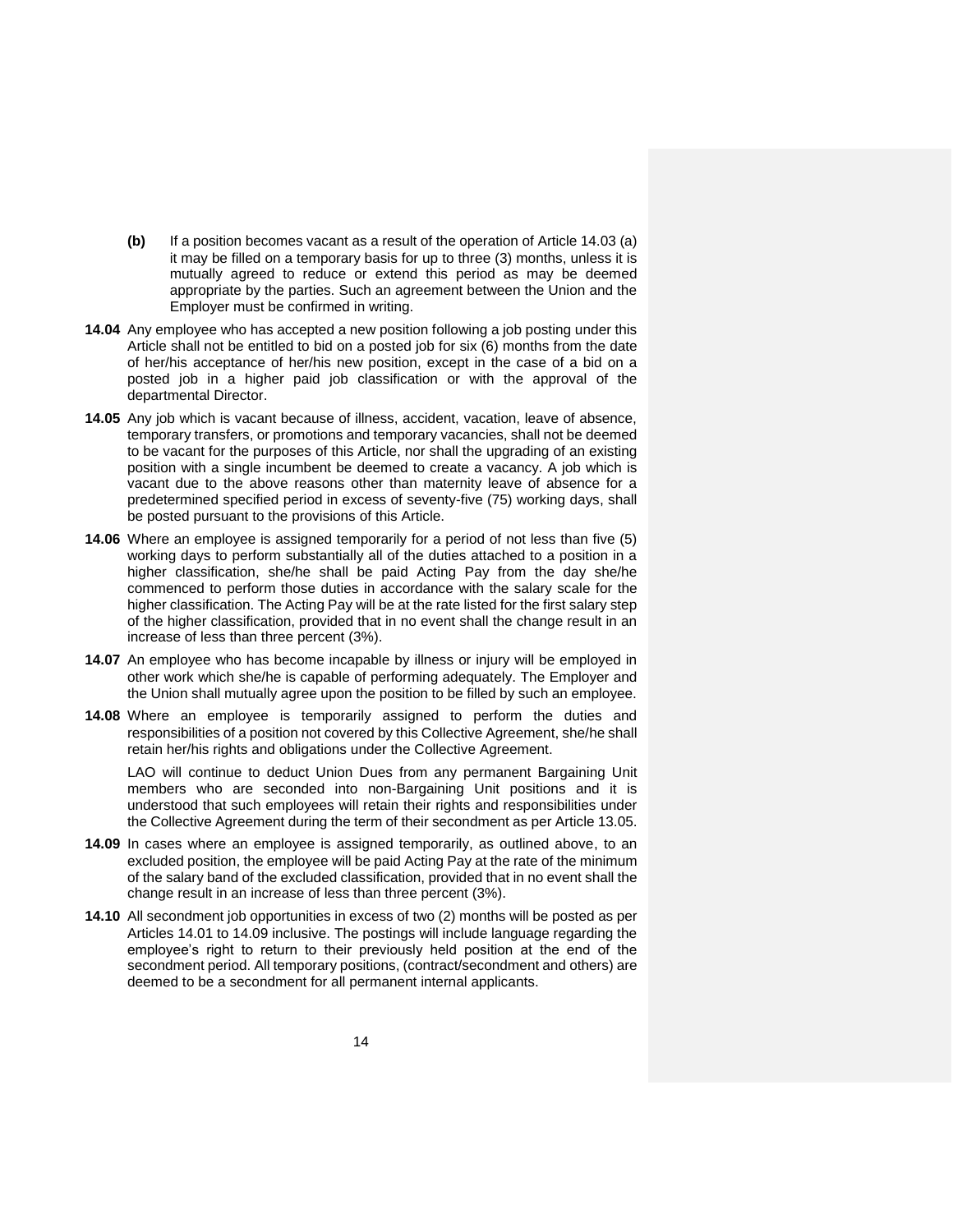- **(b)** If a position becomes vacant as a result of the operation of Article 14.03 (a) it may be filled on a temporary basis for up to three (3) months, unless it is mutually agreed to reduce or extend this period as may be deemed appropriate by the parties. Such an agreement between the Union and the Employer must be confirmed in writing.
- **14.04** Any employee who has accepted a new position following a job posting under this Article shall not be entitled to bid on a posted job for six (6) months from the date of her/his acceptance of her/his new position, except in the case of a bid on a posted job in a higher paid job classification or with the approval of the departmental Director.
- **14.05** Any job which is vacant because of illness, accident, vacation, leave of absence, temporary transfers, or promotions and temporary vacancies, shall not be deemed to be vacant for the purposes of this Article, nor shall the upgrading of an existing position with a single incumbent be deemed to create a vacancy. A job which is vacant due to the above reasons other than maternity leave of absence for a predetermined specified period in excess of seventy-five (75) working days, shall be posted pursuant to the provisions of this Article.
- **14.06** Where an employee is assigned temporarily for a period of not less than five (5) working days to perform substantially all of the duties attached to a position in a higher classification, she/he shall be paid Acting Pay from the day she/he commenced to perform those duties in accordance with the salary scale for the higher classification. The Acting Pay will be at the rate listed for the first salary step of the higher classification, provided that in no event shall the change result in an increase of less than three percent (3%).
- **14.07** An employee who has become incapable by illness or injury will be employed in other work which she/he is capable of performing adequately. The Employer and the Union shall mutually agree upon the position to be filled by such an employee.
- **14.08** Where an employee is temporarily assigned to perform the duties and responsibilities of a position not covered by this Collective Agreement, she/he shall retain her/his rights and obligations under the Collective Agreement.

LAO will continue to deduct Union Dues from any permanent Bargaining Unit members who are seconded into non-Bargaining Unit positions and it is understood that such employees will retain their rights and responsibilities under the Collective Agreement during the term of their secondment as per Article 13.05.

- **14.09** In cases where an employee is assigned temporarily, as outlined above, to an excluded position, the employee will be paid Acting Pay at the rate of the minimum of the salary band of the excluded classification, provided that in no event shall the change result in an increase of less than three percent (3%).
- **14.10** All secondment job opportunities in excess of two (2) months will be posted as per Articles 14.01 to 14.09 inclusive. The postings will include language regarding the employee's right to return to their previously held position at the end of the secondment period. All temporary positions, (contract/secondment and others) are deemed to be a secondment for all permanent internal applicants.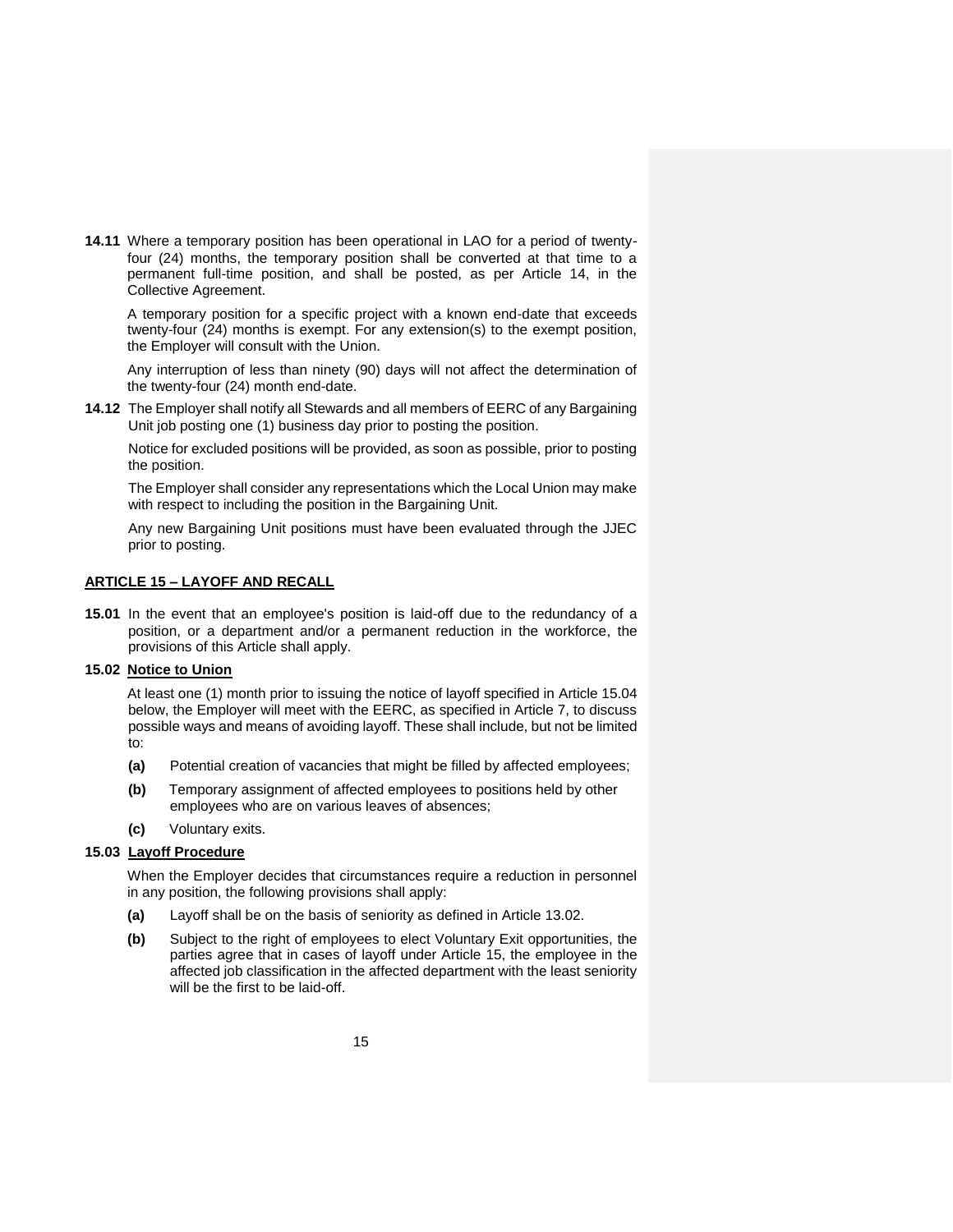**14.11** Where a temporary position has been operational in LAO for a period of twentyfour (24) months, the temporary position shall be converted at that time to a permanent full-time position, and shall be posted, as per Article 14, in the Collective Agreement.

A temporary position for a specific project with a known end-date that exceeds twenty-four (24) months is exempt. For any extension(s) to the exempt position, the Employer will consult with the Union.

Any interruption of less than ninety (90) days will not affect the determination of the twenty-four (24) month end-date.

**14.12** The Employer shall notify all Stewards and all members of EERC of any Bargaining Unit job posting one (1) business day prior to posting the position.

Notice for excluded positions will be provided, as soon as possible, prior to posting the position.

The Employer shall consider any representations which the Local Union may make with respect to including the position in the Bargaining Unit.

Any new Bargaining Unit positions must have been evaluated through the JJEC prior to posting.

#### <span id="page-17-0"></span>**ARTICLE 15 – LAYOFF AND RECALL**

**15.01** In the event that an employee's position is laid-off due to the redundancy of a position, or a department and/or a permanent reduction in the workforce, the provisions of this Article shall apply.

#### **15.02 Notice to Union**

At least one (1) month prior to issuing the notice of layoff specified in Article 15.04 below, the Employer will meet with the EERC, as specified in Article 7, to discuss possible ways and means of avoiding layoff. These shall include, but not be limited to:

- **(a)** Potential creation of vacancies that might be filled by affected employees;
- **(b)** Temporary assignment of affected employees to positions held by other employees who are on various leaves of absences;
- **(c)** Voluntary exits.

#### **15.03 Layoff Procedure**

When the Employer decides that circumstances require a reduction in personnel in any position, the following provisions shall apply:

- **(a)** Layoff shall be on the basis of seniority as defined in Article 13.02.
- **(b)** Subject to the right of employees to elect Voluntary Exit opportunities, the parties agree that in cases of layoff under Article 15, the employee in the affected job classification in the affected department with the least seniority will be the first to be laid-off.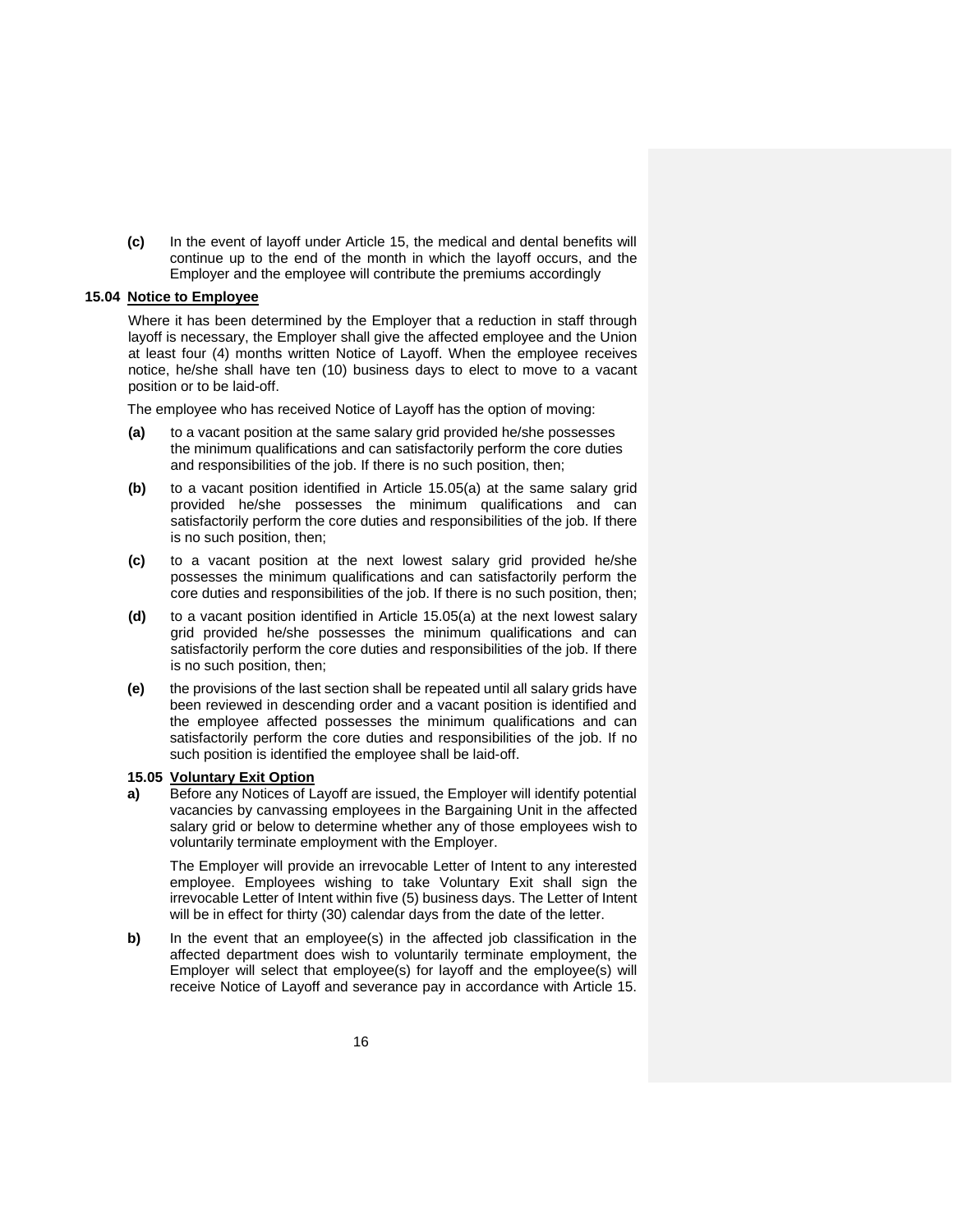**(c)** In the event of layoff under Article 15, the medical and dental benefits will continue up to the end of the month in which the layoff occurs, and the Employer and the employee will contribute the premiums accordingly

#### **15.04 Notice to Employee**

Where it has been determined by the Employer that a reduction in staff through layoff is necessary, the Employer shall give the affected employee and the Union at least four (4) months written Notice of Layoff. When the employee receives notice, he/she shall have ten (10) business days to elect to move to a vacant position or to be laid-off.

The employee who has received Notice of Layoff has the option of moving:

- **(a)** to a vacant position at the same salary grid provided he/she possesses the minimum qualifications and can satisfactorily perform the core duties and responsibilities of the job. If there is no such position, then;
- **(b)** to a vacant position identified in Article 15.05(a) at the same salary grid provided he/she possesses the minimum qualifications and can satisfactorily perform the core duties and responsibilities of the job. If there is no such position, then;
- **(c)** to a vacant position at the next lowest salary grid provided he/she possesses the minimum qualifications and can satisfactorily perform the core duties and responsibilities of the job. If there is no such position, then;
- **(d)** to a vacant position identified in Article 15.05(a) at the next lowest salary grid provided he/she possesses the minimum qualifications and can satisfactorily perform the core duties and responsibilities of the job. If there is no such position, then;
- **(e)** the provisions of the last section shall be repeated until all salary grids have been reviewed in descending order and a vacant position is identified and the employee affected possesses the minimum qualifications and can satisfactorily perform the core duties and responsibilities of the job. If no such position is identified the employee shall be laid-off.

#### **15.05 Voluntary Exit Option**

**a)** Before any Notices of Layoff are issued, the Employer will identify potential vacancies by canvassing employees in the Bargaining Unit in the affected salary grid or below to determine whether any of those employees wish to voluntarily terminate employment with the Employer.

The Employer will provide an irrevocable Letter of Intent to any interested employee. Employees wishing to take Voluntary Exit shall sign the irrevocable Letter of Intent within five (5) business days. The Letter of Intent will be in effect for thirty (30) calendar days from the date of the letter.

**b)** In the event that an employee(s) in the affected job classification in the affected department does wish to voluntarily terminate employment, the Employer will select that employee(s) for layoff and the employee(s) will receive Notice of Layoff and severance pay in accordance with Article 15.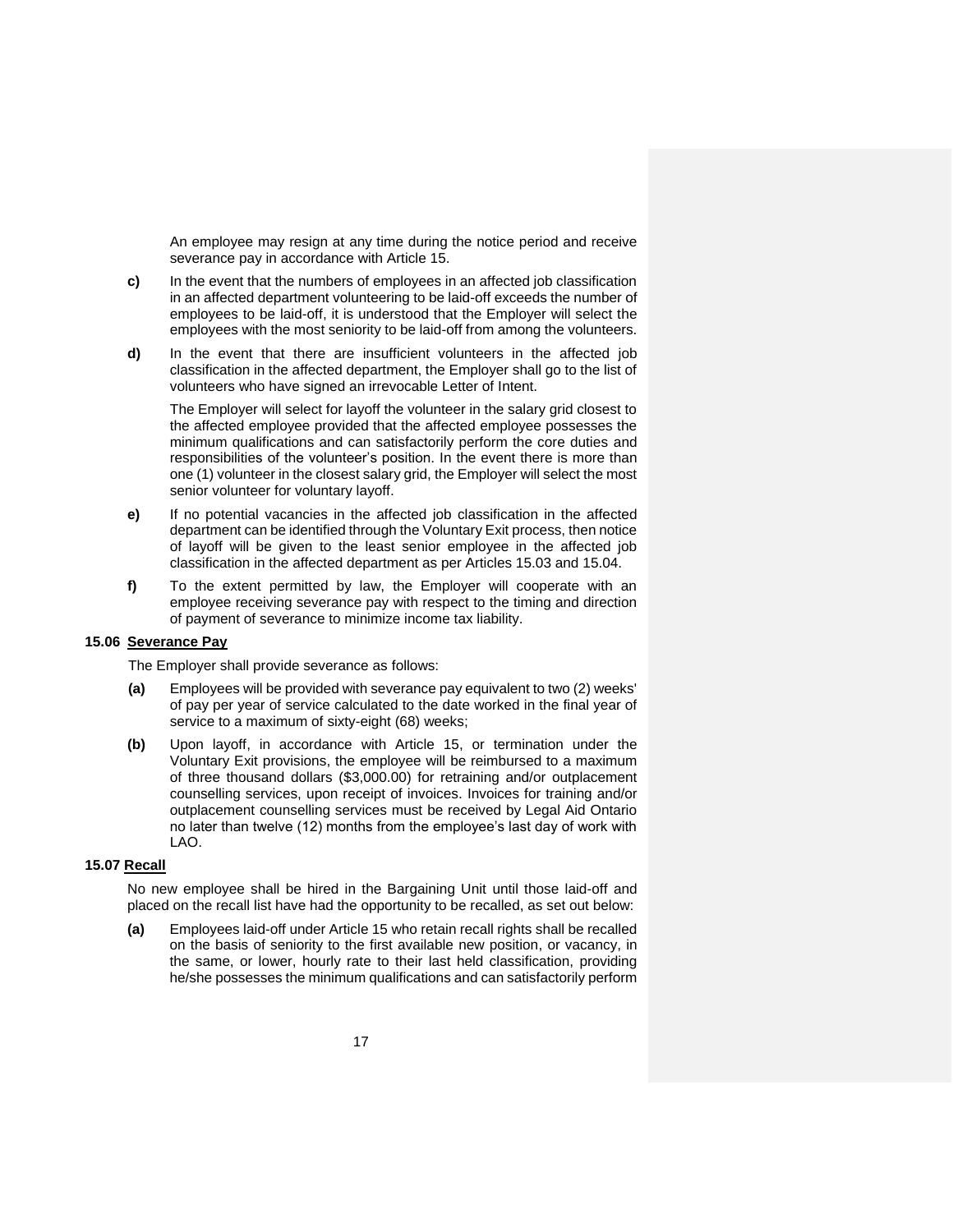An employee may resign at any time during the notice period and receive severance pay in accordance with Article 15.

- **c)** In the event that the numbers of employees in an affected job classification in an affected department volunteering to be laid-off exceeds the number of employees to be laid-off, it is understood that the Employer will select the employees with the most seniority to be laid-off from among the volunteers.
- **d)** In the event that there are insufficient volunteers in the affected job classification in the affected department, the Employer shall go to the list of volunteers who have signed an irrevocable Letter of Intent.

The Employer will select for layoff the volunteer in the salary grid closest to the affected employee provided that the affected employee possesses the minimum qualifications and can satisfactorily perform the core duties and responsibilities of the volunteer's position. In the event there is more than one (1) volunteer in the closest salary grid, the Employer will select the most senior volunteer for voluntary layoff.

- **e)** If no potential vacancies in the affected job classification in the affected department can be identified through the Voluntary Exit process, then notice of layoff will be given to the least senior employee in the affected job classification in the affected department as per Articles 15.03 and 15.04.
- **f)** To the extent permitted by law, the Employer will cooperate with an employee receiving severance pay with respect to the timing and direction of payment of severance to minimize income tax liability.

#### **15.06 Severance Pay**

The Employer shall provide severance as follows:

- **(a)** Employees will be provided with severance pay equivalent to two (2) weeks' of pay per year of service calculated to the date worked in the final year of service to a maximum of sixty-eight (68) weeks;
- **(b)** Upon layoff, in accordance with Article 15, or termination under the Voluntary Exit provisions, the employee will be reimbursed to a maximum of three thousand dollars (\$3,000.00) for retraining and/or outplacement counselling services, upon receipt of invoices. Invoices for training and/or outplacement counselling services must be received by Legal Aid Ontario no later than twelve (12) months from the employee's last day of work with LAO.

#### **15.07 Recall**

No new employee shall be hired in the Bargaining Unit until those laid-off and placed on the recall list have had the opportunity to be recalled, as set out below:

**(a)** Employees laid-off under Article 15 who retain recall rights shall be recalled on the basis of seniority to the first available new position, or vacancy, in the same, or lower, hourly rate to their last held classification, providing he/she possesses the minimum qualifications and can satisfactorily perform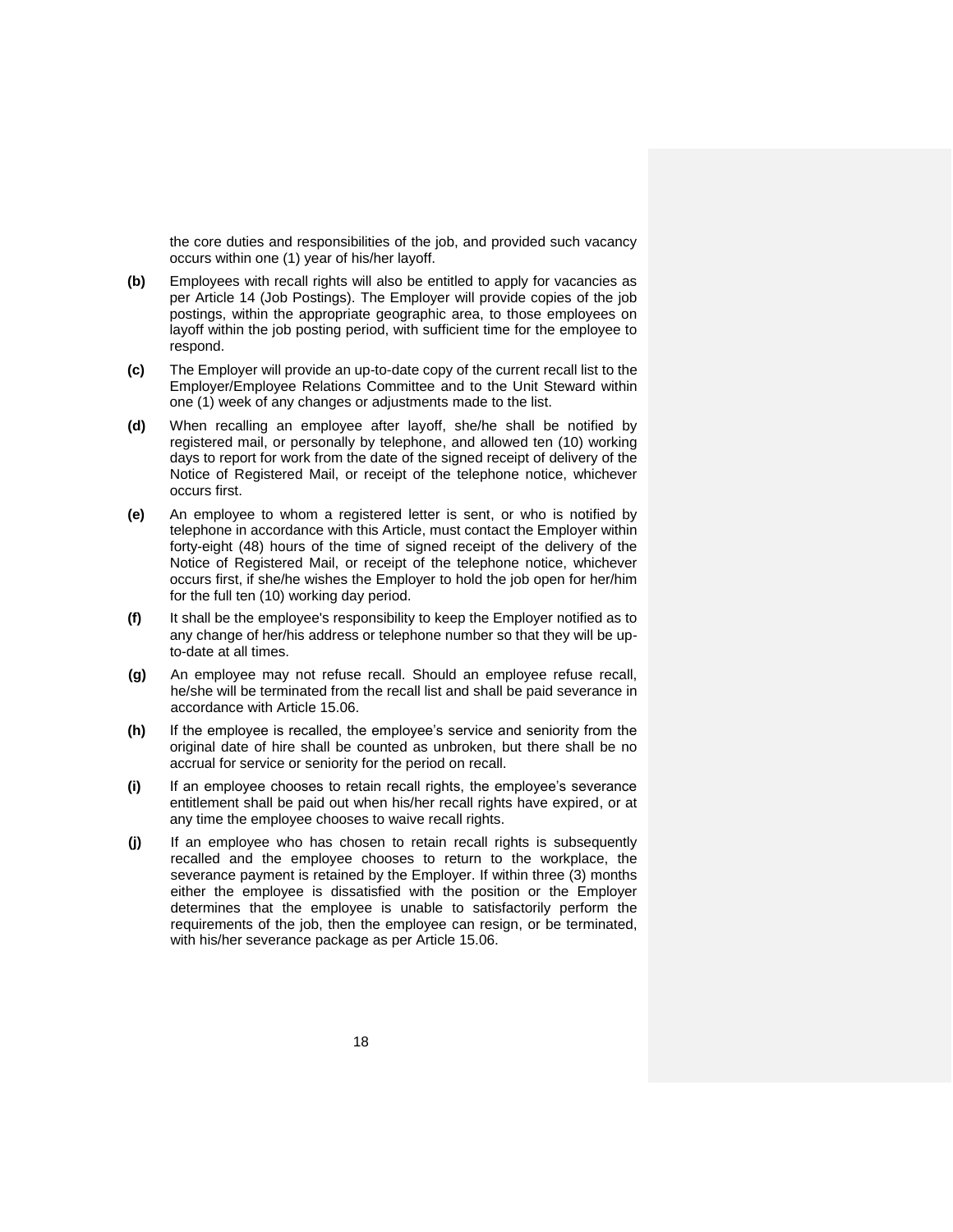the core duties and responsibilities of the job, and provided such vacancy occurs within one (1) year of his/her layoff.

- **(b)** Employees with recall rights will also be entitled to apply for vacancies as per Article 14 (Job Postings). The Employer will provide copies of the job postings, within the appropriate geographic area, to those employees on layoff within the job posting period, with sufficient time for the employee to respond.
- **(c)** The Employer will provide an up-to-date copy of the current recall list to the Employer/Employee Relations Committee and to the Unit Steward within one (1) week of any changes or adjustments made to the list.
- **(d)** When recalling an employee after layoff, she/he shall be notified by registered mail, or personally by telephone, and allowed ten (10) working days to report for work from the date of the signed receipt of delivery of the Notice of Registered Mail, or receipt of the telephone notice, whichever occurs first.
- **(e)** An employee to whom a registered letter is sent, or who is notified by telephone in accordance with this Article, must contact the Employer within forty-eight (48) hours of the time of signed receipt of the delivery of the Notice of Registered Mail, or receipt of the telephone notice, whichever occurs first, if she/he wishes the Employer to hold the job open for her/him for the full ten (10) working day period.
- **(f)** It shall be the employee's responsibility to keep the Employer notified as to any change of her/his address or telephone number so that they will be upto-date at all times.
- **(g)** An employee may not refuse recall. Should an employee refuse recall, he/she will be terminated from the recall list and shall be paid severance in accordance with Article 15.06.
- **(h)** If the employee is recalled, the employee's service and seniority from the original date of hire shall be counted as unbroken, but there shall be no accrual for service or seniority for the period on recall.
- **(i)** If an employee chooses to retain recall rights, the employee's severance entitlement shall be paid out when his/her recall rights have expired, or at any time the employee chooses to waive recall rights.
- **(j)** If an employee who has chosen to retain recall rights is subsequently recalled and the employee chooses to return to the workplace, the severance payment is retained by the Employer. If within three (3) months either the employee is dissatisfied with the position or the Employer determines that the employee is unable to satisfactorily perform the requirements of the job, then the employee can resign, or be terminated, with his/her severance package as per Article 15.06.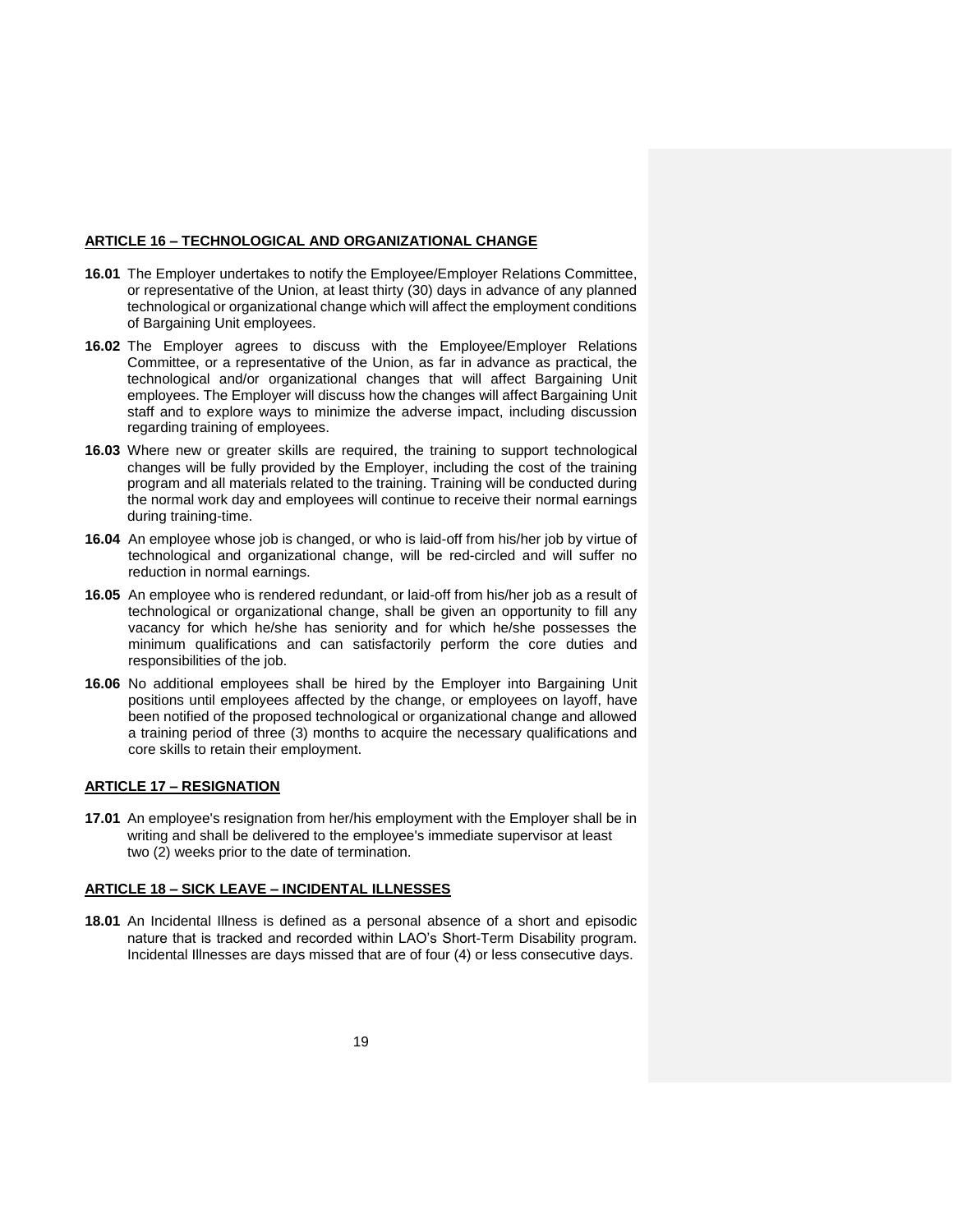#### <span id="page-21-0"></span>**ARTICLE 16 – TECHNOLOGICAL AND ORGANIZATIONAL CHANGE**

- **16.01** The Employer undertakes to notify the Employee/Employer Relations Committee, or representative of the Union, at least thirty (30) days in advance of any planned technological or organizational change which will affect the employment conditions of Bargaining Unit employees.
- **16.02** The Employer agrees to discuss with the Employee/Employer Relations Committee, or a representative of the Union, as far in advance as practical, the technological and/or organizational changes that will affect Bargaining Unit employees. The Employer will discuss how the changes will affect Bargaining Unit staff and to explore ways to minimize the adverse impact, including discussion regarding training of employees.
- **16.03** Where new or greater skills are required, the training to support technological changes will be fully provided by the Employer, including the cost of the training program and all materials related to the training. Training will be conducted during the normal work day and employees will continue to receive their normal earnings during training-time.
- **16.04** An employee whose job is changed, or who is laid-off from his/her job by virtue of technological and organizational change, will be red-circled and will suffer no reduction in normal earnings.
- **16.05** An employee who is rendered redundant, or laid-off from his/her job as a result of technological or organizational change, shall be given an opportunity to fill any vacancy for which he/she has seniority and for which he/she possesses the minimum qualifications and can satisfactorily perform the core duties and responsibilities of the job.
- **16.06** No additional employees shall be hired by the Employer into Bargaining Unit positions until employees affected by the change, or employees on layoff, have been notified of the proposed technological or organizational change and allowed a training period of three (3) months to acquire the necessary qualifications and core skills to retain their employment.

## <span id="page-21-1"></span>**ARTICLE 17 – RESIGNATION**

**17.01** An employee's resignation from her/his employment with the Employer shall be in writing and shall be delivered to the employee's immediate supervisor at least two (2) weeks prior to the date of termination.

#### <span id="page-21-2"></span>**ARTICLE 18 – SICK LEAVE – INCIDENTAL ILLNESSES**

**18.01** An Incidental Illness is defined as a personal absence of a short and episodic nature that is tracked and recorded within LAO's Short-Term Disability program. Incidental Illnesses are days missed that are of four (4) or less consecutive days.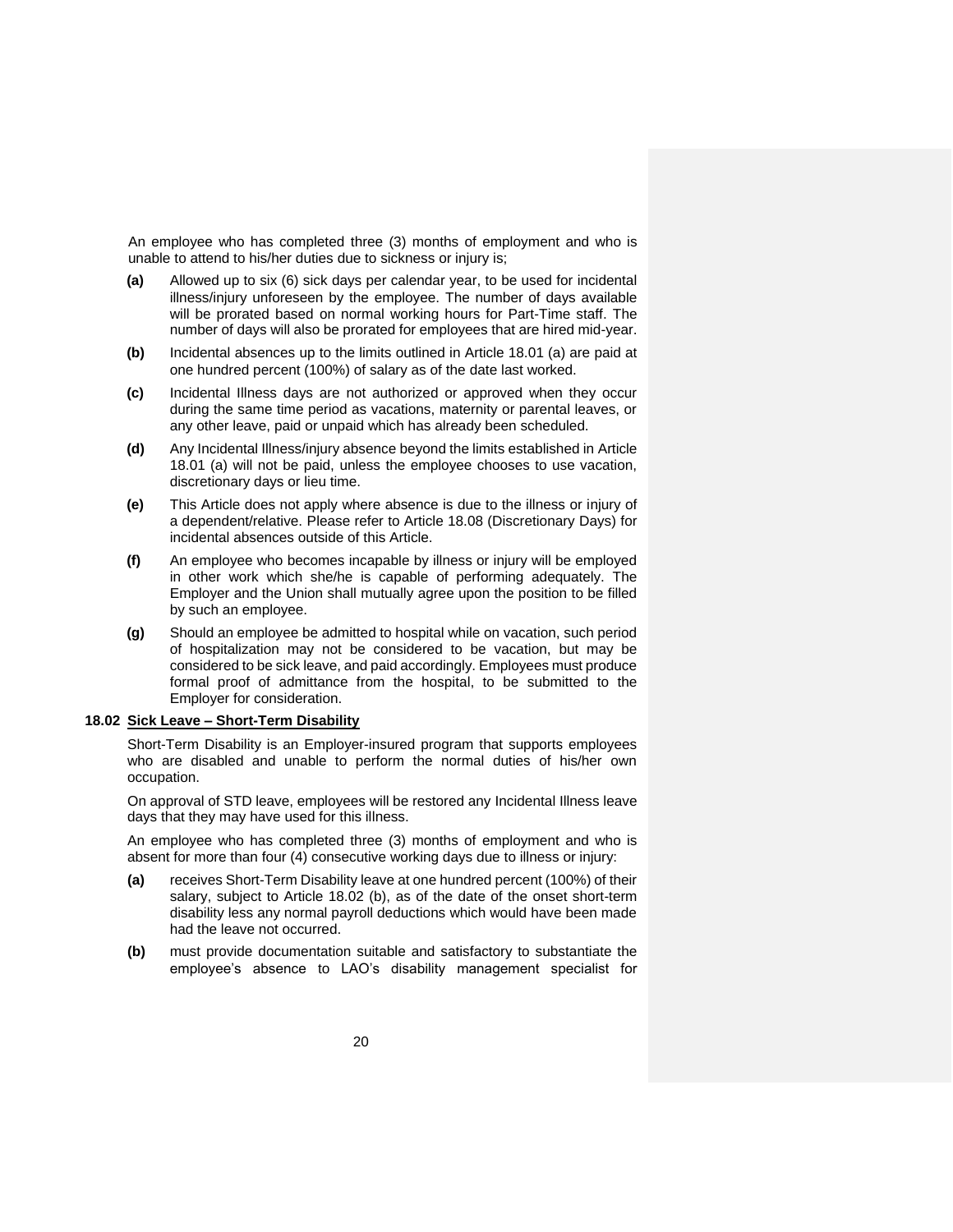An employee who has completed three (3) months of employment and who is unable to attend to his/her duties due to sickness or injury is;

- **(a)** Allowed up to six (6) sick days per calendar year, to be used for incidental illness/injury unforeseen by the employee. The number of days available will be prorated based on normal working hours for Part-Time staff. The number of days will also be prorated for employees that are hired mid-year.
- **(b)** Incidental absences up to the limits outlined in Article 18.01 (a) are paid at one hundred percent (100%) of salary as of the date last worked.
- **(c)** Incidental Illness days are not authorized or approved when they occur during the same time period as vacations, maternity or parental leaves, or any other leave, paid or unpaid which has already been scheduled.
- **(d)** Any Incidental Illness/injury absence beyond the limits established in Article 18.01 (a) will not be paid, unless the employee chooses to use vacation, discretionary days or lieu time.
- **(e)** This Article does not apply where absence is due to the illness or injury of a dependent/relative. Please refer to Article 18.08 (Discretionary Days) for incidental absences outside of this Article.
- **(f)** An employee who becomes incapable by illness or injury will be employed in other work which she/he is capable of performing adequately. The Employer and the Union shall mutually agree upon the position to be filled by such an employee.
- **(g)** Should an employee be admitted to hospital while on vacation, such period of hospitalization may not be considered to be vacation, but may be considered to be sick leave, and paid accordingly. Employees must produce formal proof of admittance from the hospital, to be submitted to the Employer for consideration.

#### **18.02 Sick Leave – Short-Term Disability**

Short-Term Disability is an Employer-insured program that supports employees who are disabled and unable to perform the normal duties of his/her own occupation.

On approval of STD leave, employees will be restored any Incidental Illness leave days that they may have used for this illness.

An employee who has completed three (3) months of employment and who is absent for more than four (4) consecutive working days due to illness or injury:

- **(a)** receives Short-Term Disability leave at one hundred percent (100%) of their salary, subject to Article 18.02 (b), as of the date of the onset short-term disability less any normal payroll deductions which would have been made had the leave not occurred.
- **(b)** must provide documentation suitable and satisfactory to substantiate the employee's absence to LAO's disability management specialist for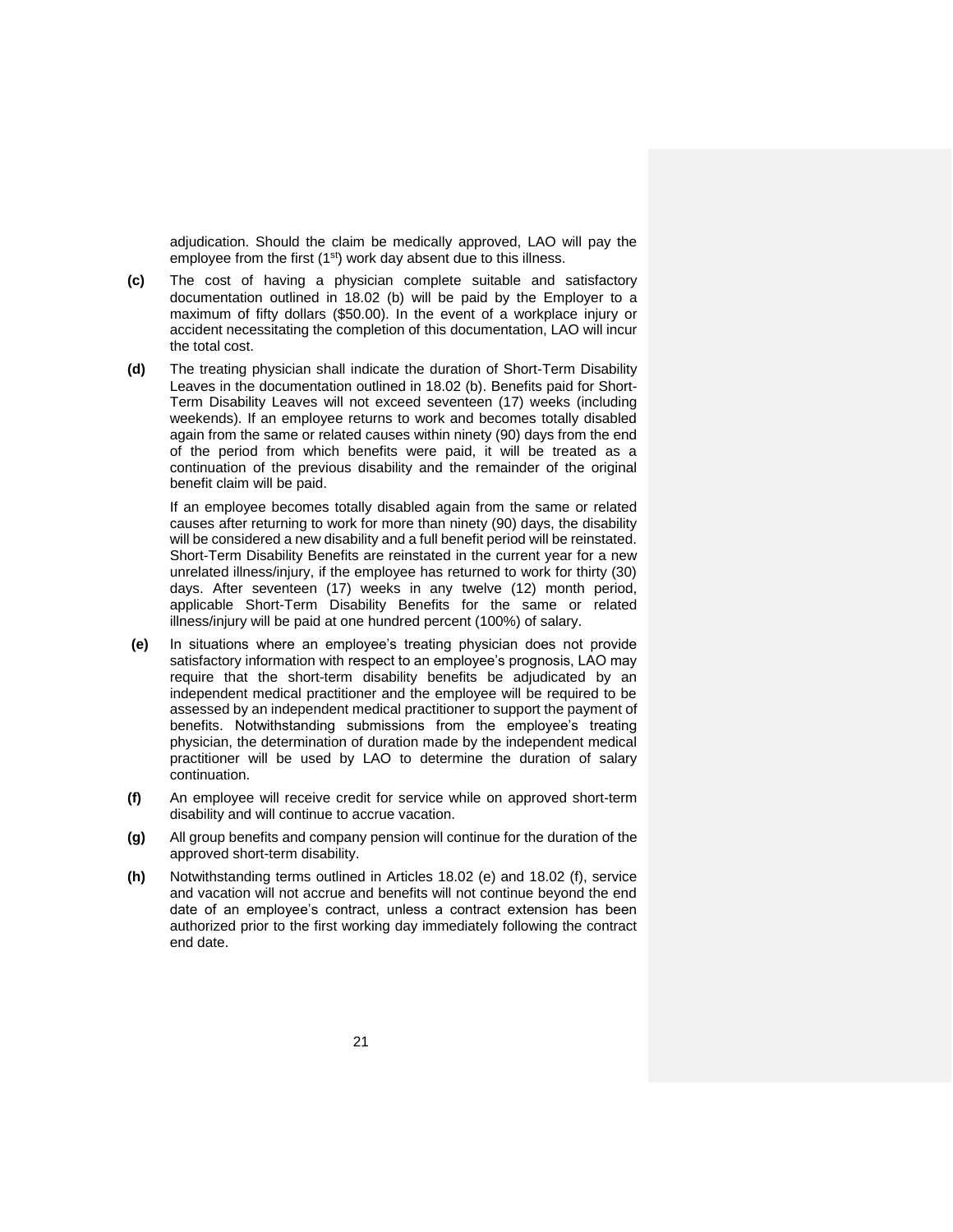adjudication. Should the claim be medically approved, LAO will pay the employee from the first (1<sup>st</sup>) work day absent due to this illness.

- **(c)** The cost of having a physician complete suitable and satisfactory documentation outlined in 18.02 (b) will be paid by the Employer to a maximum of fifty dollars (\$50.00). In the event of a workplace injury or accident necessitating the completion of this documentation, LAO will incur the total cost.
- **(d)** The treating physician shall indicate the duration of Short-Term Disability Leaves in the documentation outlined in 18.02 (b). Benefits paid for Short-Term Disability Leaves will not exceed seventeen (17) weeks (including weekends). If an employee returns to work and becomes totally disabled again from the same or related causes within ninety (90) days from the end of the period from which benefits were paid, it will be treated as a continuation of the previous disability and the remainder of the original benefit claim will be paid.

If an employee becomes totally disabled again from the same or related causes after returning to work for more than ninety (90) days, the disability will be considered a new disability and a full benefit period will be reinstated. Short-Term Disability Benefits are reinstated in the current year for a new unrelated illness/injury, if the employee has returned to work for thirty (30) days. After seventeen (17) weeks in any twelve (12) month period, applicable Short-Term Disability Benefits for the same or related illness/injury will be paid at one hundred percent (100%) of salary.

- **(e)** In situations where an employee's treating physician does not provide satisfactory information with respect to an employee's prognosis, LAO may require that the short-term disability benefits be adjudicated by an independent medical practitioner and the employee will be required to be assessed by an independent medical practitioner to support the payment of benefits. Notwithstanding submissions from the employee's treating physician, the determination of duration made by the independent medical practitioner will be used by LAO to determine the duration of salary continuation.
- **(f)** An employee will receive credit for service while on approved short-term disability and will continue to accrue vacation.
- **(g)** All group benefits and company pension will continue for the duration of the approved short-term disability.
- **(h)** Notwithstanding terms outlined in Articles 18.02 (e) and 18.02 (f), service and vacation will not accrue and benefits will not continue beyond the end date of an employee's contract, unless a contract extension has been authorized prior to the first working day immediately following the contract end date.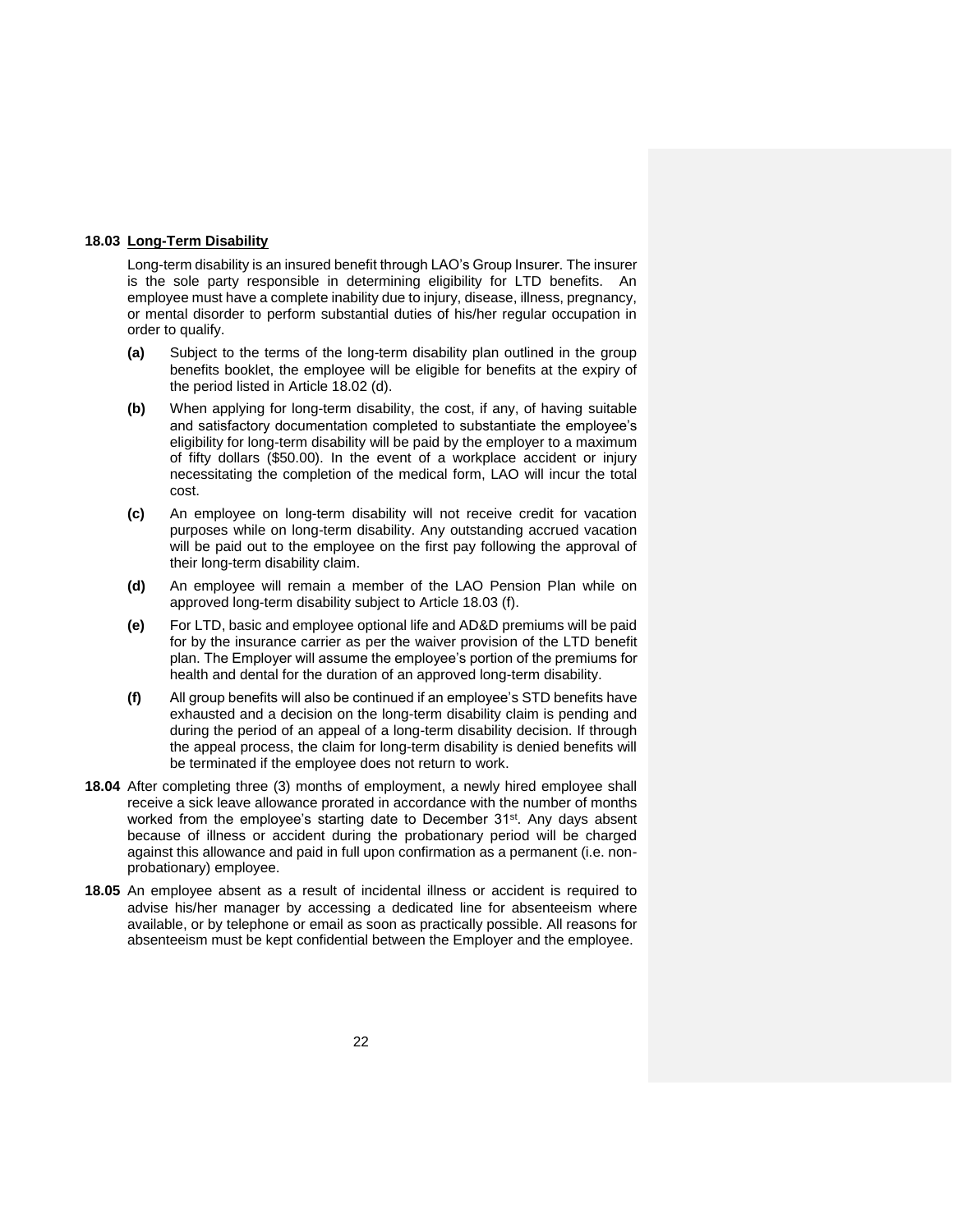#### **18.03 Long-Term Disability**

Long-term disability is an insured benefit through LAO's Group Insurer. The insurer is the sole party responsible in determining eligibility for LTD benefits. An employee must have a complete inability due to injury, disease, illness, pregnancy, or mental disorder to perform substantial duties of his/her regular occupation in order to qualify.

- **(a)** Subject to the terms of the long-term disability plan outlined in the group benefits booklet, the employee will be eligible for benefits at the expiry of the period listed in Article 18.02 (d).
- **(b)** When applying for long-term disability, the cost, if any, of having suitable and satisfactory documentation completed to substantiate the employee's eligibility for long-term disability will be paid by the employer to a maximum of fifty dollars (\$50.00). In the event of a workplace accident or injury necessitating the completion of the medical form, LAO will incur the total cost.
- **(c)** An employee on long-term disability will not receive credit for vacation purposes while on long-term disability. Any outstanding accrued vacation will be paid out to the employee on the first pay following the approval of their long-term disability claim.
- **(d)** An employee will remain a member of the LAO Pension Plan while on approved long-term disability subject to Article 18.03 (f).
- **(e)** For LTD, basic and employee optional life and AD&D premiums will be paid for by the insurance carrier as per the waiver provision of the LTD benefit plan. The Employer will assume the employee's portion of the premiums for health and dental for the duration of an approved long-term disability.
- **(f)** All group benefits will also be continued if an employee's STD benefits have exhausted and a decision on the long-term disability claim is pending and during the period of an appeal of a long-term disability decision. If through the appeal process, the claim for long-term disability is denied benefits will be terminated if the employee does not return to work.
- **18.04** After completing three (3) months of employment, a newly hired employee shall receive a sick leave allowance prorated in accordance with the number of months worked from the employee's starting date to December 31<sup>st</sup>. Any days absent because of illness or accident during the probationary period will be charged against this allowance and paid in full upon confirmation as a permanent (i.e. nonprobationary) employee.
- **18.05** An employee absent as a result of incidental illness or accident is required to advise his/her manager by accessing a dedicated line for absenteeism where available, or by telephone or email as soon as practically possible. All reasons for absenteeism must be kept confidential between the Employer and the employee.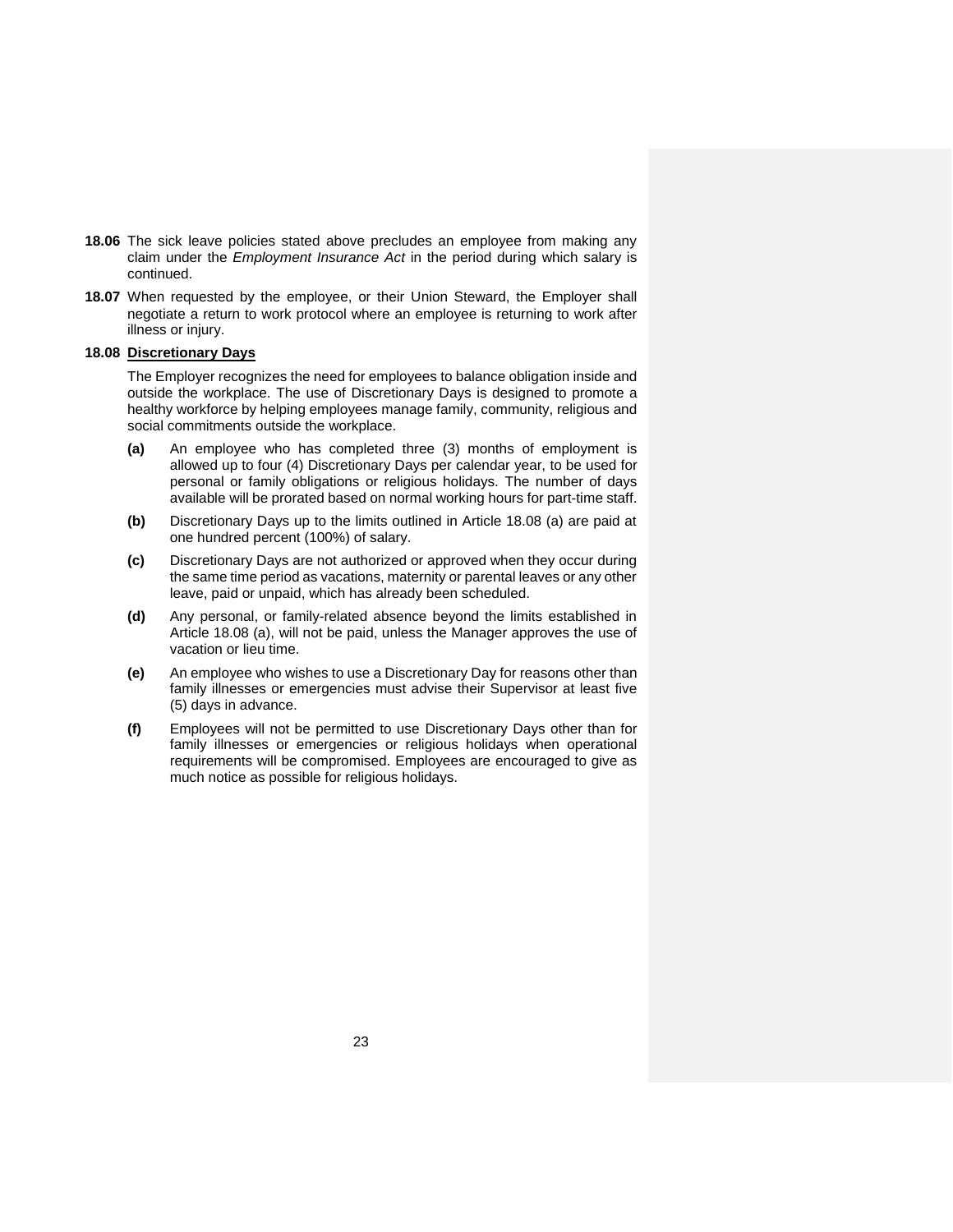- **18.06** The sick leave policies stated above precludes an employee from making any claim under the *Employment Insurance Act* in the period during which salary is continued.
- **18.07** When requested by the employee, or their Union Steward, the Employer shall negotiate a return to work protocol where an employee is returning to work after illness or injury.

#### **18.08 Discretionary Days**

The Employer recognizes the need for employees to balance obligation inside and outside the workplace. The use of Discretionary Days is designed to promote a healthy workforce by helping employees manage family, community, religious and social commitments outside the workplace.

- **(a)** An employee who has completed three (3) months of employment is allowed up to four (4) Discretionary Days per calendar year, to be used for personal or family obligations or religious holidays. The number of days available will be prorated based on normal working hours for part-time staff.
- **(b)** Discretionary Days up to the limits outlined in Article 18.08 (a) are paid at one hundred percent (100%) of salary.
- **(c)** Discretionary Days are not authorized or approved when they occur during the same time period as vacations, maternity or parental leaves or any other leave, paid or unpaid, which has already been scheduled.
- **(d)** Any personal, or family-related absence beyond the limits established in Article 18.08 (a), will not be paid, unless the Manager approves the use of vacation or lieu time.
- **(e)** An employee who wishes to use a Discretionary Day for reasons other than family illnesses or emergencies must advise their Supervisor at least five (5) days in advance.
- **(f)** Employees will not be permitted to use Discretionary Days other than for family illnesses or emergencies or religious holidays when operational requirements will be compromised. Employees are encouraged to give as much notice as possible for religious holidays.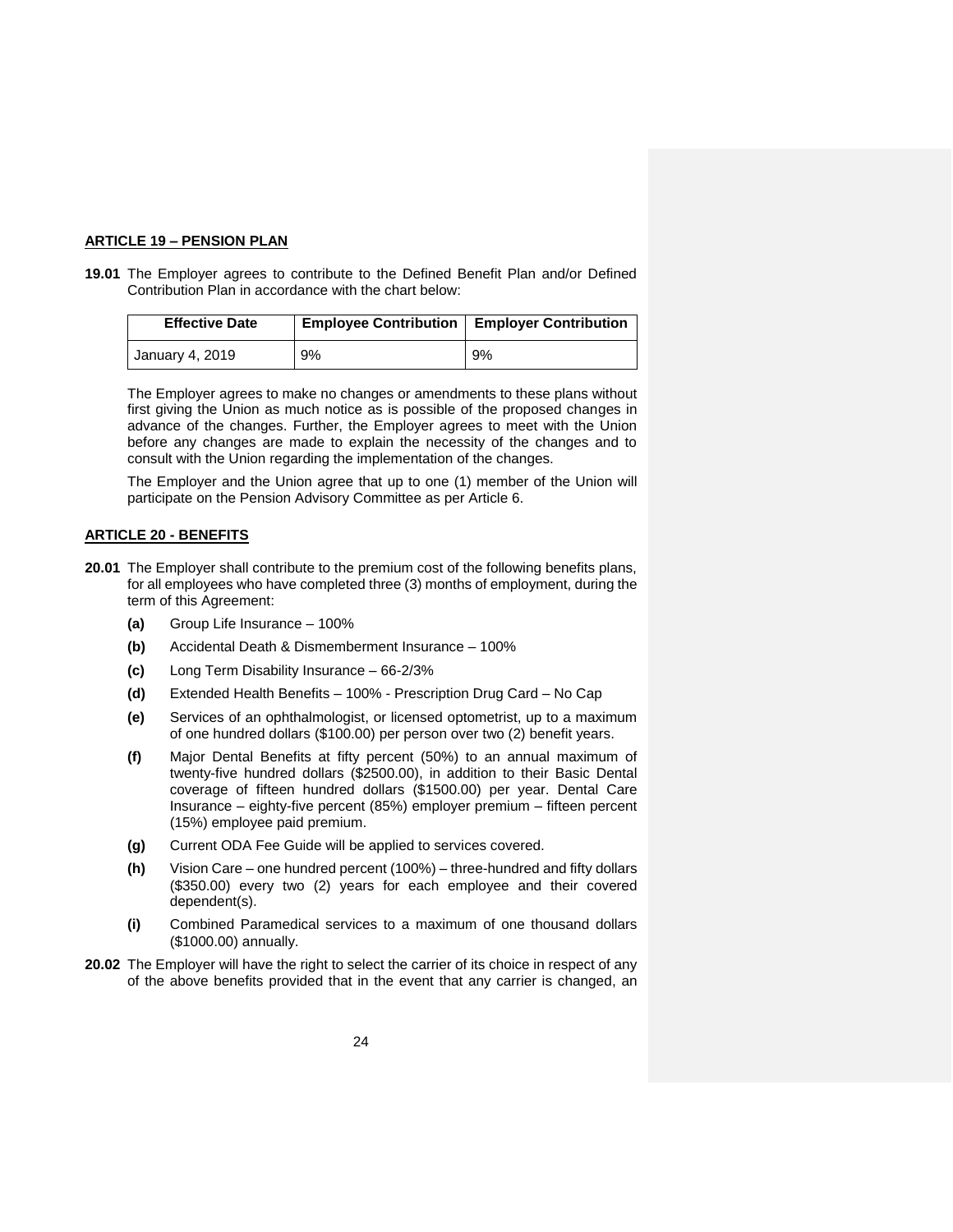#### <span id="page-26-0"></span>**ARTICLE 19 – PENSION PLAN**

**19.01** The Employer agrees to contribute to the Defined Benefit Plan and/or Defined Contribution Plan in accordance with the chart below:

| <b>Effective Date</b> | <b>Employee Contribution   Employer Contribution</b> |    |
|-----------------------|------------------------------------------------------|----|
| January 4, 2019       | 9%                                                   | 9% |

The Employer agrees to make no changes or amendments to these plans without first giving the Union as much notice as is possible of the proposed changes in advance of the changes. Further, the Employer agrees to meet with the Union before any changes are made to explain the necessity of the changes and to consult with the Union regarding the implementation of the changes.

The Employer and the Union agree that up to one (1) member of the Union will participate on the Pension Advisory Committee as per Article 6.

#### <span id="page-26-1"></span>**ARTICLE 20 - BENEFITS**

- **20.01** The Employer shall contribute to the premium cost of the following benefits plans, for all employees who have completed three (3) months of employment, during the term of this Agreement:
	- **(a)** Group Life Insurance 100%
	- **(b)** Accidental Death & Dismemberment Insurance 100%
	- **(c)** Long Term Disability Insurance 66-2/3%
	- **(d)** Extended Health Benefits 100% Prescription Drug Card No Cap
	- **(e)** Services of an ophthalmologist, or licensed optometrist, up to a maximum of one hundred dollars (\$100.00) per person over two (2) benefit years.
	- **(f)** Major Dental Benefits at fifty percent (50%) to an annual maximum of twenty-five hundred dollars (\$2500.00), in addition to their Basic Dental coverage of fifteen hundred dollars (\$1500.00) per year. Dental Care Insurance – eighty-five percent (85%) employer premium – fifteen percent (15%) employee paid premium.
	- **(g)** Current ODA Fee Guide will be applied to services covered.
	- **(h)** Vision Care one hundred percent (100%) three-hundred and fifty dollars (\$350.00) every two (2) years for each employee and their covered dependent(s).
	- **(i)** Combined Paramedical services to a maximum of one thousand dollars (\$1000.00) annually.
- **20.02** The Employer will have the right to select the carrier of its choice in respect of any of the above benefits provided that in the event that any carrier is changed, an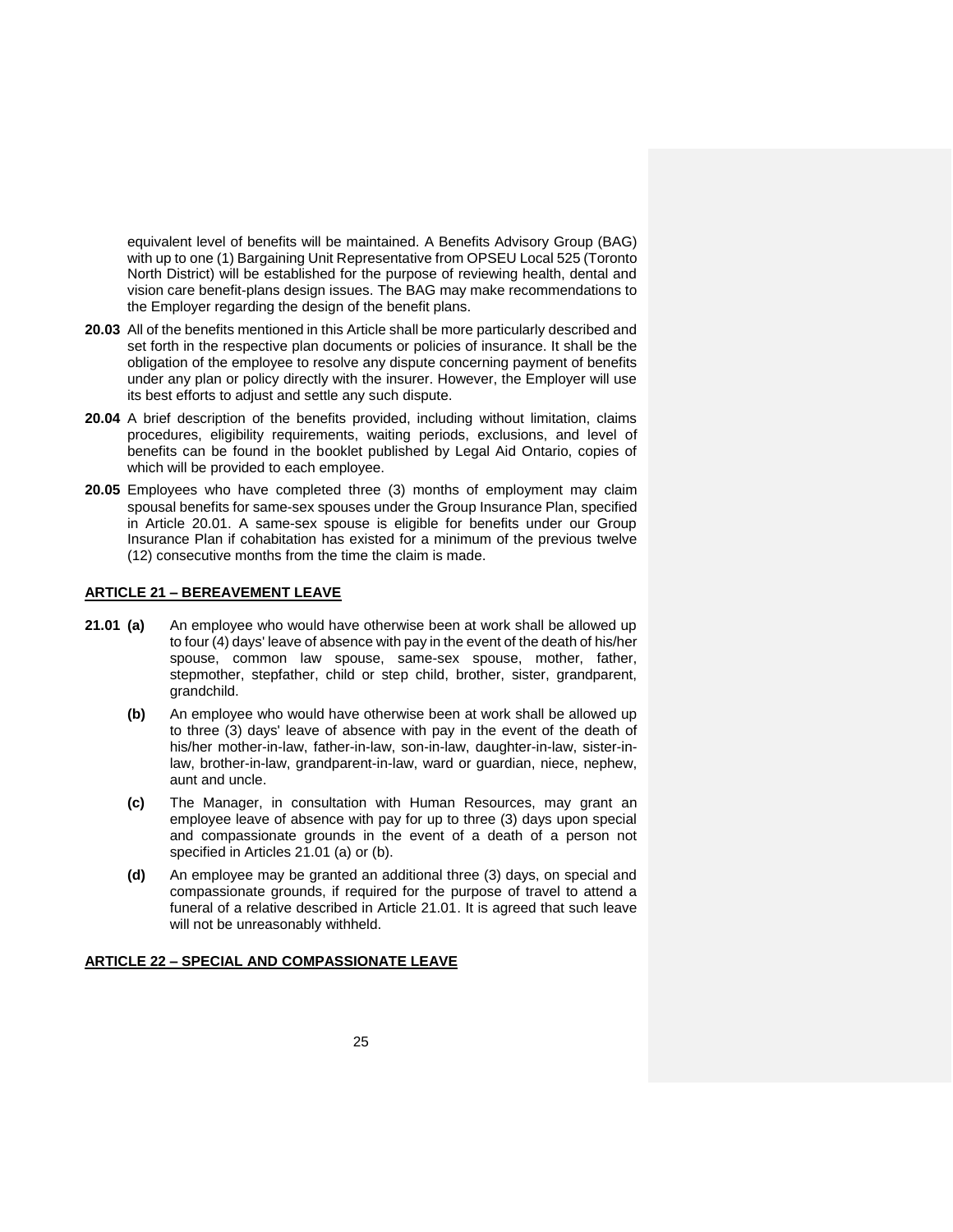equivalent level of benefits will be maintained. A Benefits Advisory Group (BAG) with up to one (1) Bargaining Unit Representative from OPSEU Local 525 (Toronto North District) will be established for the purpose of reviewing health, dental and vision care benefit-plans design issues. The BAG may make recommendations to the Employer regarding the design of the benefit plans.

- **20.03** All of the benefits mentioned in this Article shall be more particularly described and set forth in the respective plan documents or policies of insurance. It shall be the obligation of the employee to resolve any dispute concerning payment of benefits under any plan or policy directly with the insurer. However, the Employer will use its best efforts to adjust and settle any such dispute.
- **20.04** A brief description of the benefits provided, including without limitation, claims procedures, eligibility requirements, waiting periods, exclusions, and level of benefits can be found in the booklet published by Legal Aid Ontario, copies of which will be provided to each employee.
- **20.05** Employees who have completed three (3) months of employment may claim spousal benefits for same-sex spouses under the Group Insurance Plan, specified in Article 20.01. A same-sex spouse is eligible for benefits under our Group Insurance Plan if cohabitation has existed for a minimum of the previous twelve (12) consecutive months from the time the claim is made.

#### <span id="page-27-0"></span>**ARTICLE 21 – BEREAVEMENT LEAVE**

- **21.01 (a)** An employee who would have otherwise been at work shall be allowed up to four (4) days' leave of absence with pay in the event of the death of his/her spouse, common law spouse, same-sex spouse, mother, father, stepmother, stepfather, child or step child, brother, sister, grandparent, grandchild.
	- **(b)** An employee who would have otherwise been at work shall be allowed up to three (3) days' leave of absence with pay in the event of the death of his/her mother-in-law, father-in-law, son-in-law, daughter-in-law, sister-inlaw, brother-in-law, grandparent-in-law, ward or guardian, niece, nephew, aunt and uncle.
	- **(c)** The Manager, in consultation with Human Resources, may grant an employee leave of absence with pay for up to three (3) days upon special and compassionate grounds in the event of a death of a person not specified in Articles 21.01 (a) or (b).
	- **(d)** An employee may be granted an additional three (3) days, on special and compassionate grounds, if required for the purpose of travel to attend a funeral of a relative described in Article 21.01. It is agreed that such leave will not be unreasonably withheld.

#### <span id="page-27-1"></span>**ARTICLE 22 – SPECIAL AND COMPASSIONATE LEAVE**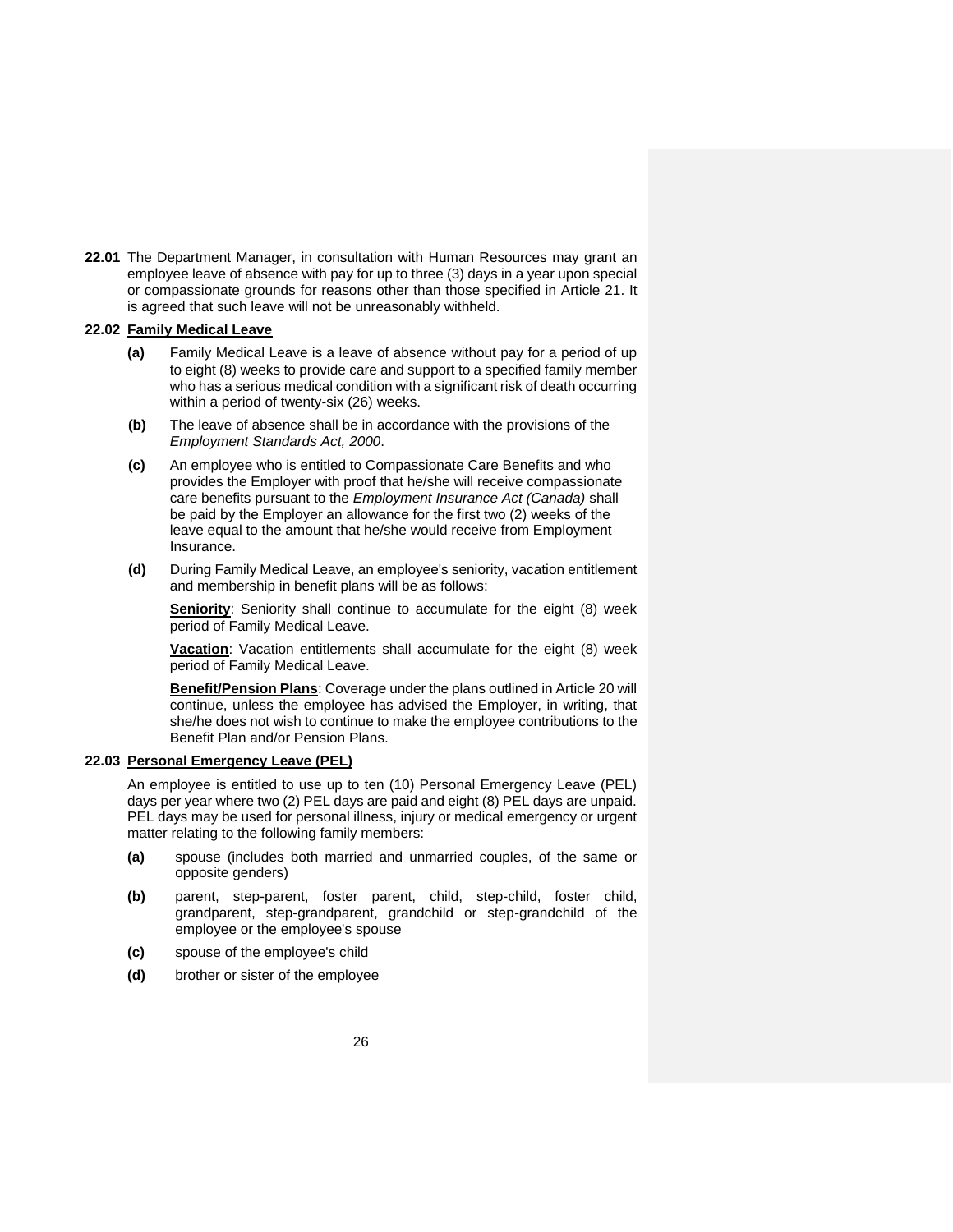**22.01** The Department Manager, in consultation with Human Resources may grant an employee leave of absence with pay for up to three (3) days in a year upon special or compassionate grounds for reasons other than those specified in Article 21. It is agreed that such leave will not be unreasonably withheld.

#### **22.02 Family Medical Leave**

- **(a)** Family Medical Leave is a leave of absence without pay for a period of up to eight (8) weeks to provide care and support to a specified family member who has a serious medical condition with a significant risk of death occurring within a period of twenty-six (26) weeks.
- **(b)** The leave of absence shall be in accordance with the provisions of the *Employment Standards Act, 2000*.
- **(c)** An employee who is entitled to Compassionate Care Benefits and who provides the Employer with proof that he/she will receive compassionate care benefits pursuant to the *Employment Insurance Act (Canada)* shall be paid by the Employer an allowance for the first two (2) weeks of the leave equal to the amount that he/she would receive from Employment Insurance.
- **(d)** During Family Medical Leave, an employee's seniority, vacation entitlement and membership in benefit plans will be as follows:

**Seniority:** Seniority shall continue to accumulate for the eight (8) week period of Family Medical Leave.

**Vacation**: Vacation entitlements shall accumulate for the eight (8) week period of Family Medical Leave.

**Benefit/Pension Plans**: Coverage under the plans outlined in Article 20 will continue, unless the employee has advised the Employer, in writing, that she/he does not wish to continue to make the employee contributions to the Benefit Plan and/or Pension Plans.

#### **22.03 Personal Emergency Leave (PEL)**

An employee is entitled to use up to ten (10) Personal Emergency Leave (PEL) days per year where two (2) PEL days are paid and eight (8) PEL days are unpaid. PEL days may be used for personal illness, injury or medical emergency or urgent matter relating to the following family members:

- **(a)** spouse (includes both married and unmarried couples, of the same or opposite genders)
- **(b)** parent, step-parent, foster parent, child, step-child, foster child, grandparent, step-grandparent, grandchild or step-grandchild of the employee or the employee's spouse
- **(c)** spouse of the employee's child
- **(d)** brother or sister of the employee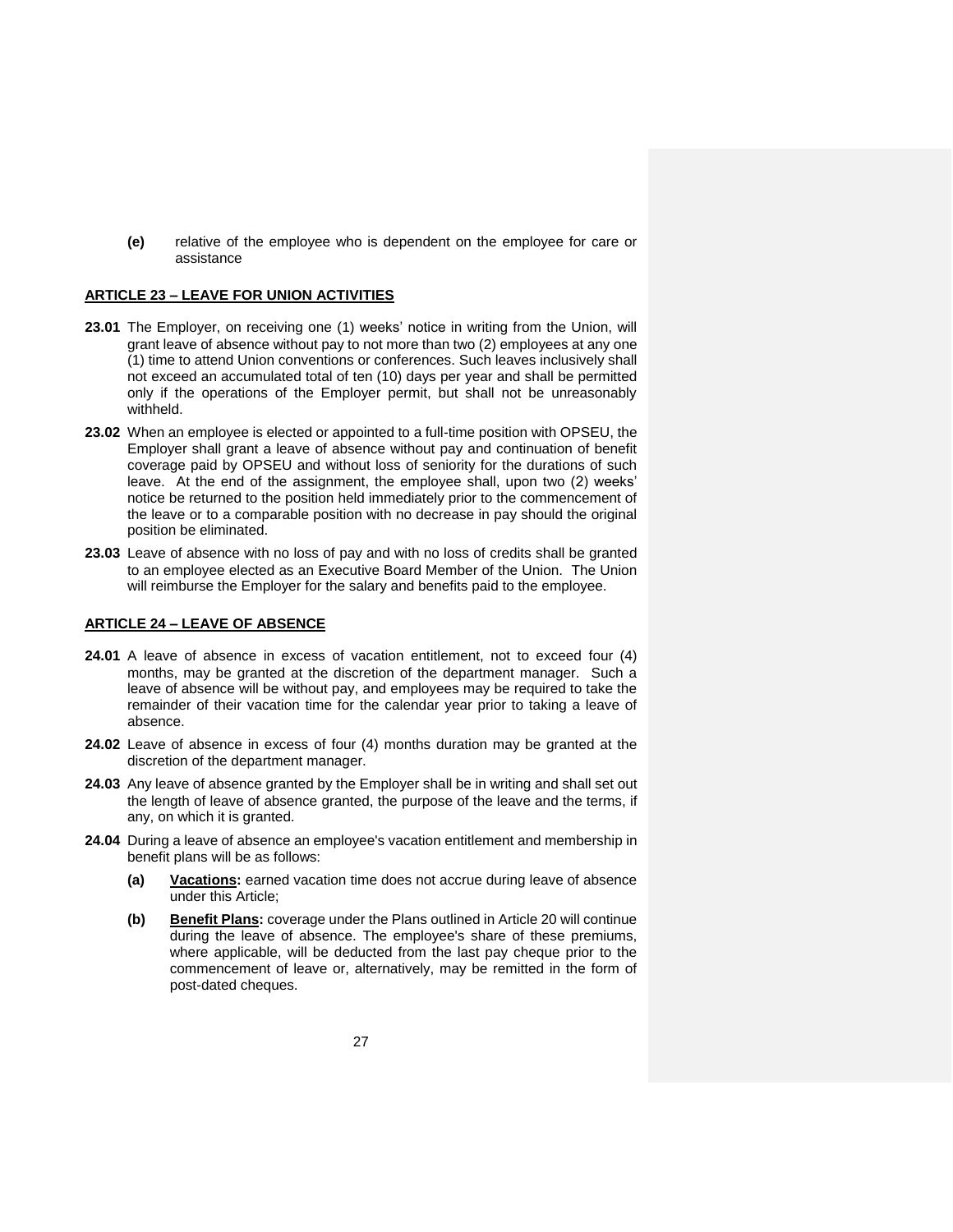**(e)** relative of the employee who is dependent on the employee for care or assistance

#### <span id="page-29-0"></span>**ARTICLE 23 – LEAVE FOR UNION ACTIVITIES**

- **23.01** The Employer, on receiving one (1) weeks' notice in writing from the Union, will grant leave of absence without pay to not more than two (2) employees at any one (1) time to attend Union conventions or conferences. Such leaves inclusively shall not exceed an accumulated total of ten (10) days per year and shall be permitted only if the operations of the Employer permit, but shall not be unreasonably withheld.
- **23.02** When an employee is elected or appointed to a full-time position with OPSEU, the Employer shall grant a leave of absence without pay and continuation of benefit coverage paid by OPSEU and without loss of seniority for the durations of such leave. At the end of the assignment, the employee shall, upon two (2) weeks' notice be returned to the position held immediately prior to the commencement of the leave or to a comparable position with no decrease in pay should the original position be eliminated.
- **23.03** Leave of absence with no loss of pay and with no loss of credits shall be granted to an employee elected as an Executive Board Member of the Union. The Union will reimburse the Employer for the salary and benefits paid to the employee.

#### <span id="page-29-1"></span>**ARTICLE 24 – LEAVE OF ABSENCE**

- **24.01** A leave of absence in excess of vacation entitlement, not to exceed four (4) months, may be granted at the discretion of the department manager. Such a leave of absence will be without pay, and employees may be required to take the remainder of their vacation time for the calendar year prior to taking a leave of absence.
- **24.02** Leave of absence in excess of four (4) months duration may be granted at the discretion of the department manager.
- **24.03** Any leave of absence granted by the Employer shall be in writing and shall set out the length of leave of absence granted, the purpose of the leave and the terms, if any, on which it is granted.
- **24.04** During a leave of absence an employee's vacation entitlement and membership in benefit plans will be as follows:
	- **(a) Vacations:** earned vacation time does not accrue during leave of absence under this Article;
	- **(b) Benefit Plans:** coverage under the Plans outlined in Article 20 will continue during the leave of absence. The employee's share of these premiums, where applicable, will be deducted from the last pay cheque prior to the commencement of leave or, alternatively, may be remitted in the form of post-dated cheques.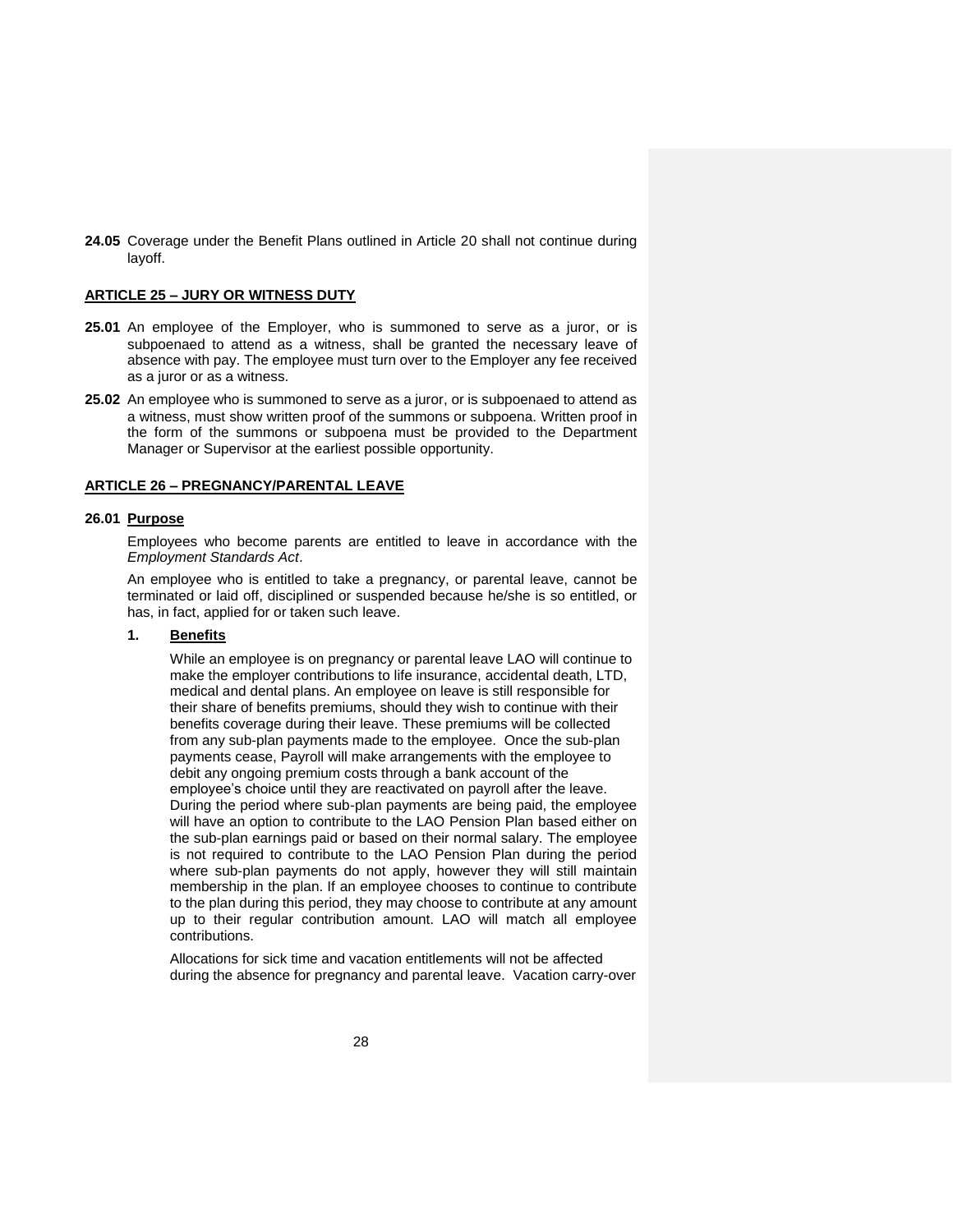**24.05** Coverage under the Benefit Plans outlined in Article 20 shall not continue during layoff.

#### <span id="page-30-0"></span>**ARTICLE 25 – JURY OR WITNESS DUTY**

- **25.01** An employee of the Employer, who is summoned to serve as a juror, or is subpoenaed to attend as a witness, shall be granted the necessary leave of absence with pay. The employee must turn over to the Employer any fee received as a juror or as a witness.
- **25.02** An employee who is summoned to serve as a juror, or is subpoenaed to attend as a witness, must show written proof of the summons or subpoena. Written proof in the form of the summons or subpoena must be provided to the Department Manager or Supervisor at the earliest possible opportunity.

#### <span id="page-30-1"></span>**ARTICLE 26 – PREGNANCY/PARENTAL LEAVE**

#### **26.01 Purpose**

Employees who become parents are entitled to leave in accordance with the *Employment Standards Act*.

An employee who is entitled to take a pregnancy, or parental leave, cannot be terminated or laid off, disciplined or suspended because he/she is so entitled, or has, in fact, applied for or taken such leave.

#### **1. Benefits**

While an employee is on pregnancy or parental leave LAO will continue to make the employer contributions to life insurance, accidental death, LTD, medical and dental plans. An employee on leave is still responsible for their share of benefits premiums, should they wish to continue with their benefits coverage during their leave. These premiums will be collected from any sub-plan payments made to the employee. Once the sub-plan payments cease, Payroll will make arrangements with the employee to debit any ongoing premium costs through a bank account of the employee's choice until they are reactivated on payroll after the leave. During the period where sub-plan payments are being paid, the employee will have an option to contribute to the LAO Pension Plan based either on the sub-plan earnings paid or based on their normal salary. The employee is not required to contribute to the LAO Pension Plan during the period where sub-plan payments do not apply, however they will still maintain membership in the plan. If an employee chooses to continue to contribute to the plan during this period, they may choose to contribute at any amount up to their regular contribution amount. LAO will match all employee contributions.

Allocations for sick time and vacation entitlements will not be affected during the absence for pregnancy and parental leave. Vacation carry-over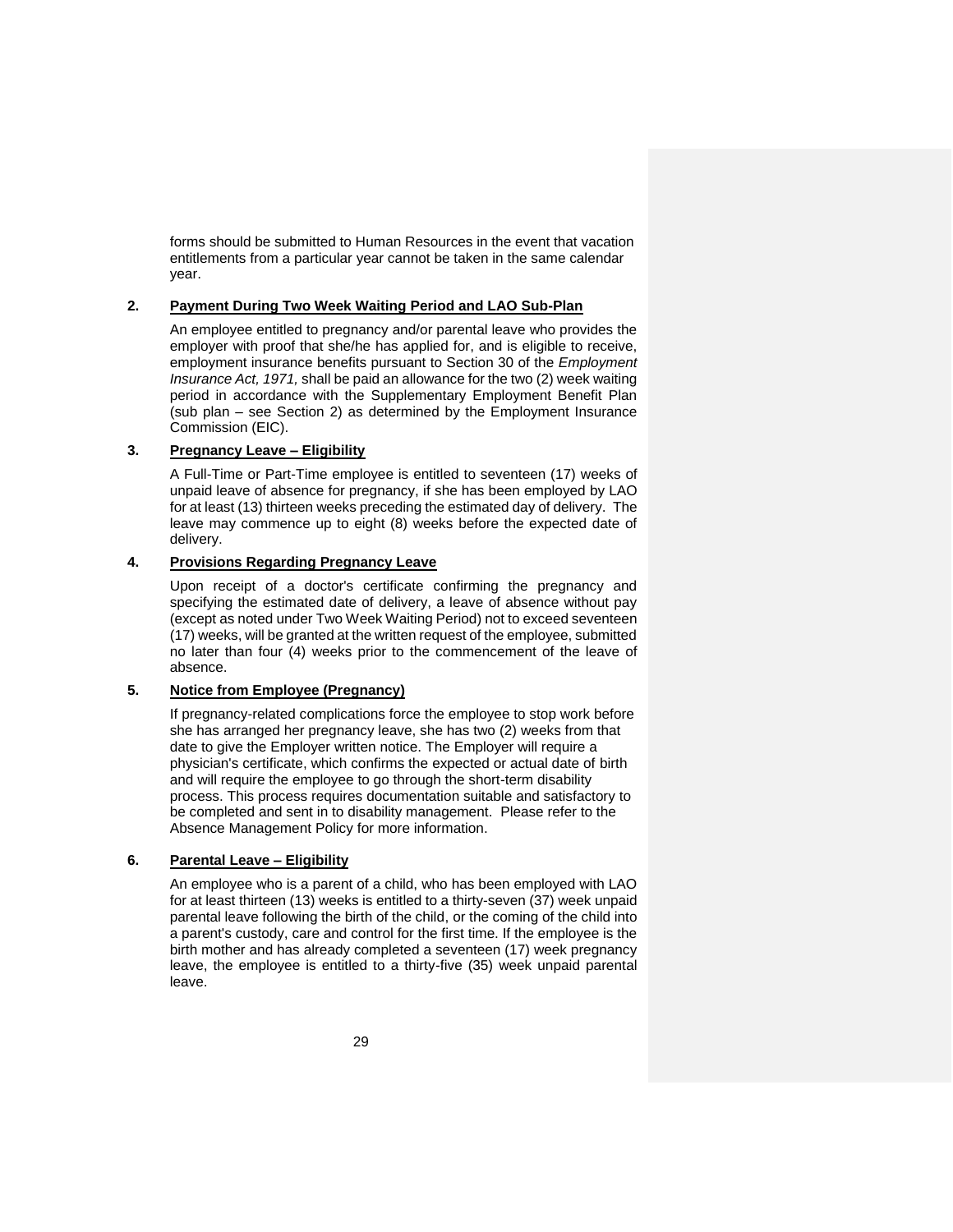forms should be submitted to Human Resources in the event that vacation entitlements from a particular year cannot be taken in the same calendar year.

#### **2. Payment During Two Week Waiting Period and LAO Sub-Plan**

An employee entitled to pregnancy and/or parental leave who provides the employer with proof that she/he has applied for, and is eligible to receive, employment insurance benefits pursuant to Section 30 of the *Employment Insurance Act, 1971,* shall be paid an allowance for the two (2) week waiting period in accordance with the Supplementary Employment Benefit Plan (sub plan – see Section 2) as determined by the Employment Insurance Commission (EIC).

#### **3. Pregnancy Leave – Eligibility**

A Full-Time or Part-Time employee is entitled to seventeen (17) weeks of unpaid leave of absence for pregnancy, if she has been employed by LAO for at least (13) thirteen weeks preceding the estimated day of delivery. The leave may commence up to eight (8) weeks before the expected date of delivery.

#### **4. Provisions Regarding Pregnancy Leave**

Upon receipt of a doctor's certificate confirming the pregnancy and specifying the estimated date of delivery, a leave of absence without pay (except as noted under [Two Week Waiting Period\)](http://thesource/Human_Resources/HR_Policies/parentalleave.asp?printable=1) not to exceed seventeen (17) weeks, will be granted at the written request of the employee, submitted no later than four (4) weeks prior to the commencement of the leave of absence.

#### **5. Notice from Employee (Pregnancy)**

If pregnancy-related complications force the employee to stop work before she has arranged her pregnancy leave, she has two (2) weeks from that date to give the Employer written notice. The Employer will require a physician's certificate, which confirms the expected or actual date of birth and will require the employee to go through the short-term disability process. This process requires documentation suitable and satisfactory to be completed and sent in to disability management. Please refer to the [Absence Management Policy](http://thesource.lao.on.ca/Human_Resources/HR_Policies/absencemanagement.asp#Absence Management Policy) for more information.

#### **6. Parental Leave – Eligibility**

An employee who is a parent of a child, who has been employed with LAO for at least thirteen (13) weeks is entitled to a thirty-seven (37) week unpaid parental leave following the birth of the child, or the coming of the child into a parent's custody, care and control for the first time. If the employee is the birth mother and has already completed a seventeen (17) week pregnancy leave, the employee is entitled to a thirty-five (35) week unpaid parental leave.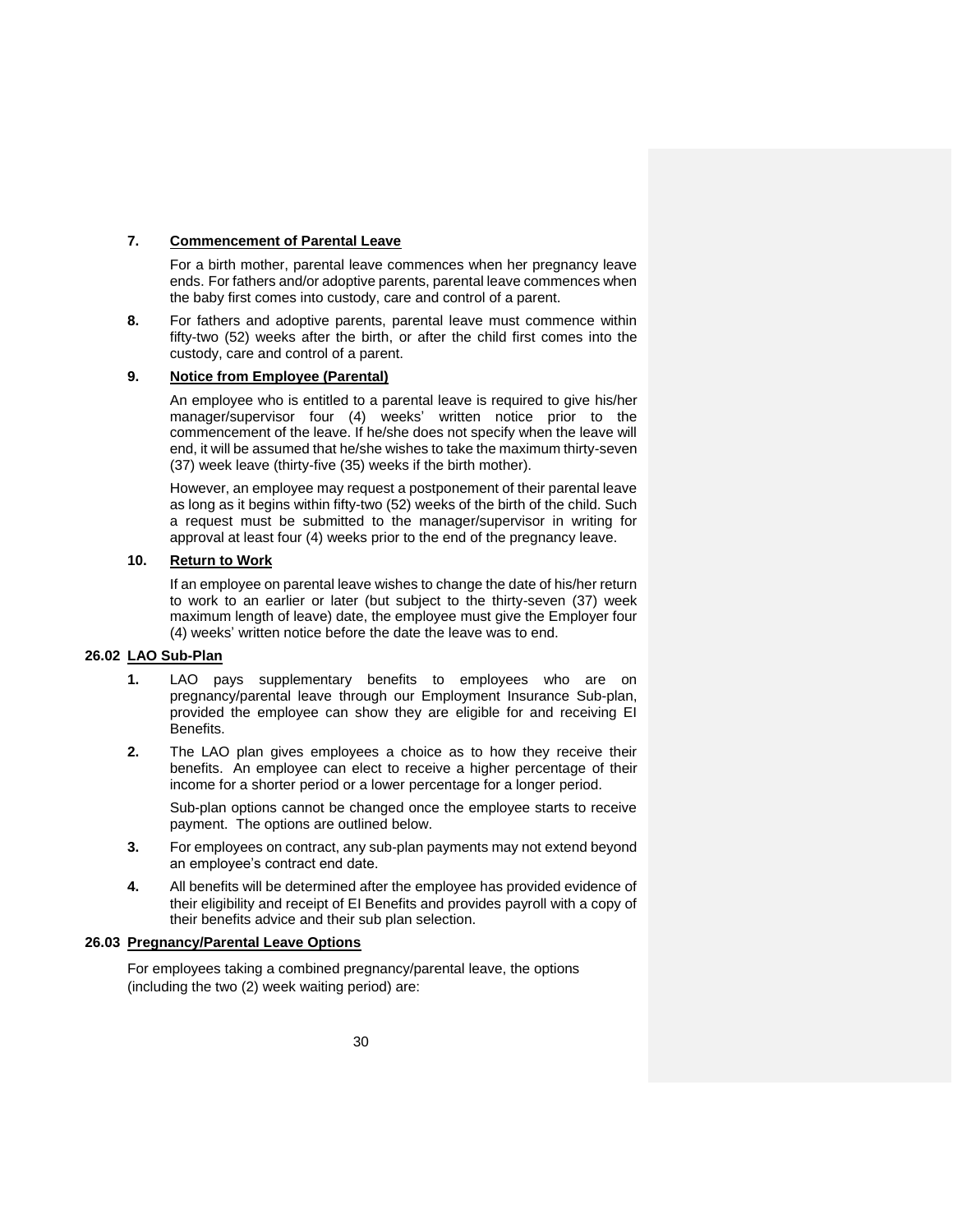#### **7. Commencement of Parental Leave**

For a birth mother, parental leave commences when her pregnancy leave ends. For fathers and/or adoptive parents, parental leave commences when the baby first comes into custody, care and control of a parent.

**8.** For fathers and adoptive parents, parental leave must commence within fifty-two (52) weeks after the birth, or after the child first comes into the custody, care and control of a parent.

### **9. Notice from Employee (Parental)**

An employee who is entitled to a parental leave is required to give his/her manager/supervisor four (4) weeks' written notice prior to the commencement of the leave. If he/she does not specify when the leave will end, it will be assumed that he/she wishes to take the maximum thirty-seven (37) week leave (thirty-five (35) weeks if the birth mother).

However, an employee may request a postponement of their parental leave as long as it begins within fifty-two (52) weeks of the birth of the child. Such a request must be submitted to the manager/supervisor in writing for approval at least four (4) weeks prior to the end of the pregnancy leave.

#### **10. Return to Work**

If an employee on parental leave wishes to change the date of his/her return to work to an earlier or later (but subject to the thirty-seven (37) week maximum length of leave) date, the employee must give the Employer four (4) weeks' written notice before the date the leave was to end.

#### **26.02 LAO Sub-Plan**

- **1.** LAO pays supplementary benefits to employees who are on pregnancy/parental leave through our Employment Insurance Sub-plan, provided the employee can show they are eligible for and receiving EI Benefits.
- **2.** The LAO plan gives employees a choice as to how they receive their benefits. An employee can elect to receive a higher percentage of their income for a shorter period or a lower percentage for a longer period.

Sub-plan options cannot be changed once the employee starts to receive payment. The options are outlined below.

- **3.** For employees on contract, any sub-plan payments may not extend beyond an employee's contract end date.
- **4.** All benefits will be determined after the employee has provided evidence of their eligibility and receipt of EI Benefits and provides payroll with a copy of their benefits advice and their sub plan selection.

## **26.03 Pregnancy/Parental Leave Options**

For employees taking a combined pregnancy/parental leave, the options (including the two (2) week waiting period) are: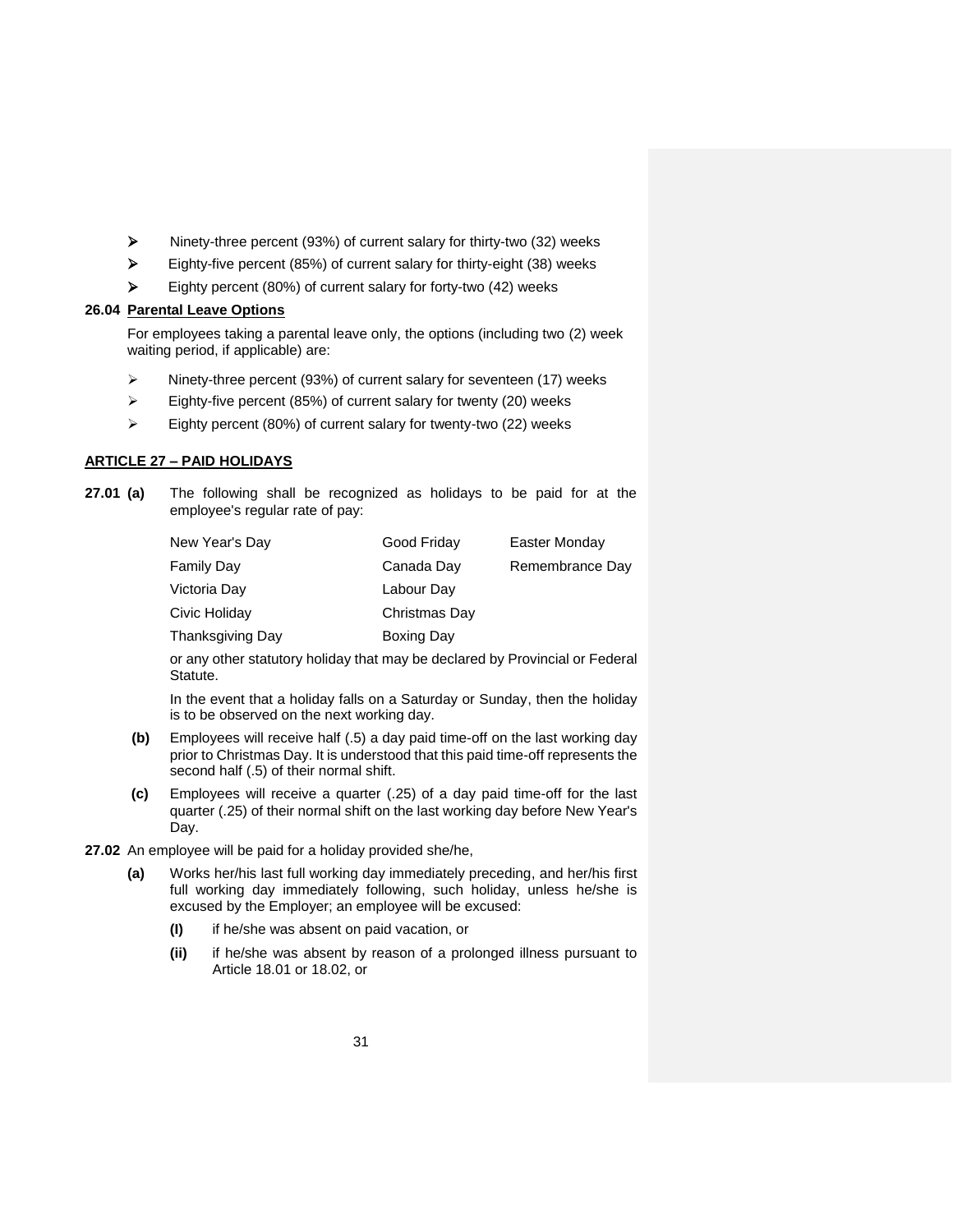- Ninety-three percent (93%) of current salary for thirty-two (32) weeks
- Eighty-five percent (85%) of current salary for thirty-eight (38) weeks
- $\triangleright$  Eighty percent (80%) of current salary for forty-two (42) weeks

#### **26.04 Parental Leave Options**

For employees taking a parental leave only, the options (including two (2) week waiting period, if applicable) are:

- $\triangleright$  Ninety-three percent (93%) of current salary for seventeen (17) weeks
- $\triangleright$  Eighty-five percent (85%) of current salary for twenty (20) weeks
- $\triangleright$  Eighty percent (80%) of current salary for twenty-two (22) weeks

#### <span id="page-33-0"></span>**ARTICLE 27 – PAID HOLIDAYS**

**27.01 (a)** The following shall be recognized as holidays to be paid for at the employee's regular rate of pay:

| New Year's Day   | Good Friday       | Easter Monday   |
|------------------|-------------------|-----------------|
| Family Day       | Canada Day        | Remembrance Day |
| Victoria Day     | Labour Day        |                 |
| Civic Holiday    | Christmas Day     |                 |
| Thanksgiving Day | <b>Boxing Day</b> |                 |

or any other statutory holiday that may be declared by Provincial or Federal Statute.

In the event that a holiday falls on a Saturday or Sunday, then the holiday is to be observed on the next working day.

- **(b)** Employees will receive half (.5) a day paid time-off on the last working day prior to Christmas Day. It is understood that this paid time-off represents the second half (.5) of their normal shift.
- **(c)** Employees will receive a quarter (.25) of a day paid time-off for the last quarter (.25) of their normal shift on the last working day before New Year's Day.
- **27.02** An employee will be paid for a holiday provided she/he,
	- **(a)** Works her/his last full working day immediately preceding, and her/his first full working day immediately following, such holiday, unless he/she is excused by the Employer; an employee will be excused:
		- **(I)** if he/she was absent on paid vacation, or
		- **(ii)** if he/she was absent by reason of a prolonged illness pursuant to Article 18.01 or 18.02, or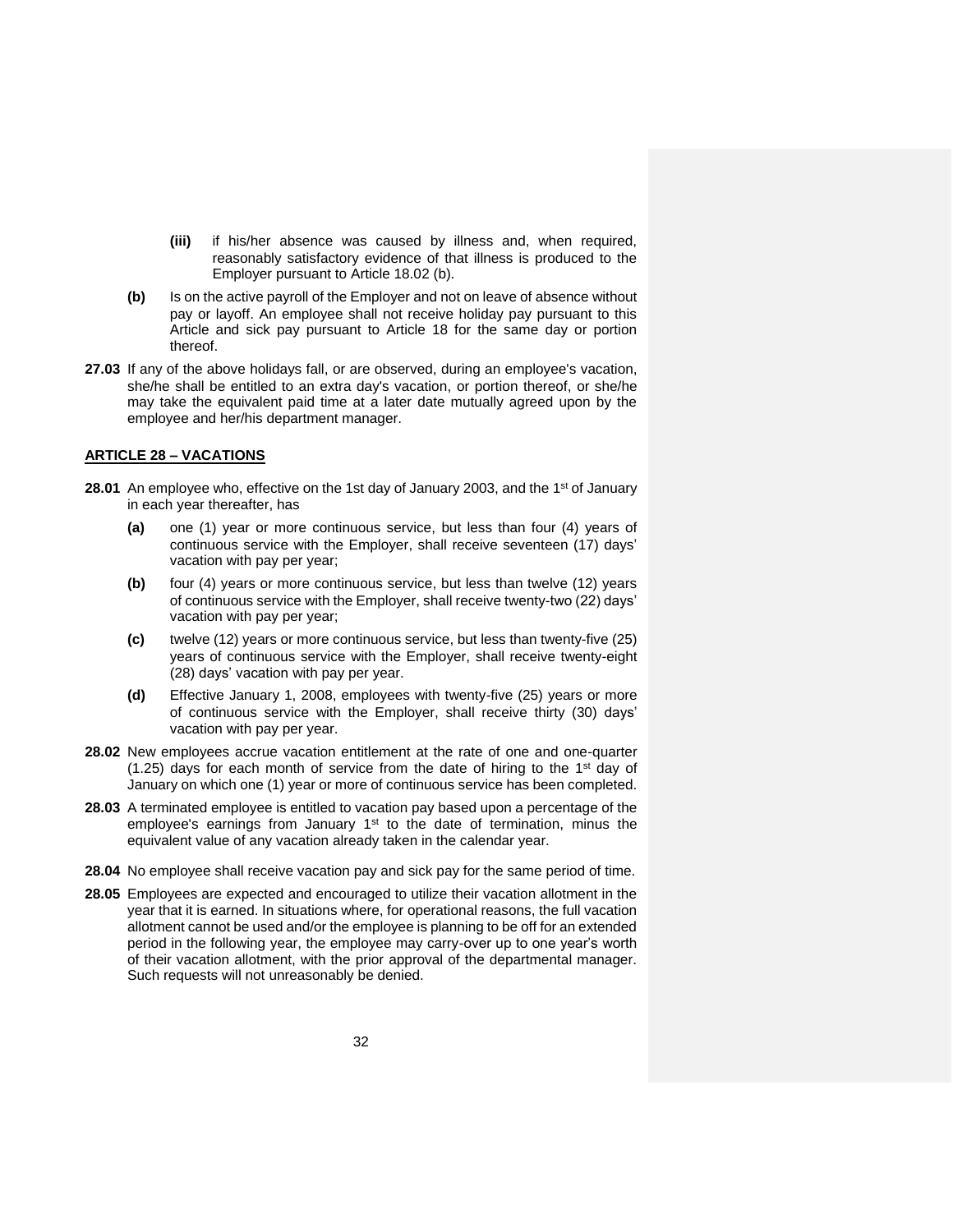- **(iii)** if his/her absence was caused by illness and, when required, reasonably satisfactory evidence of that illness is produced to the Employer pursuant to Article 18.02 (b).
- **(b)** Is on the active payroll of the Employer and not on leave of absence without pay or layoff. An employee shall not receive holiday pay pursuant to this Article and sick pay pursuant to Article 18 for the same day or portion thereof.
- **27.03** If any of the above holidays fall, or are observed, during an employee's vacation, she/he shall be entitled to an extra day's vacation, or portion thereof, or she/he may take the equivalent paid time at a later date mutually agreed upon by the employee and her/his department manager.

#### <span id="page-34-0"></span>**ARTICLE 28 – VACATIONS**

- **28.01** An employee who, effective on the 1st day of January 2003, and the 1<sup>st</sup> of January in each year thereafter, has
	- **(a)** one (1) year or more continuous service, but less than four (4) years of continuous service with the Employer, shall receive seventeen (17) days' vacation with pay per year;
	- **(b)** four (4) years or more continuous service, but less than twelve (12) years of continuous service with the Employer, shall receive twenty-two (22) days' vacation with pay per year;
	- **(c)** twelve (12) years or more continuous service, but less than twenty-five (25) years of continuous service with the Employer, shall receive twenty-eight (28) days' vacation with pay per year.
	- **(d)** Effective January 1, 2008, employees with twenty-five (25) years or more of continuous service with the Employer, shall receive thirty (30) days' vacation with pay per year.
- **28.02** New employees accrue vacation entitlement at the rate of one and one-quarter  $(1.25)$  days for each month of service from the date of hiring to the 1<sup>st</sup> day of January on which one (1) year or more of continuous service has been completed.
- **28.03** A terminated employee is entitled to vacation pay based upon a percentage of the employee's earnings from January  $1<sup>st</sup>$  to the date of termination, minus the equivalent value of any vacation already taken in the calendar year.
- **28.04** No employee shall receive vacation pay and sick pay for the same period of time.
- **28.05** Employees are expected and encouraged to utilize their vacation allotment in the year that it is earned. In situations where, for operational reasons, the full vacation allotment cannot be used and/or the employee is planning to be off for an extended period in the following year, the employee may carry-over up to one year's worth of their vacation allotment, with the prior approval of the departmental manager. Such requests will not unreasonably be denied.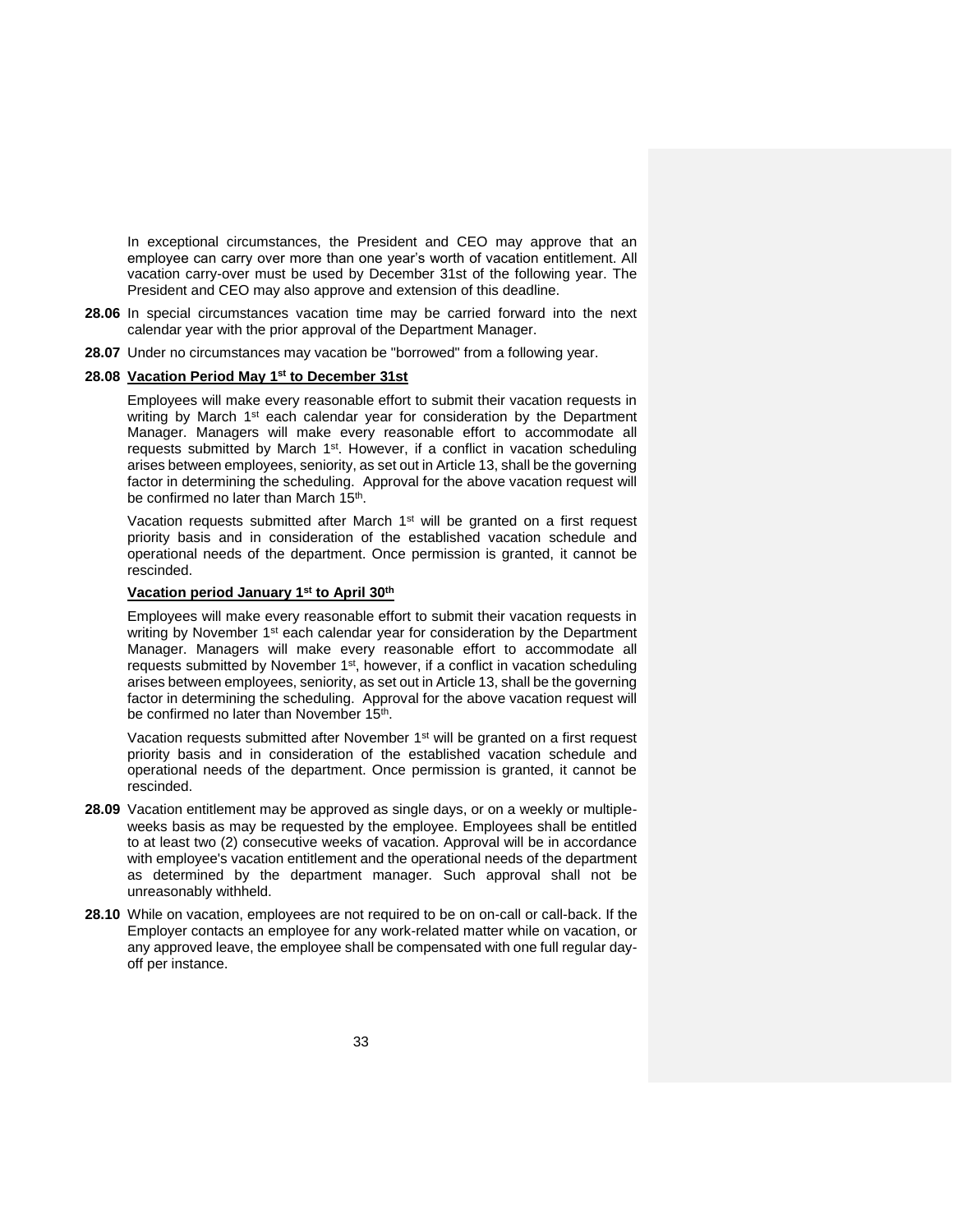In exceptional circumstances, the President and CEO may approve that an employee can carry over more than one year's worth of vacation entitlement. All vacation carry-over must be used by December 31st of the following year. The President and CEO may also approve and extension of this deadline.

- **28.06** In special circumstances vacation time may be carried forward into the next calendar year with the prior approval of the Department Manager.
- **28.07** Under no circumstances may vacation be "borrowed" from a following year.

### **28.08 Vacation Period May 1st to December 31st**

Employees will make every reasonable effort to submit their vacation requests in writing by March 1<sup>st</sup> each calendar year for consideration by the Department Manager. Managers will make every reasonable effort to accommodate all requests submitted by March 1<sup>st</sup>. However, if a conflict in vacation scheduling arises between employees, seniority, as set out in Article 13, shall be the governing factor in determining the scheduling. Approval for the above vacation request will be confirmed no later than March 15<sup>th</sup>.

Vacation requests submitted after March 1<sup>st</sup> will be granted on a first request priority basis and in consideration of the established vacation schedule and operational needs of the department. Once permission is granted, it cannot be rescinded.

#### **Vacation period January 1st to April 30th**

Employees will make every reasonable effort to submit their vacation requests in writing by November 1<sup>st</sup> each calendar year for consideration by the Department Manager. Managers will make every reasonable effort to accommodate all requests submitted by November 1<sup>st</sup>, however, if a conflict in vacation scheduling arises between employees, seniority, as set out in Article 13, shall be the governing factor in determining the scheduling. Approval for the above vacation request will be confirmed no later than November 15<sup>th</sup>.

Vacation requests submitted after November 1<sup>st</sup> will be granted on a first request priority basis and in consideration of the established vacation schedule and operational needs of the department. Once permission is granted, it cannot be rescinded.

- **28.09** Vacation entitlement may be approved as single days, or on a weekly or multipleweeks basis as may be requested by the employee. Employees shall be entitled to at least two (2) consecutive weeks of vacation. Approval will be in accordance with employee's vacation entitlement and the operational needs of the department as determined by the department manager. Such approval shall not be unreasonably withheld.
- **28.10** While on vacation, employees are not required to be on on-call or call-back. If the Employer contacts an employee for any work-related matter while on vacation, or any approved leave, the employee shall be compensated with one full regular dayoff per instance.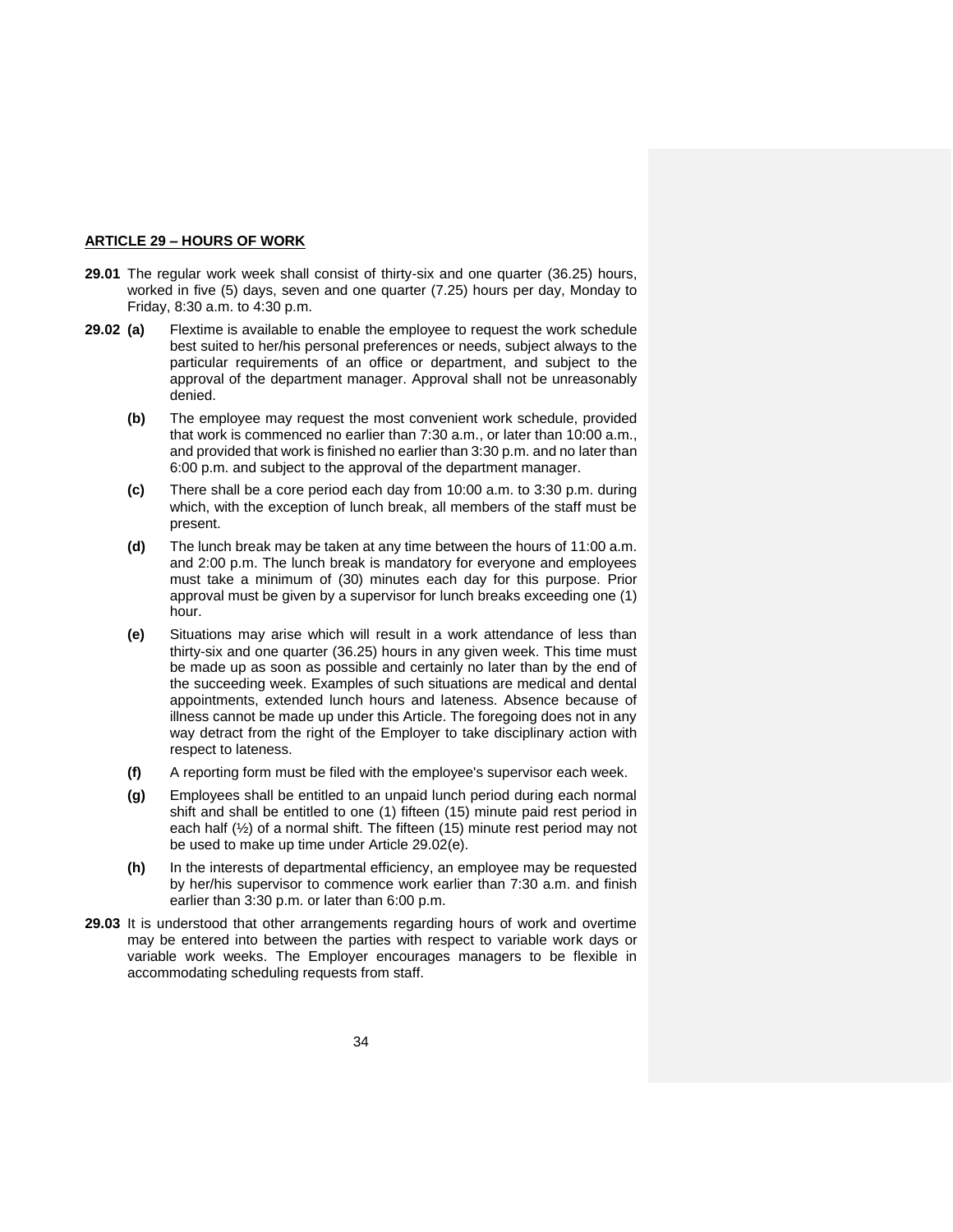#### <span id="page-36-0"></span>**ARTICLE 29 – HOURS OF WORK**

- **29.01** The regular work week shall consist of thirty-six and one quarter (36.25) hours, worked in five (5) days, seven and one quarter (7.25) hours per day, Monday to Friday, 8:30 a.m. to 4:30 p.m.
- **29.02 (a)** Flextime is available to enable the employee to request the work schedule best suited to her/his personal preferences or needs, subject always to the particular requirements of an office or department, and subject to the approval of the department manager. Approval shall not be unreasonably denied.
	- **(b)** The employee may request the most convenient work schedule, provided that work is commenced no earlier than 7:30 a.m., or later than 10:00 a.m., and provided that work is finished no earlier than 3:30 p.m. and no later than 6:00 p.m. and subject to the approval of the department manager.
	- **(c)** There shall be a core period each day from 10:00 a.m. to 3:30 p.m. during which, with the exception of lunch break, all members of the staff must be present.
	- **(d)** The lunch break may be taken at any time between the hours of 11:00 a.m. and 2:00 p.m. The lunch break is mandatory for everyone and employees must take a minimum of (30) minutes each day for this purpose. Prior approval must be given by a supervisor for lunch breaks exceeding one (1) hour.
	- **(e)** Situations may arise which will result in a work attendance of less than thirty-six and one quarter (36.25) hours in any given week. This time must be made up as soon as possible and certainly no later than by the end of the succeeding week. Examples of such situations are medical and dental appointments, extended lunch hours and lateness. Absence because of illness cannot be made up under this Article. The foregoing does not in any way detract from the right of the Employer to take disciplinary action with respect to lateness.
	- **(f)** A reporting form must be filed with the employee's supervisor each week.
	- **(g)** Employees shall be entitled to an unpaid lunch period during each normal shift and shall be entitled to one (1) fifteen (15) minute paid rest period in each half (½) of a normal shift. The fifteen (15) minute rest period may not be used to make up time under Article 29.02(e).
	- **(h)** In the interests of departmental efficiency, an employee may be requested by her/his supervisor to commence work earlier than 7:30 a.m. and finish earlier than 3:30 p.m. or later than 6:00 p.m.
- **29.03** It is understood that other arrangements regarding hours of work and overtime may be entered into between the parties with respect to variable work days or variable work weeks. The Employer encourages managers to be flexible in accommodating scheduling requests from staff.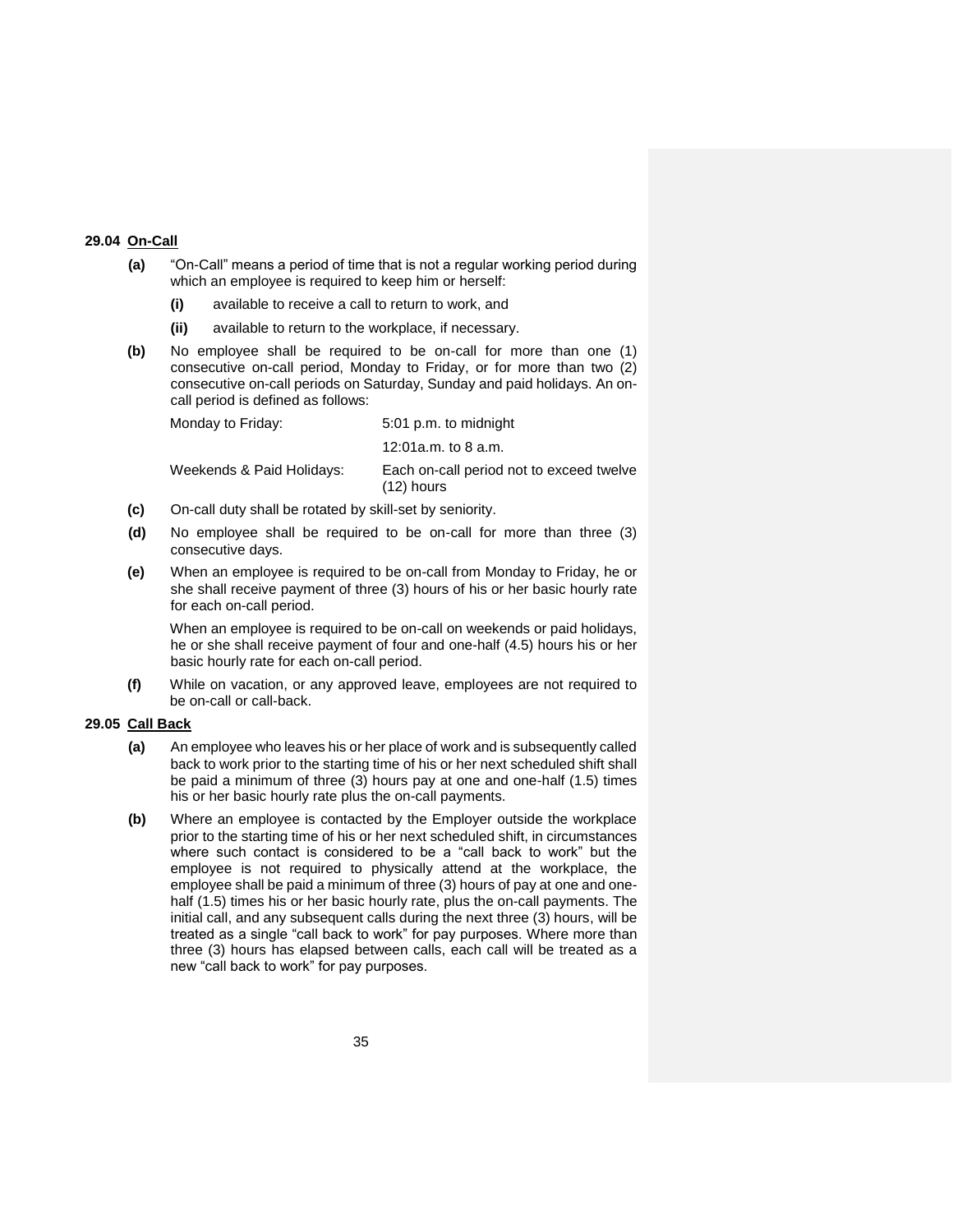#### **29.04 On-Call**

- **(a)** "On-Call" means a period of time that is not a regular working period during which an employee is required to keep him or herself:
	- **(i)** available to receive a call to return to work, and
	- **(ii)** available to return to the workplace, if necessary.
- **(b)** No employee shall be required to be on-call for more than one (1) consecutive on-call period, Monday to Friday, or for more than two (2) consecutive on-call periods on Saturday, Sunday and paid holidays. An oncall period is defined as follows:

| Monday to Friday:         | 5:01 p.m. to midnight                                    |
|---------------------------|----------------------------------------------------------|
|                           | 12:01a.m. to 8 a.m.                                      |
| Weekends & Paid Holidays: | Each on-call period not to exceed twelve<br>$(12)$ hours |

- **(c)** On-call duty shall be rotated by skill-set by seniority.
- **(d)** No employee shall be required to be on-call for more than three (3) consecutive days.
- **(e)** When an employee is required to be on-call from Monday to Friday, he or she shall receive payment of three (3) hours of his or her basic hourly rate for each on-call period.

When an employee is required to be on-call on weekends or paid holidays, he or she shall receive payment of four and one-half (4.5) hours his or her basic hourly rate for each on-call period.

**(f)** While on vacation, or any approved leave, employees are not required to be on-call or call-back.

#### **29.05 Call Back**

- **(a)** An employee who leaves his or her place of work and is subsequently called back to work prior to the starting time of his or her next scheduled shift shall be paid a minimum of three (3) hours pay at one and one-half (1.5) times his or her basic hourly rate plus the on-call payments.
- **(b)** Where an employee is contacted by the Employer outside the workplace prior to the starting time of his or her next scheduled shift, in circumstances where such contact is considered to be a "call back to work" but the employee is not required to physically attend at the workplace, the employee shall be paid a minimum of three (3) hours of pay at one and onehalf (1.5) times his or her basic hourly rate, plus the on-call payments. The initial call, and any subsequent calls during the next three (3) hours, will be treated as a single "call back to work" for pay purposes. Where more than three (3) hours has elapsed between calls, each call will be treated as a new "call back to work" for pay purposes.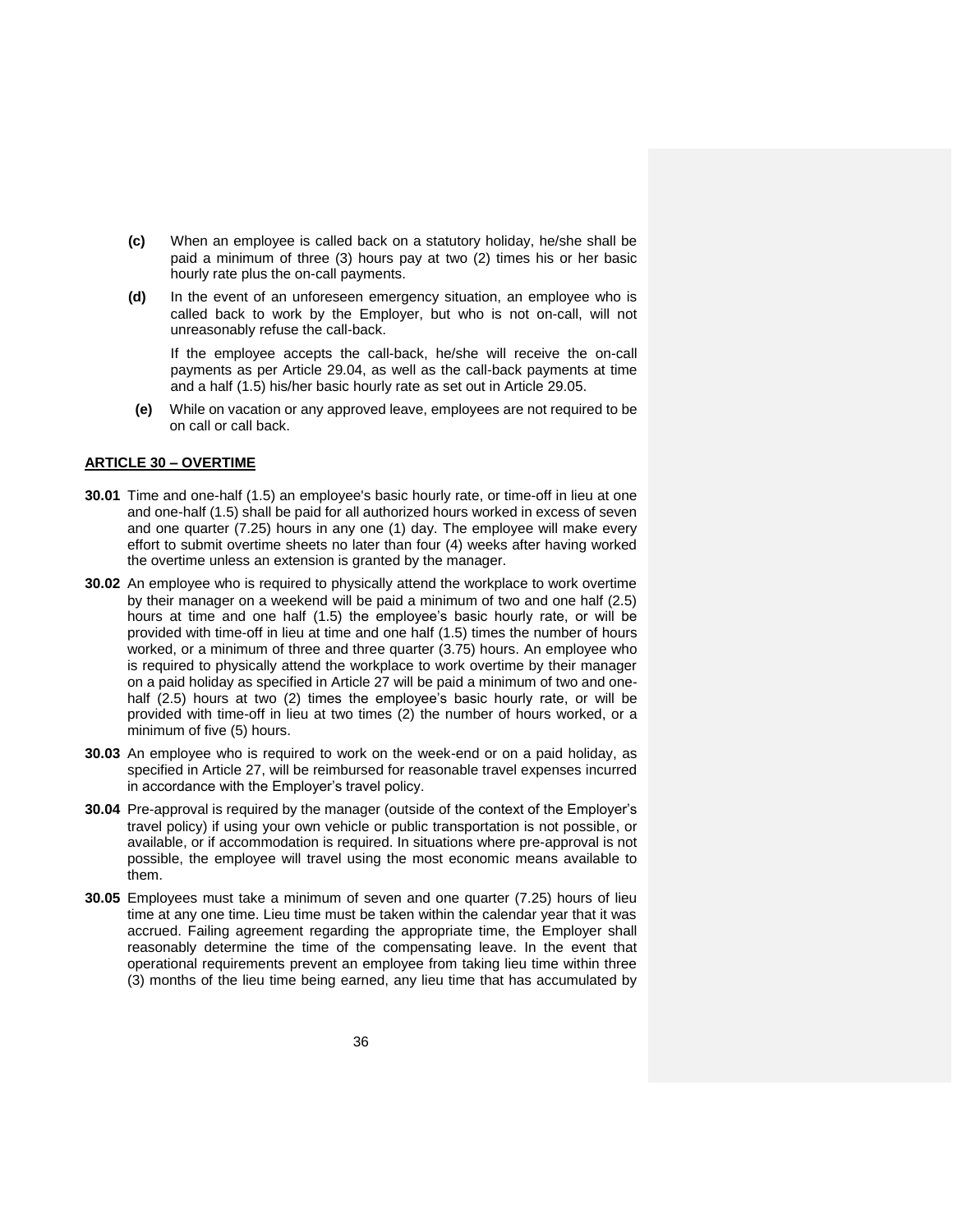- **(c)** When an employee is called back on a statutory holiday, he/she shall be paid a minimum of three (3) hours pay at two (2) times his or her basic hourly rate plus the on-call payments.
- **(d)** In the event of an unforeseen emergency situation, an employee who is called back to work by the Employer, but who is not on-call, will not unreasonably refuse the call-back.

If the employee accepts the call-back, he/she will receive the on-call payments as per Article 29.04, as well as the call-back payments at time and a half (1.5) his/her basic hourly rate as set out in Article 29.05.

**(e)** While on vacation or any approved leave, employees are not required to be on call or call back.

#### <span id="page-38-0"></span>**ARTICLE 30 – OVERTIME**

- **30.01** Time and one-half (1.5) an employee's basic hourly rate, or time-off in lieu at one and one-half (1.5) shall be paid for all authorized hours worked in excess of seven and one quarter (7.25) hours in any one (1) day. The employee will make every effort to submit overtime sheets no later than four (4) weeks after having worked the overtime unless an extension is granted by the manager.
- **30.02** An employee who is required to physically attend the workplace to work overtime by their manager on a weekend will be paid a minimum of two and one half (2.5) hours at time and one half (1.5) the employee's basic hourly rate, or will be provided with time-off in lieu at time and one half (1.5) times the number of hours worked, or a minimum of three and three quarter (3.75) hours. An employee who is required to physically attend the workplace to work overtime by their manager on a paid holiday as specified in Article 27 will be paid a minimum of two and onehalf (2.5) hours at two (2) times the employee's basic hourly rate, or will be provided with time-off in lieu at two times (2) the number of hours worked, or a minimum of five (5) hours.
- **30.03** An employee who is required to work on the week-end or on a paid holiday, as specified in Article 27, will be reimbursed for reasonable travel expenses incurred in accordance with the Employer's travel policy.
- **30.04** Pre-approval is required by the manager (outside of the context of the Employer's travel policy) if using your own vehicle or public transportation is not possible, or available, or if accommodation is required. In situations where pre-approval is not possible, the employee will travel using the most economic means available to them.
- **30.05** Employees must take a minimum of seven and one quarter (7.25) hours of lieu time at any one time. Lieu time must be taken within the calendar year that it was accrued. Failing agreement regarding the appropriate time, the Employer shall reasonably determine the time of the compensating leave. In the event that operational requirements prevent an employee from taking lieu time within three (3) months of the lieu time being earned, any lieu time that has accumulated by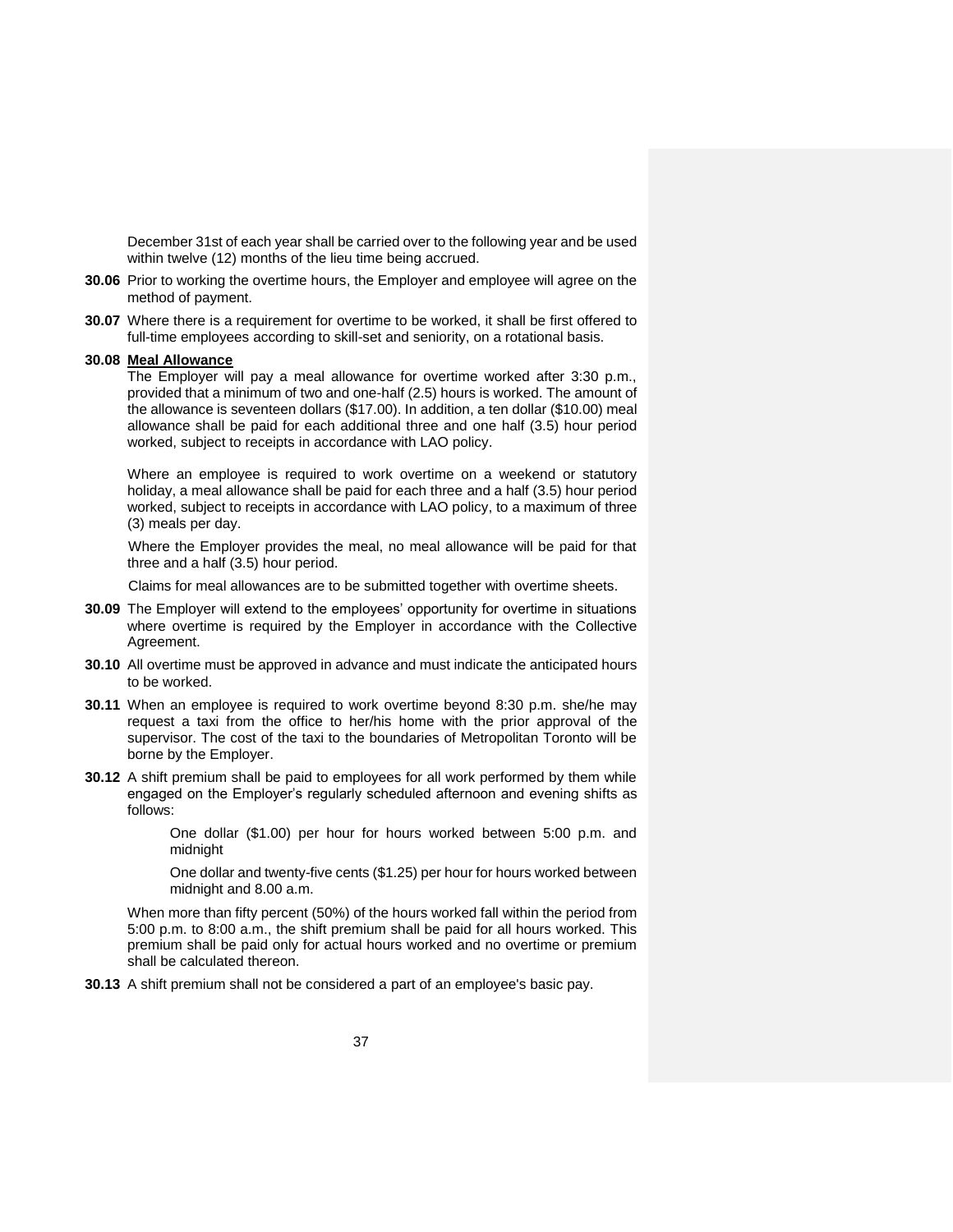December 31st of each year shall be carried over to the following year and be used within twelve (12) months of the lieu time being accrued.

- **30.06** Prior to working the overtime hours, the Employer and employee will agree on the method of payment.
- **30.07** Where there is a requirement for overtime to be worked, it shall be first offered to full-time employees according to skill-set and seniority, on a rotational basis.

#### **30.08 Meal Allowance**

The Employer will pay a meal allowance for overtime worked after 3:30 p.m., provided that a minimum of two and one-half (2.5) hours is worked. The amount of the allowance is seventeen dollars (\$17.00). In addition, a ten dollar (\$10.00) meal allowance shall be paid for each additional three and one half (3.5) hour period worked, subject to receipts in accordance with LAO policy.

Where an employee is required to work overtime on a weekend or statutory holiday, a meal allowance shall be paid for each three and a half (3.5) hour period worked, subject to receipts in accordance with LAO policy, to a maximum of three (3) meals per day.

Where the Employer provides the meal, no meal allowance will be paid for that three and a half (3.5) hour period.

Claims for meal allowances are to be submitted together with overtime sheets.

- **30.09** The Employer will extend to the employees' opportunity for overtime in situations where overtime is required by the Employer in accordance with the Collective Agreement.
- **30.10** All overtime must be approved in advance and must indicate the anticipated hours to be worked.
- **30.11** When an employee is required to work overtime beyond 8:30 p.m. she/he may request a taxi from the office to her/his home with the prior approval of the supervisor. The cost of the taxi to the boundaries of Metropolitan Toronto will be borne by the Employer.
- **30.12** A shift premium shall be paid to employees for all work performed by them while engaged on the Employer's regularly scheduled afternoon and evening shifts as follows:

One dollar (\$1.00) per hour for hours worked between 5:00 p.m. and midnight

One dollar and twenty-five cents (\$1.25) per hour for hours worked between midnight and 8.00 a.m.

When more than fifty percent (50%) of the hours worked fall within the period from 5:00 p.m. to 8:00 a.m., the shift premium shall be paid for all hours worked. This premium shall be paid only for actual hours worked and no overtime or premium shall be calculated thereon.

**30.13** A shift premium shall not be considered a part of an employee's basic pay.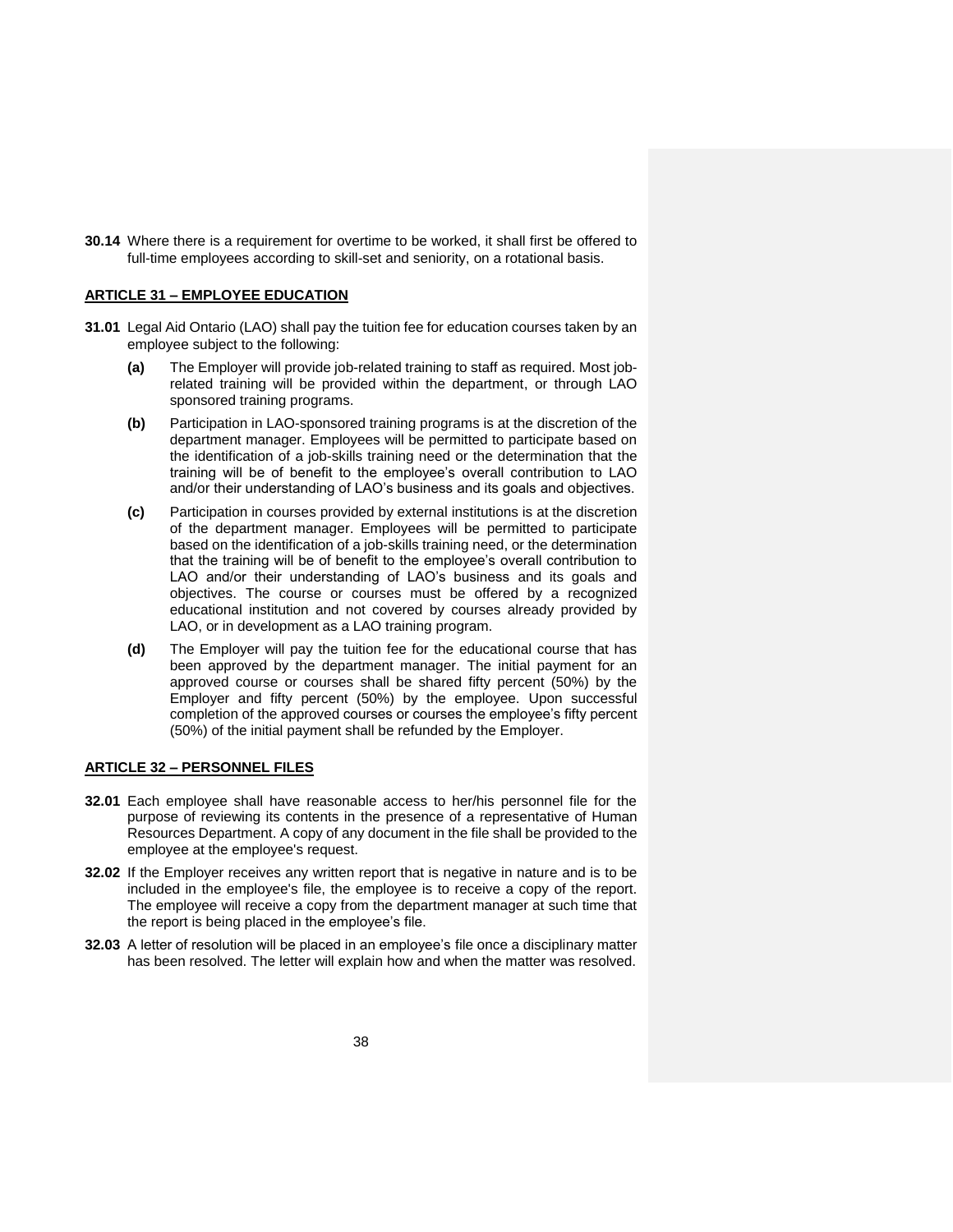**30.14** Where there is a requirement for overtime to be worked, it shall first be offered to full-time employees according to skill-set and seniority, on a rotational basis.

#### <span id="page-40-0"></span>**ARTICLE 31 – EMPLOYEE EDUCATION**

- **31.01** Legal Aid Ontario (LAO) shall pay the tuition fee for education courses taken by an employee subject to the following:
	- **(a)** The Employer will provide job-related training to staff as required. Most jobrelated training will be provided within the department, or through LAO sponsored training programs.
	- **(b)** Participation in LAO-sponsored training programs is at the discretion of the department manager. Employees will be permitted to participate based on the identification of a job-skills training need or the determination that the training will be of benefit to the employee's overall contribution to LAO and/or their understanding of LAO's business and its goals and objectives.
	- **(c)** Participation in courses provided by external institutions is at the discretion of the department manager. Employees will be permitted to participate based on the identification of a job-skills training need, or the determination that the training will be of benefit to the employee's overall contribution to LAO and/or their understanding of LAO's business and its goals and objectives. The course or courses must be offered by a recognized educational institution and not covered by courses already provided by LAO, or in development as a LAO training program.
	- **(d)** The Employer will pay the tuition fee for the educational course that has been approved by the department manager. The initial payment for an approved course or courses shall be shared fifty percent (50%) by the Employer and fifty percent (50%) by the employee. Upon successful completion of the approved courses or courses the employee's fifty percent (50%) of the initial payment shall be refunded by the Employer.

#### <span id="page-40-1"></span>**ARTICLE 32 – PERSONNEL FILES**

- **32.01** Each employee shall have reasonable access to her/his personnel file for the purpose of reviewing its contents in the presence of a representative of Human Resources Department. A copy of any document in the file shall be provided to the employee at the employee's request.
- **32.02** If the Employer receives any written report that is negative in nature and is to be included in the employee's file, the employee is to receive a copy of the report. The employee will receive a copy from the department manager at such time that the report is being placed in the employee's file.
- **32.03** A letter of resolution will be placed in an employee's file once a disciplinary matter has been resolved. The letter will explain how and when the matter was resolved.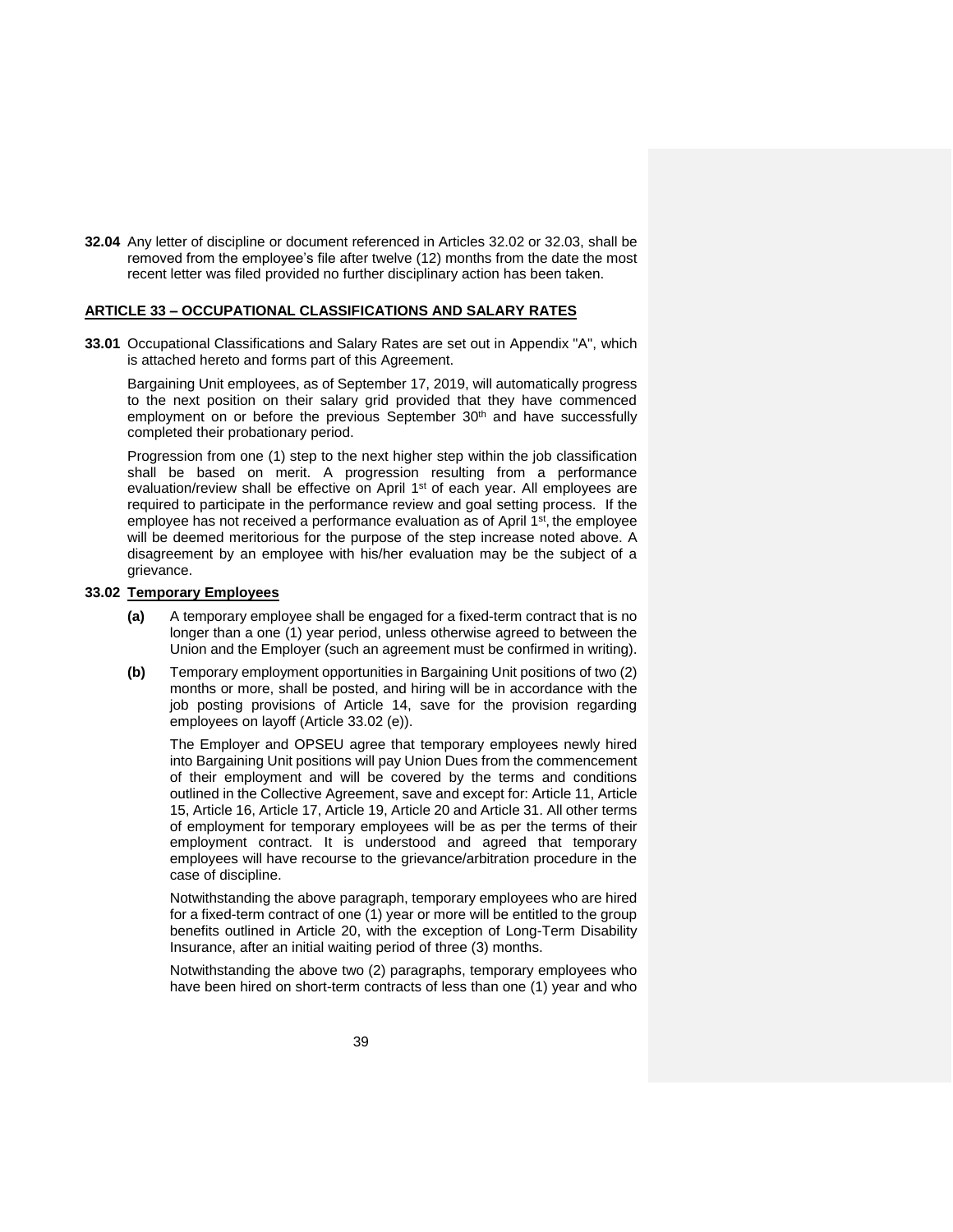**32.04** Any letter of discipline or document referenced in Articles 32.02 or 32.03, shall be removed from the employee's file after twelve (12) months from the date the most recent letter was filed provided no further disciplinary action has been taken.

#### <span id="page-41-0"></span>**ARTICLE 33 – OCCUPATIONAL CLASSIFICATIONS AND SALARY RATES**

**33.01** Occupational Classifications and Salary Rates are set out in Appendix "A", which is attached hereto and forms part of this Agreement.

Bargaining Unit employees, as of September 17, 2019, will automatically progress to the next position on their salary grid provided that they have commenced employment on or before the previous September 30<sup>th</sup> and have successfully completed their probationary period.

Progression from one (1) step to the next higher step within the job classification shall be based on merit. A progression resulting from a performance evaluation/review shall be effective on April 1<sup>st</sup> of each year. All employees are required to participate in the performance review and goal setting process. If the employee has not received a performance evaluation as of April 1<sup>st</sup>, the employee will be deemed meritorious for the purpose of the step increase noted above. A disagreement by an employee with his/her evaluation may be the subject of a grievance.

#### **33.02 Temporary Employees**

- **(a)** A temporary employee shall be engaged for a fixed-term contract that is no longer than a one (1) year period, unless otherwise agreed to between the Union and the Employer (such an agreement must be confirmed in writing).
- **(b)** Temporary employment opportunities in Bargaining Unit positions of two (2) months or more, shall be posted, and hiring will be in accordance with the job posting provisions of Article 14, save for the provision regarding employees on layoff (Article 33.02 (e)).

The Employer and OPSEU agree that temporary employees newly hired into Bargaining Unit positions will pay Union Dues from the commencement of their employment and will be covered by the terms and conditions outlined in the Collective Agreement, save and except for: Article 11, Article 15, Article 16, Article 17, Article 19, Article 20 and Article 31. All other terms of employment for temporary employees will be as per the terms of their employment contract. It is understood and agreed that temporary employees will have recourse to the grievance/arbitration procedure in the case of discipline.

Notwithstanding the above paragraph, temporary employees who are hired for a fixed-term contract of one (1) year or more will be entitled to the group benefits outlined in Article 20, with the exception of Long-Term Disability Insurance, after an initial waiting period of three (3) months.

Notwithstanding the above two (2) paragraphs, temporary employees who have been hired on short-term contracts of less than one (1) year and who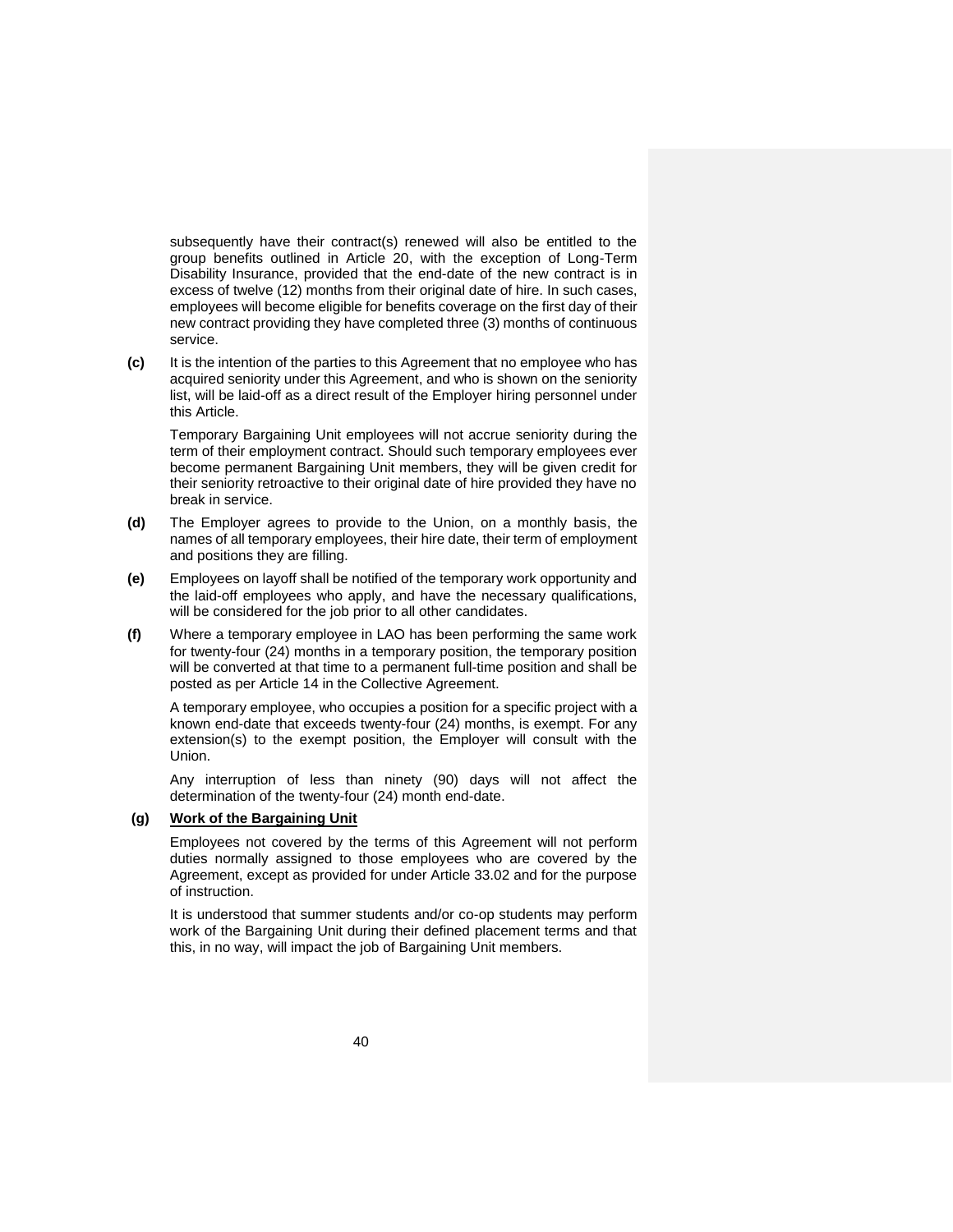subsequently have their contract(s) renewed will also be entitled to the group benefits outlined in Article 20, with the exception of Long-Term Disability Insurance, provided that the end-date of the new contract is in excess of twelve (12) months from their original date of hire. In such cases, employees will become eligible for benefits coverage on the first day of their new contract providing they have completed three (3) months of continuous service.

**(c)** It is the intention of the parties to this Agreement that no employee who has acquired seniority under this Agreement, and who is shown on the seniority list, will be laid-off as a direct result of the Employer hiring personnel under this Article.

Temporary Bargaining Unit employees will not accrue seniority during the term of their employment contract. Should such temporary employees ever become permanent Bargaining Unit members, they will be given credit for their seniority retroactive to their original date of hire provided they have no break in service.

- **(d)** The Employer agrees to provide to the Union, on a monthly basis, the names of all temporary employees, their hire date, their term of employment and positions they are filling.
- **(e)** Employees on layoff shall be notified of the temporary work opportunity and the laid-off employees who apply, and have the necessary qualifications, will be considered for the job prior to all other candidates.
- **(f)** Where a temporary employee in LAO has been performing the same work for twenty-four (24) months in a temporary position, the temporary position will be converted at that time to a permanent full-time position and shall be posted as per Article 14 in the Collective Agreement.

A temporary employee, who occupies a position for a specific project with a known end-date that exceeds twenty-four (24) months, is exempt. For any extension(s) to the exempt position, the Employer will consult with the Union.

Any interruption of less than ninety (90) days will not affect the determination of the twenty-four (24) month end-date.

#### **(g) Work of the Bargaining Unit**

Employees not covered by the terms of this Agreement will not perform duties normally assigned to those employees who are covered by the Agreement, except as provided for under Article 33.02 and for the purpose of instruction.

It is understood that summer students and/or co-op students may perform work of the Bargaining Unit during their defined placement terms and that this, in no way, will impact the job of Bargaining Unit members.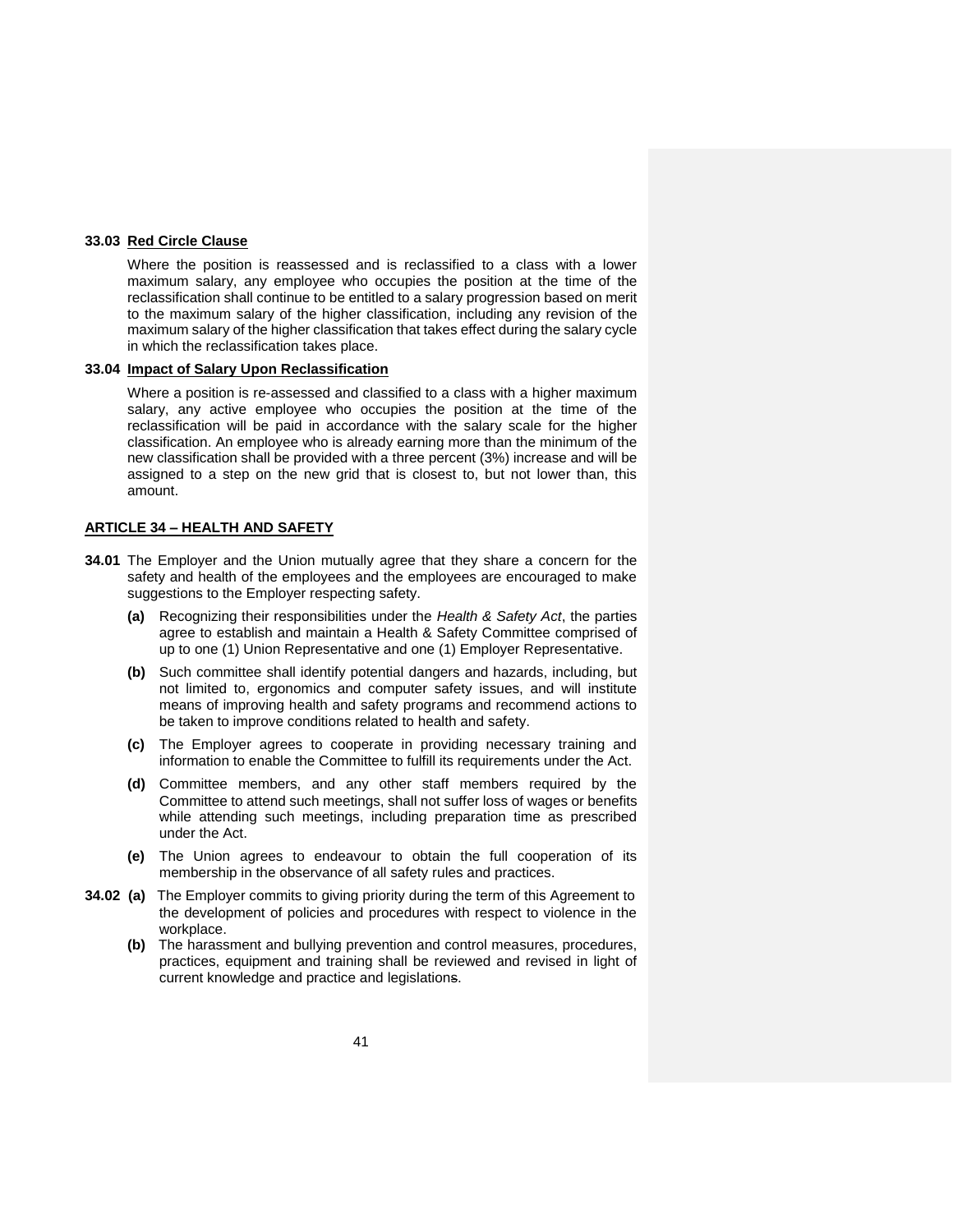#### **33.03 Red Circle Clause**

Where the position is reassessed and is reclassified to a class with a lower maximum salary, any employee who occupies the position at the time of the reclassification shall continue to be entitled to a salary progression based on merit to the maximum salary of the higher classification, including any revision of the maximum salary of the higher classification that takes effect during the salary cycle in which the reclassification takes place.

#### **33.04 Impact of Salary Upon Reclassification**

Where a position is re-assessed and classified to a class with a higher maximum salary, any active employee who occupies the position at the time of the reclassification will be paid in accordance with the salary scale for the higher classification. An employee who is already earning more than the minimum of the new classification shall be provided with a three percent (3%) increase and will be assigned to a step on the new grid that is closest to, but not lower than, this amount.

#### <span id="page-43-0"></span>**ARTICLE 34 – HEALTH AND SAFETY**

- **34.01** The Employer and the Union mutually agree that they share a concern for the safety and health of the employees and the employees are encouraged to make suggestions to the Employer respecting safety.
	- **(a)** Recognizing their responsibilities under the *Health & Safety Act*, the parties agree to establish and maintain a Health & Safety Committee comprised of up to one (1) Union Representative and one (1) Employer Representative.
	- **(b)** Such committee shall identify potential dangers and hazards, including, but not limited to, ergonomics and computer safety issues, and will institute means of improving health and safety programs and recommend actions to be taken to improve conditions related to health and safety.
	- **(c)** The Employer agrees to cooperate in providing necessary training and information to enable the Committee to fulfill its requirements under the Act.
	- **(d)** Committee members, and any other staff members required by the Committee to attend such meetings, shall not suffer loss of wages or benefits while attending such meetings, including preparation time as prescribed under the Act.
	- **(e)** The Union agrees to endeavour to obtain the full cooperation of its membership in the observance of all safety rules and practices.
- **34.02 (a)** The Employer commits to giving priority during the term of this Agreement to the development of policies and procedures with respect to violence in the workplace.
	- **(b)** The harassment and bullying prevention and control measures, procedures, practices, equipment and training shall be reviewed and revised in light of current knowledge and practice and legislations.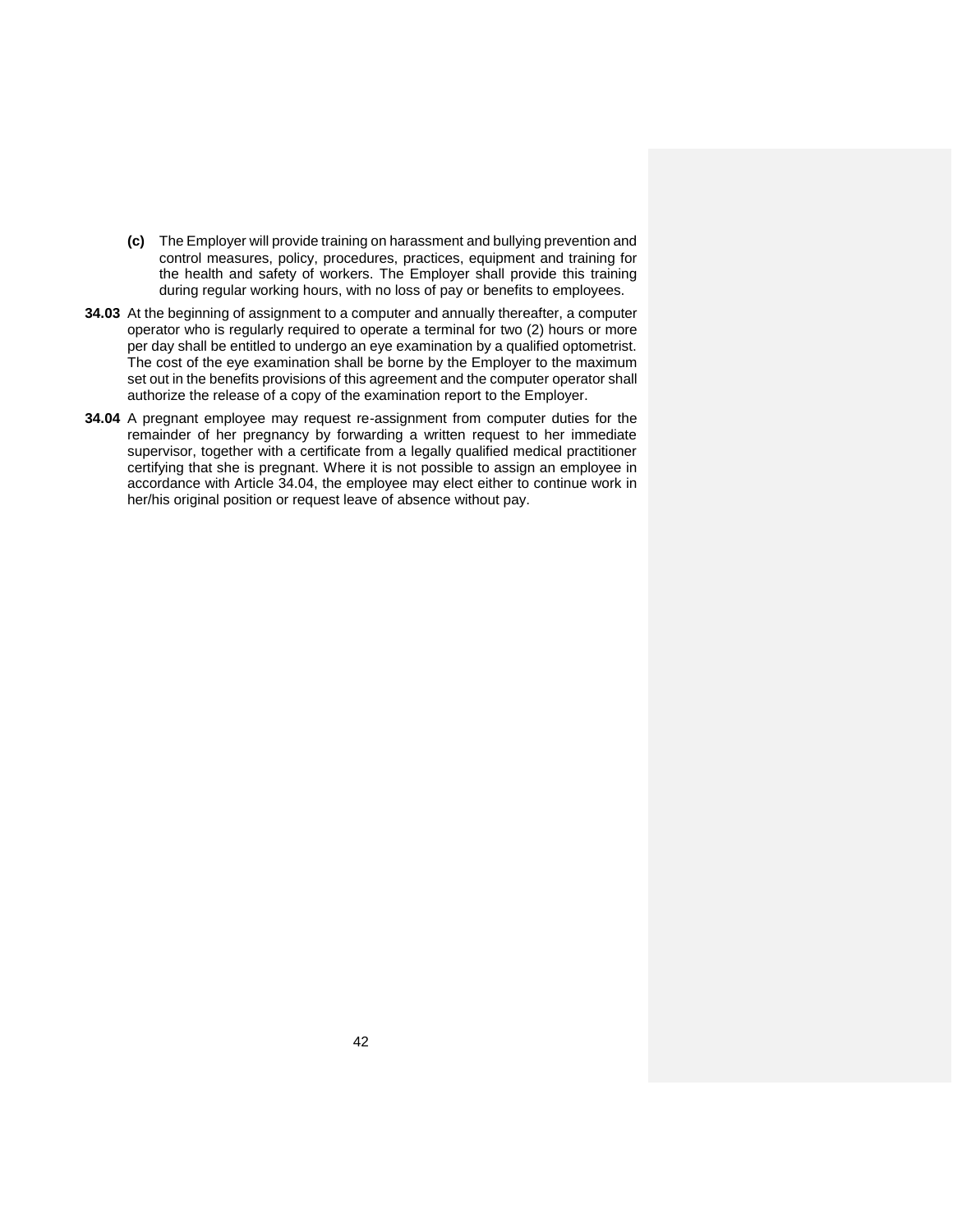- **(c)** The Employer will provide training on harassment and bullying prevention and control measures, policy, procedures, practices, equipment and training for the health and safety of workers. The Employer shall provide this training during regular working hours, with no loss of pay or benefits to employees.
- **34.03** At the beginning of assignment to a computer and annually thereafter, a computer operator who is regularly required to operate a terminal for two (2) hours or more per day shall be entitled to undergo an eye examination by a qualified optometrist. The cost of the eye examination shall be borne by the Employer to the maximum set out in the benefits provisions of this agreement and the computer operator shall authorize the release of a copy of the examination report to the Employer.
- **34.04** A pregnant employee may request re-assignment from computer duties for the remainder of her pregnancy by forwarding a written request to her immediate supervisor, together with a certificate from a legally qualified medical practitioner certifying that she is pregnant. Where it is not possible to assign an employee in accordance with Article 34.04, the employee may elect either to continue work in her/his original position or request leave of absence without pay.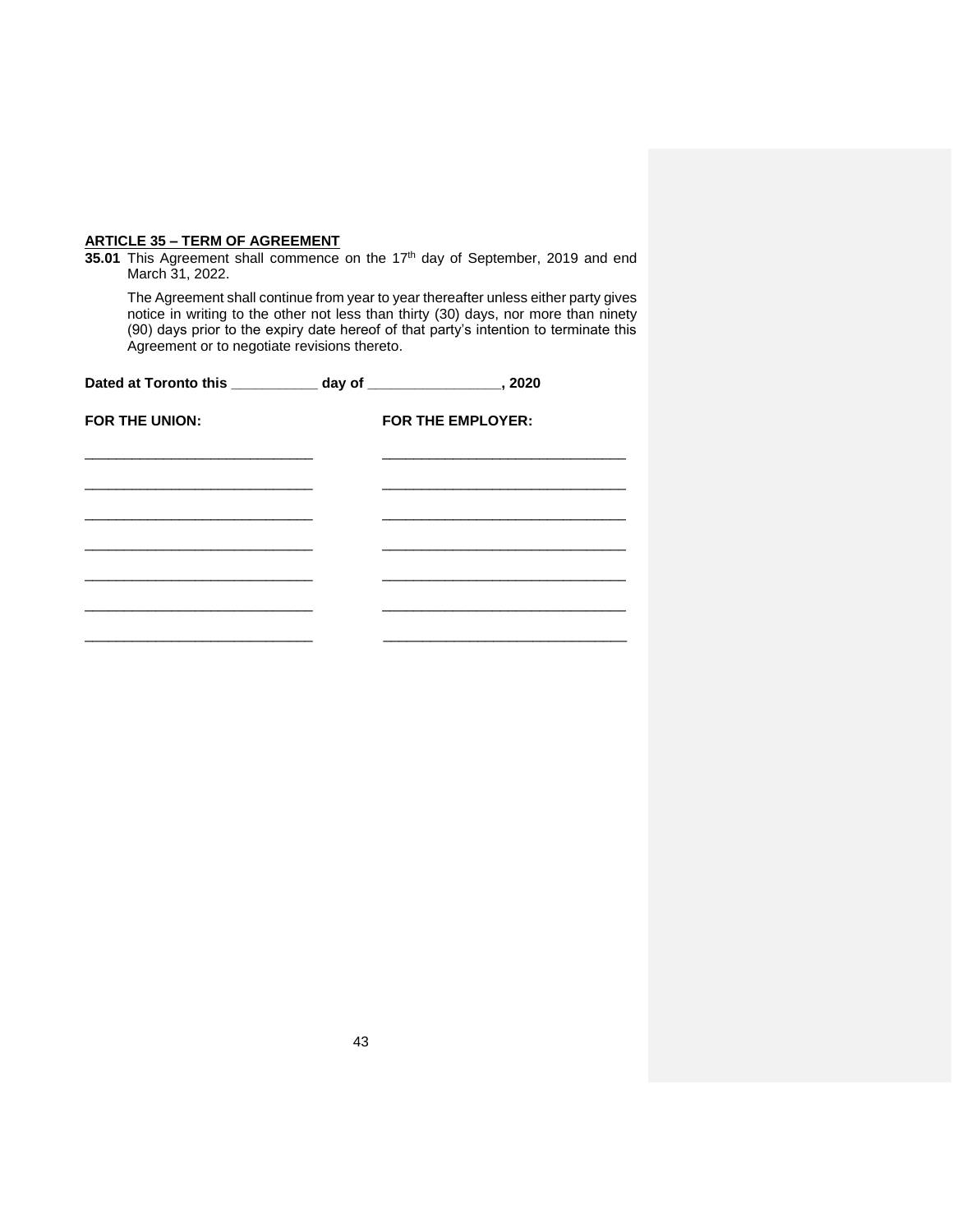### <span id="page-45-0"></span>**ARTICLE 35 – TERM OF AGREEMENT**

| <b>35.01</b> This Agreement shall commence on the 17 <sup>th</sup> day of September, 2019 and end |  |  |  |  |  |
|---------------------------------------------------------------------------------------------------|--|--|--|--|--|
| March 31, 2022.                                                                                   |  |  |  |  |  |

The Agreement shall continue from year to year thereafter unless either party gives notice in writing to the other not less than thirty (30) days, nor more than ninety (90) days prior to the expiry date hereof of that party's intention to terminate this Agreement or to negotiate revisions thereto.

| <b>FOR THE UNION:</b><br><b>FOR THE EMPLOYER:</b><br><u> 1989 - Johann John Stone, market fan it ferskearre fan it ferskearre fan it ferskearre fan it ferskearre fan i</u><br><u> 1989 - Johann Stein, mars an deutscher Stein und der Stein und der Stein und der Stein und der Stein und der</u><br><u> 1989 - Johann Stein, mars an deutscher Stein und der Stein und der Stein und der Stein und der Stein und der</u> |  |
|-----------------------------------------------------------------------------------------------------------------------------------------------------------------------------------------------------------------------------------------------------------------------------------------------------------------------------------------------------------------------------------------------------------------------------|--|
|                                                                                                                                                                                                                                                                                                                                                                                                                             |  |
|                                                                                                                                                                                                                                                                                                                                                                                                                             |  |
|                                                                                                                                                                                                                                                                                                                                                                                                                             |  |
|                                                                                                                                                                                                                                                                                                                                                                                                                             |  |
|                                                                                                                                                                                                                                                                                                                                                                                                                             |  |
| the control of the control of the control of the control of the control of the control of the control of the control of the control of the control of the control of the control of the control of the control of the control                                                                                                                                                                                               |  |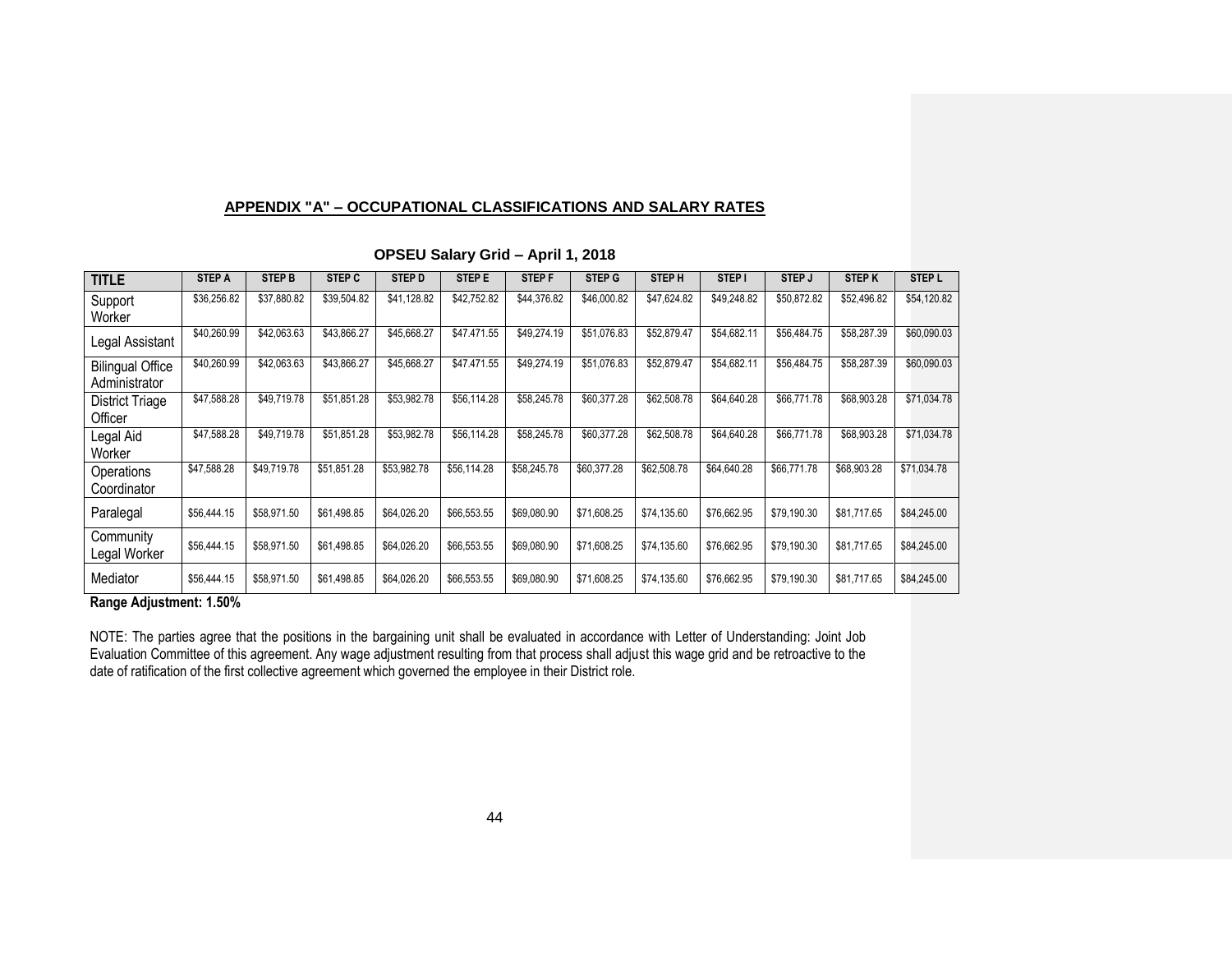### **APPENDIX "A" – OCCUPATIONAL CLASSIFICATIONS AND SALARY RATES**

| <b>TITLE</b>                             | <b>STEP A</b> | <b>STEP B</b> | <b>STEP C</b> | <b>STEP D</b> | <b>STEP E</b> | <b>STEPF</b> | <b>STEP G</b> | <b>STEPH</b> | STEP <sub>I</sub> | <b>STEP J</b> | <b>STEPK</b> | <b>STEPL</b> |
|------------------------------------------|---------------|---------------|---------------|---------------|---------------|--------------|---------------|--------------|-------------------|---------------|--------------|--------------|
| Support<br>Worker                        | \$36,256.82   | \$37,880.82   | \$39,504.82   | \$41,128.82   | \$42.752.82   | \$44.376.82  | \$46,000.82   | \$47.624.82  | \$49.248.82       | \$50,872.82   | \$52,496.82  | \$54.120.82  |
| Legal Assistant                          | \$40,260.99   | \$42,063.63   | \$43,866.27   | \$45,668.27   | \$47.471.55   | \$49,274.19  | \$51,076.83   | \$52,879.47  | \$54,682.11       | \$56,484.75   | \$58,287.39  | \$60,090.03  |
| <b>Bilingual Office</b><br>Administrator | \$40,260.99   | \$42,063.63   | \$43,866.27   | \$45,668.27   | \$47.471.55   | \$49,274.19  | \$51,076.83   | \$52,879.47  | \$54,682.11       | \$56,484.75   | \$58,287.39  | \$60,090.03  |
| District Triage<br>Officer               | \$47,588.28   | \$49,719.78   | \$51,851.28   | \$53,982.78   | \$56,114.28   | \$58,245.78  | \$60,377.28   | \$62,508.78  | \$64,640.28       | \$66,771.78   | \$68,903.28  | \$71,034.78  |
| Legal Aid<br>Worker                      | \$47,588.28   | \$49,719.78   | \$51,851.28   | \$53,982.78   | \$56,114.28   | \$58,245.78  | \$60,377.28   | \$62,508.78  | \$64,640.28       | \$66,771.78   | \$68,903.28  | \$71,034.78  |
| Operations<br>Coordinator                | \$47,588.28   | \$49,719.78   | \$51,851.28   | \$53,982.78   | \$56,114.28   | \$58,245.78  | \$60,377.28   | \$62,508.78  | \$64,640.28       | \$66,771.78   | \$68,903.28  | \$71,034.78  |
| Paralegal                                | \$56,444.15   | \$58,971.50   | \$61,498.85   | \$64,026.20   | \$66,553.55   | \$69,080.90  | \$71,608.25   | \$74,135.60  | \$76,662.95       | \$79,190.30   | \$81,717.65  | \$84,245.00  |
| Community<br>Legal Worker                | \$56,444.15   | \$58,971.50   | \$61,498.85   | \$64,026.20   | \$66,553.55   | \$69,080.90  | \$71,608.25   | \$74,135.60  | \$76,662.95       | \$79,190.30   | \$81,717.65  | \$84,245.00  |
| Mediator                                 | \$56,444.15   | \$58,971.50   | \$61,498.85   | \$64,026.20   | \$66,553.55   | \$69,080.90  | \$71,608.25   | \$74,135.60  | \$76,662.95       | \$79,190.30   | \$81,717.65  | \$84,245.00  |

# **OPSEU Salary Grid – April 1, 2018**

<span id="page-46-0"></span>**Range Adjustment: 1.50%**

NOTE: The parties agree that the positions in the bargaining unit shall be evaluated in accordance with Letter of Understanding: Joint Job Evaluation Committee of this agreement. Any wage adjustment resulting from that process shall adjust this wage grid and be retroactive to the date of ratification of the first collective agreement which governed the employee in their District role.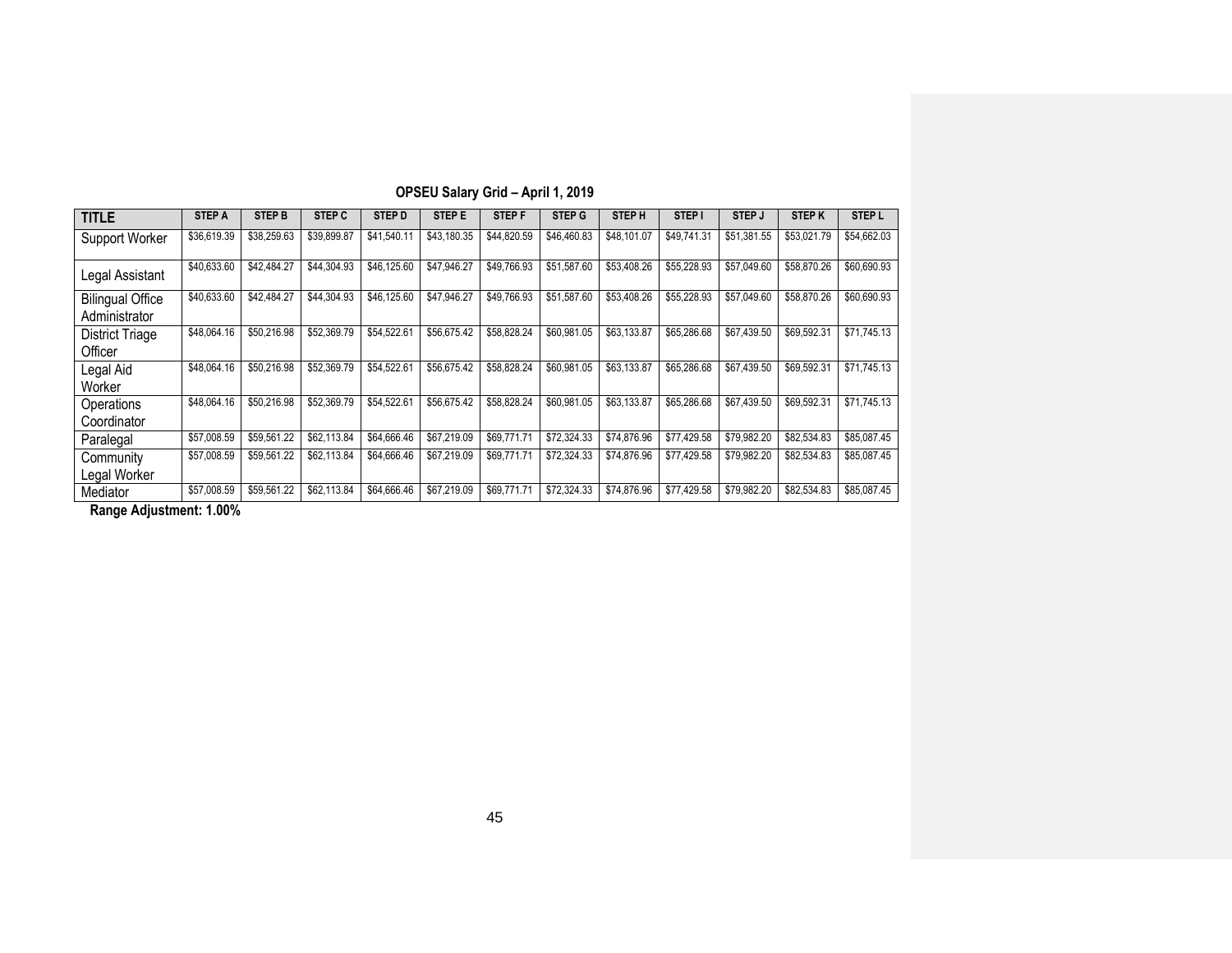| <b>TITLE</b>            | <b>STEP A</b> | <b>STEP B</b> | <b>STEP C</b> | <b>STEP D</b> | <b>STEPE</b> | <b>STEPF</b> | <b>STEP G</b> | <b>STEPH</b> | STEP <sub>I</sub> | <b>STEP J</b> | <b>STEPK</b> | <b>STEP L</b> |
|-------------------------|---------------|---------------|---------------|---------------|--------------|--------------|---------------|--------------|-------------------|---------------|--------------|---------------|
| Support Worker          | \$36,619.39   | \$38,259.63   | \$39,899.87   | \$41,540.11   | \$43,180.35  | \$44,820.59  | \$46,460.83   | \$48,101.07  | \$49.741.3        | \$51.381.55   | \$53,021.79  | \$54,662.03   |
| Legal Assistant         | \$40,633.60   | \$42,484.27   | \$44,304.93   | \$46,125.60   | \$47,946.27  | \$49,766.93  | \$51,587.60   | \$53,408.26  | \$55,228.93       | \$57,049.60   | \$58,870.26  | \$60,690.93   |
| <b>Bilingual Office</b> | \$40,633.60   | \$42,484.27   | \$44,304.93   | \$46,125.60   | \$47,946.27  | \$49.766.93  | \$51,587.60   | \$53,408.26  | \$55,228.93       | \$57,049.60   | \$58,870.26  | \$60,690.93   |
| Administrator           |               |               |               |               |              |              |               |              |                   |               |              |               |
| District Triage         | \$48,064.16   | \$50,216.98   | \$52,369.79   | \$54,522.61   | \$56,675.42  | \$58,828.24  | \$60,981.05   | \$63,133.87  | \$65,286.68       | \$67.439.50   | \$69,592.31  | \$71,745.13   |
| Officer                 |               |               |               |               |              |              |               |              |                   |               |              |               |
| Legal Aid               | \$48,064.16   | \$50,216.98   | \$52,369.79   | \$54,522.61   | \$56,675.42  | \$58,828.24  | \$60,981.05   | \$63,133.87  | \$65,286.68       | \$67,439.50   | \$69,592.3   | \$71,745.13   |
| Worker                  |               |               |               |               |              |              |               |              |                   |               |              |               |
| Operations              | \$48,064.16   | \$50,216.98   | \$52,369.79   | \$54,522.61   | \$56,675.42  | \$58,828.24  | \$60,981.05   | \$63,133.87  | \$65,286.68       | \$67,439.50   | \$69,592.31  | \$71,745.13   |
| Coordinator             |               |               |               |               |              |              |               |              |                   |               |              |               |
| Paralegal               | \$57,008.59   | \$59,561.22   | \$62,113.84   | \$64,666.46   | \$67,219.09  | \$69,771.71  | \$72.324.33   | \$74,876.96  | \$77,429.58       | \$79,982.20   | \$82,534.83  | \$85,087.45   |
| Community               | \$57,008.59   | \$59,561.22   | \$62,113.84   | \$64,666.46   | \$67,219.09  | \$69,771.71  | \$72,324.33   | \$74,876.96  | \$77,429.58       | \$79,982.20   | \$82,534.83  | \$85,087.45   |
| Legal Worker            |               |               |               |               |              |              |               |              |                   |               |              |               |
| Mediator                | \$57,008.59   | \$59,561.22   | \$62,113.84   | \$64,666.46   | \$67,219.09  | \$69,771.71  | \$72,324.33   | \$74,876.96  | \$77,429.58       | \$79,982.20   | \$82,534.83  | \$85,087.45   |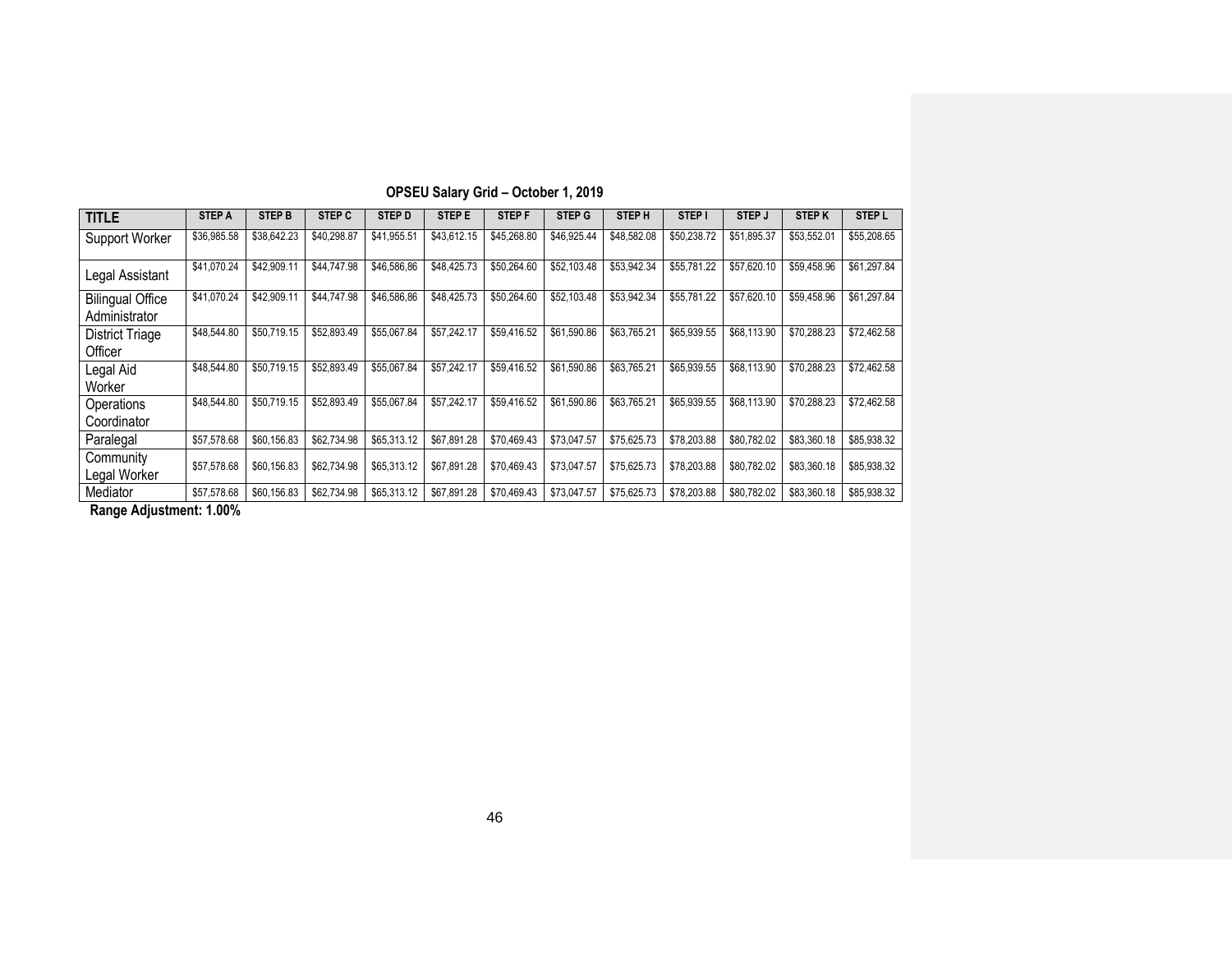| <b>TITLE</b>            | <b>STEP A</b> | <b>STEP B</b> | <b>STEP C</b> | <b>STEP D</b> | <b>STEPE</b> | <b>STEPF</b> | <b>STEP G</b> | <b>STEPH</b> | STEP <sub>I</sub> | <b>STEP J</b> | <b>STEPK</b> | <b>STEPL</b> |
|-------------------------|---------------|---------------|---------------|---------------|--------------|--------------|---------------|--------------|-------------------|---------------|--------------|--------------|
| Support Worker          | \$36,985.58   | \$38.642.23   | \$40,298.87   | \$41.955.51   | \$43.612.15  | \$45,268.80  | \$46,925.44   | \$48,582.08  | \$50.238.72       | \$51.895.37   | \$53,552.01  | \$55,208.65  |
| Legal Assistant         | \$41,070.24   | \$42,909.11   | \$44,747.98   | \$46,586,86   | \$48,425.73  | \$50,264.60  | \$52,103.48   | \$53,942.34  | \$55,781.22       | \$57,620.10   | \$59,458.96  | \$61,297.84  |
| <b>Bilingual Office</b> | \$41,070.24   | \$42.909.11   | \$44,747.98   | \$46,586,86   | \$48,425.73  | \$50,264.60  | \$52,103.48   | \$53,942.34  | \$55,781.22       | \$57,620.10   | \$59,458.96  | \$61,297.84  |
| Administrator           |               |               |               |               |              |              |               |              |                   |               |              |              |
| <b>District Triage</b>  | \$48,544.80   | \$50,719.15   | \$52,893.49   | \$55,067.84   | \$57.242.17  | \$59.416.52  | \$61,590.86   | \$63,765.21  | \$65,939.55       | \$68.113.90   | \$70,288.23  | \$72.462.58  |
| Officer                 |               |               |               |               |              |              |               |              |                   |               |              |              |
| Legal Aid               | \$48,544.80   | \$50,719.15   | \$52,893.49   | \$55,067.84   | \$57.242.17  | \$59.416.52  | \$61,590.86   | \$63,765.21  | \$65,939.55       | \$68,113.90   | \$70,288.23  | \$72,462.58  |
| Worker                  |               |               |               |               |              |              |               |              |                   |               |              |              |
| Operations              | \$48,544.80   | \$50.719.15   | \$52,893.49   | \$55,067.84   | \$57.242.17  | \$59.416.52  | \$61,590.86   | \$63.765.21  | \$65.939.55       | \$68.113.90   | \$70,288.23  | \$72.462.58  |
| Coordinator             |               |               |               |               |              |              |               |              |                   |               |              |              |
| Paralegal               | \$57,578.68   | \$60,156.83   | \$62,734.98   | \$65,313.12   | \$67,891.28  | \$70,469.43  | \$73,047.57   | \$75,625.73  | \$78,203.88       | \$80,782.02   | \$83,360.18  | \$85,938.32  |
| Community               |               |               |               |               |              |              |               |              |                   |               |              |              |
| Legal Worker            | \$57,578.68   | \$60,156.83   | \$62,734.98   | \$65,313.12   | \$67,891.28  | \$70,469.43  | \$73,047.57   | \$75,625.73  | \$78,203.88       | \$80,782.02   | \$83,360.18  | \$85,938.32  |
| Mediator                | \$57,578.68   | \$60,156.83   | \$62,734.98   | \$65,313.12   | \$67.891.28  | \$70,469.43  | \$73.047.57   | \$75,625.73  | \$78,203.88       | \$80.782.02   | \$83,360.18  | \$85,938.32  |

**OPSEU Salary Grid – October 1, 2019**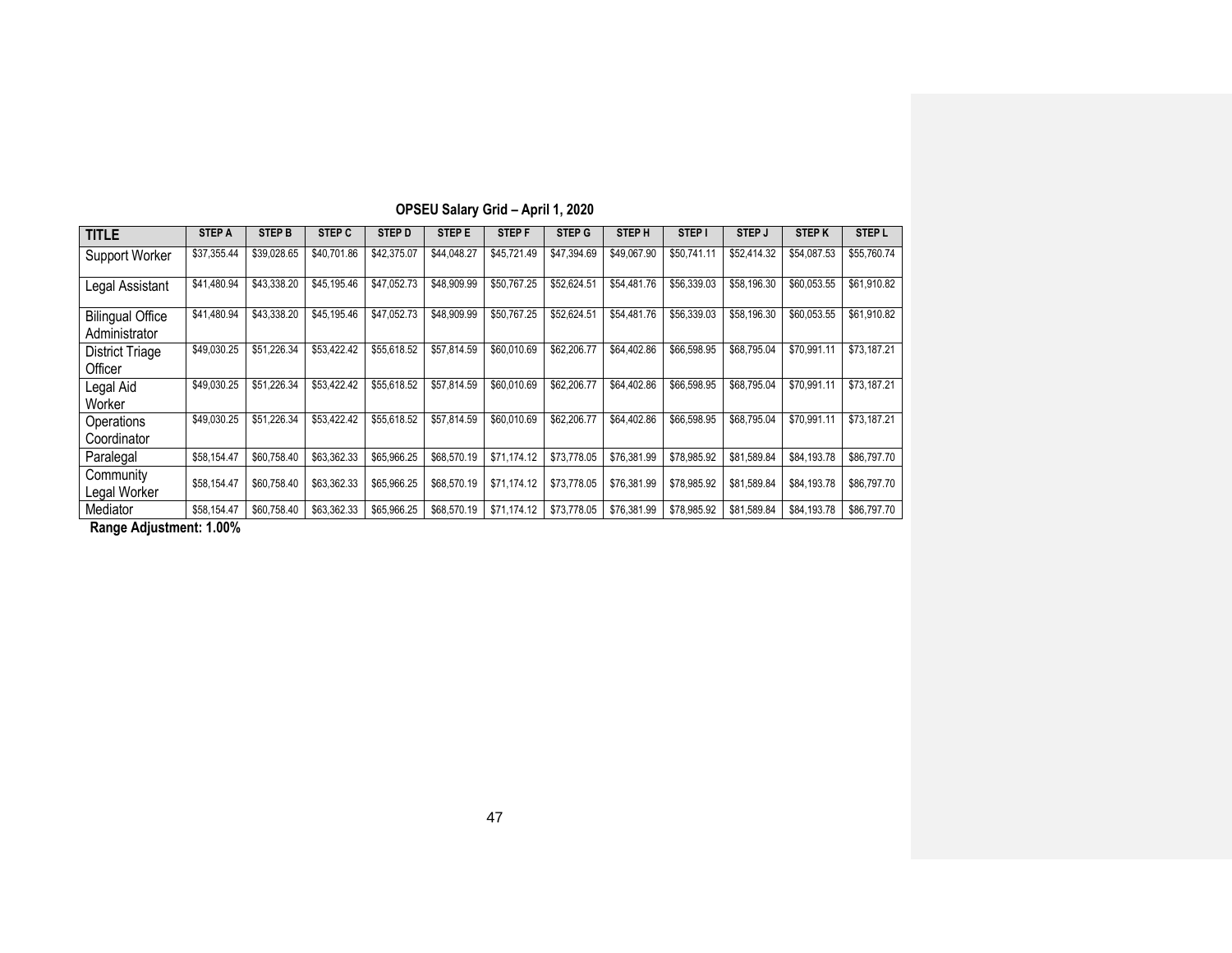| <b>TITLE</b>                             | <b>STEP A</b> | <b>STEP B</b> | <b>STEP C</b> | <b>STEP D</b> | <b>STEP E</b> | <b>STEPF</b> | <b>STEP G</b> | <b>STEPH</b> | STEP <sub>I</sub> | <b>STEP J</b> | <b>STEPK</b> | <b>STEP L</b> |
|------------------------------------------|---------------|---------------|---------------|---------------|---------------|--------------|---------------|--------------|-------------------|---------------|--------------|---------------|
| Support Worker                           | \$37,355.44   | \$39,028.65   | \$40,701.86   | \$42,375.07   | \$44,048.27   | \$45,721.49  | \$47,394.69   | \$49,067.90  | \$50.741.11       | \$52,414.32   | \$54,087.53  | \$55,760.74   |
| Legal Assistant                          | \$41,480.94   | \$43,338.20   | \$45,195.46   | \$47,052.73   | \$48,909.99   | \$50,767.25  | \$52,624.51   | \$54,481.76  | \$56,339.03       | \$58,196.30   | \$60.053.55  | \$61,910.82   |
| <b>Bilingual Office</b><br>Administrator | \$41,480.94   | \$43,338.20   | \$45,195.46   | \$47,052.73   | \$48,909.99   | \$50,767.25  | \$52,624.51   | \$54,481.76  | \$56,339.03       | \$58,196.30   | \$60,053.55  | \$61,910.82   |
| <b>District Triage</b><br>Officer        | \$49,030.25   | \$51,226.34   | \$53,422.42   | \$55,618.52   | \$57,814.59   | \$60,010.69  | \$62,206.77   | \$64,402.86  | \$66,598.95       | \$68,795.04   | \$70,991.11  | \$73,187.21   |
| Legal Aid<br>Worker                      | \$49,030.25   | \$51,226.34   | \$53,422.42   | \$55,618.52   | \$57.814.59   | \$60,010.69  | \$62,206.77   | \$64,402.86  | \$66,598.95       | \$68,795.04   | \$70.991.11  | \$73.187.21   |
| Operations<br>Coordinator                | \$49,030.25   | \$51,226.34   | \$53.422.42   | \$55,618.52   | \$57.814.59   | \$60,010.69  | \$62,206.77   | \$64,402.86  | \$66,598.95       | \$68,795.04   | \$70.991.11  | \$73.187.21   |
| Paralegal                                | \$58,154.47   | \$60,758.40   | \$63,362.33   | \$65,966.25   | \$68,570.19   | \$71,174.12  | \$73,778.05   | \$76,381.99  | \$78,985.92       | \$81,589.84   | \$84,193.78  | \$86,797.70   |
| Community<br>Legal Worker                | \$58,154.47   | \$60.758.40   | \$63,362.33   | \$65,966.25   | \$68,570.19   | \$71.174.12  | \$73,778.05   | \$76,381.99  | \$78,985.92       | \$81,589.84   | \$84,193.78  | \$86,797.70   |
| Mediator                                 | \$58,154.47   | \$60.758.40   | \$63,362,33   | \$65,966.25   | \$68,570.19   | \$71.174.12  | \$73,778.05   | \$76,381.99  | \$78,985.92       | \$81.589.84   | \$84,193.78  | \$86,797.70   |

# **OPSEU Salary Grid – April 1, 2020**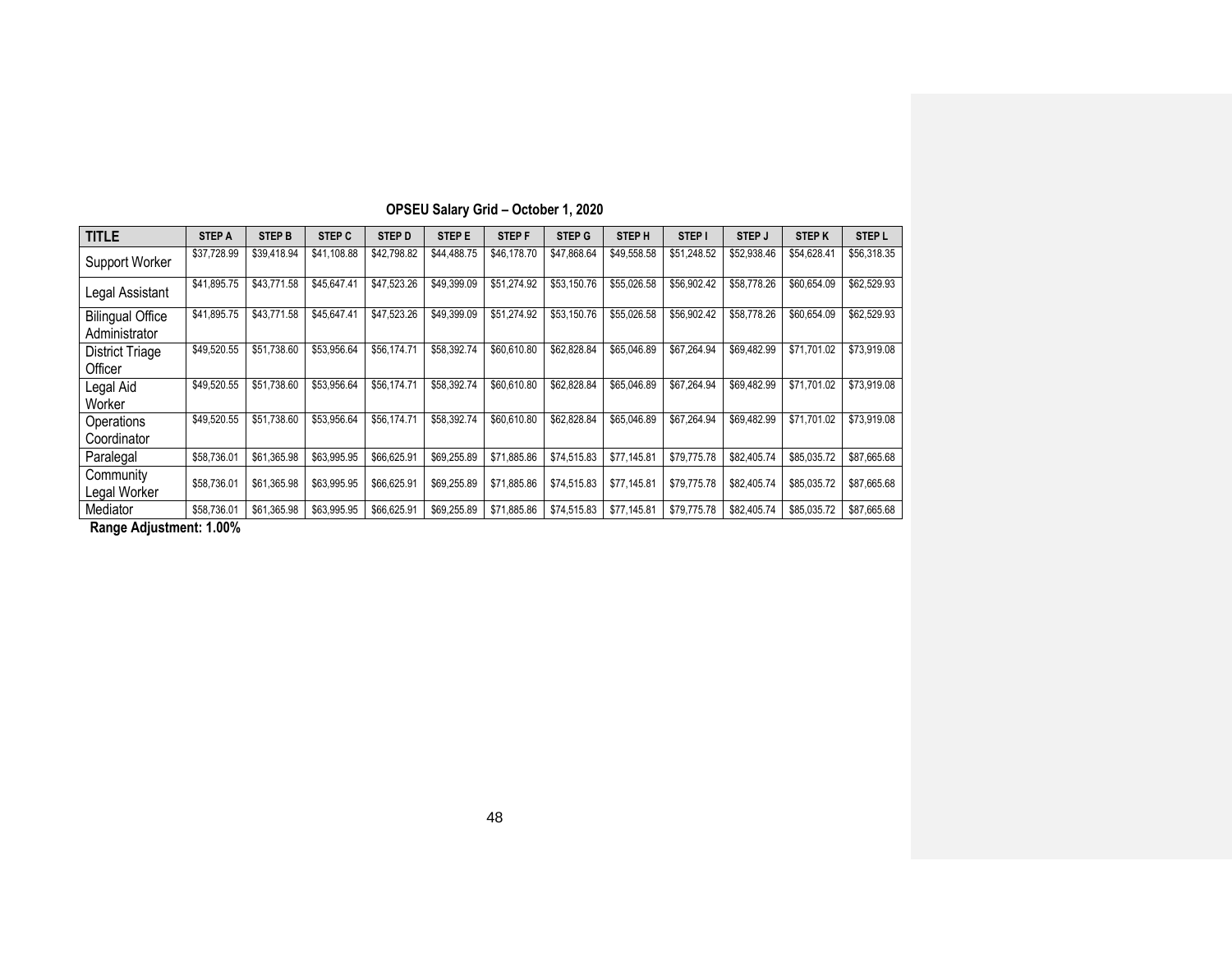| <b>TITLE</b>                             | <b>STEP A</b> | <b>STEP B</b> | <b>STEP C</b> | <b>STEP D</b> | <b>STEP E</b> | <b>STEPF</b> | <b>STEP G</b> | <b>STEPH</b> | STEP <sub>I</sub> | <b>STEP J</b> | <b>STEPK</b> | <b>STEP L</b> |
|------------------------------------------|---------------|---------------|---------------|---------------|---------------|--------------|---------------|--------------|-------------------|---------------|--------------|---------------|
| Support Worker                           | \$37,728.99   | \$39,418.94   | \$41,108.88   | \$42,798.82   | \$44,488.75   | \$46,178.70  | \$47,868.64   | \$49,558.58  | \$51,248.52       | \$52,938.46   | \$54,628.41  | \$56,318.35   |
| Legal Assistant                          | \$41,895.75   | \$43,771.58   | \$45,647.41   | \$47,523.26   | \$49.399.09   | \$51.274.92  | \$53,150.76   | \$55,026.58  | \$56,902.42       | \$58,778.26   | \$60.654.09  | \$62,529.93   |
| <b>Bilingual Office</b><br>Administrator | \$41,895.75   | \$43,771.58   | \$45,647.41   | \$47,523.26   | \$49,399.09   | \$51,274.92  | \$53,150.76   | \$55,026.58  | \$56,902.42       | \$58,778.26   | \$60,654.09  | \$62,529.93   |
| District Triage<br>Officer               | \$49,520.55   | \$51.738.60   | \$53,956.64   | \$56,174.71   | \$58,392.74   | \$60.610.80  | \$62,828.84   | \$65,046.89  | \$67,264.94       | \$69,482.99   | \$71,701.02  | \$73,919.08   |
| Legal Aid<br>Worker                      | \$49,520.55   | \$51.738.60   | \$53.956.64   | \$56,174.71   | \$58,392.74   | \$60,610.80  | \$62,828.84   | \$65.046.89  | \$67.264.94       | \$69,482.99   | \$71.701.02  | \$73.919.08   |
| Operations<br>Coordinator                | \$49,520.55   | \$51.738.60   | \$53,956.64   | \$56,174.71   | \$58,392.74   | \$60,610.80  | \$62,828.84   | \$65,046.89  | \$67,264.94       | \$69,482.99   | \$71,701.02  | \$73,919.08   |
| Paralegal                                | \$58,736.01   | \$61,365.98   | \$63,995.95   | \$66,625.91   | \$69,255.89   | \$71,885.86  | \$74,515.83   | \$77,145.81  | \$79,775.78       | \$82,405.74   | \$85,035.72  | \$87,665.68   |
| Community<br>Legal Worker                | \$58,736.01   | \$61,365.98   | \$63.995.95   | \$66.625.91   | \$69,255.89   | \$71,885.86  | \$74,515.83   | \$77.145.81  | \$79.775.78       | \$82,405.74   | \$85.035.72  | \$87,665.68   |
| Mediator                                 | \$58,736.01   | \$61,365.98   | \$63,995.95   | \$66,625.91   | \$69,255.89   | \$71,885.86  | \$74,515.83   | \$77,145.81  | \$79,775.78       | \$82,405.74   | \$85,035.72  | \$87,665.68   |

| OPSEU Salary Grid - October 1, 2020 |  |  |  |  |
|-------------------------------------|--|--|--|--|
|-------------------------------------|--|--|--|--|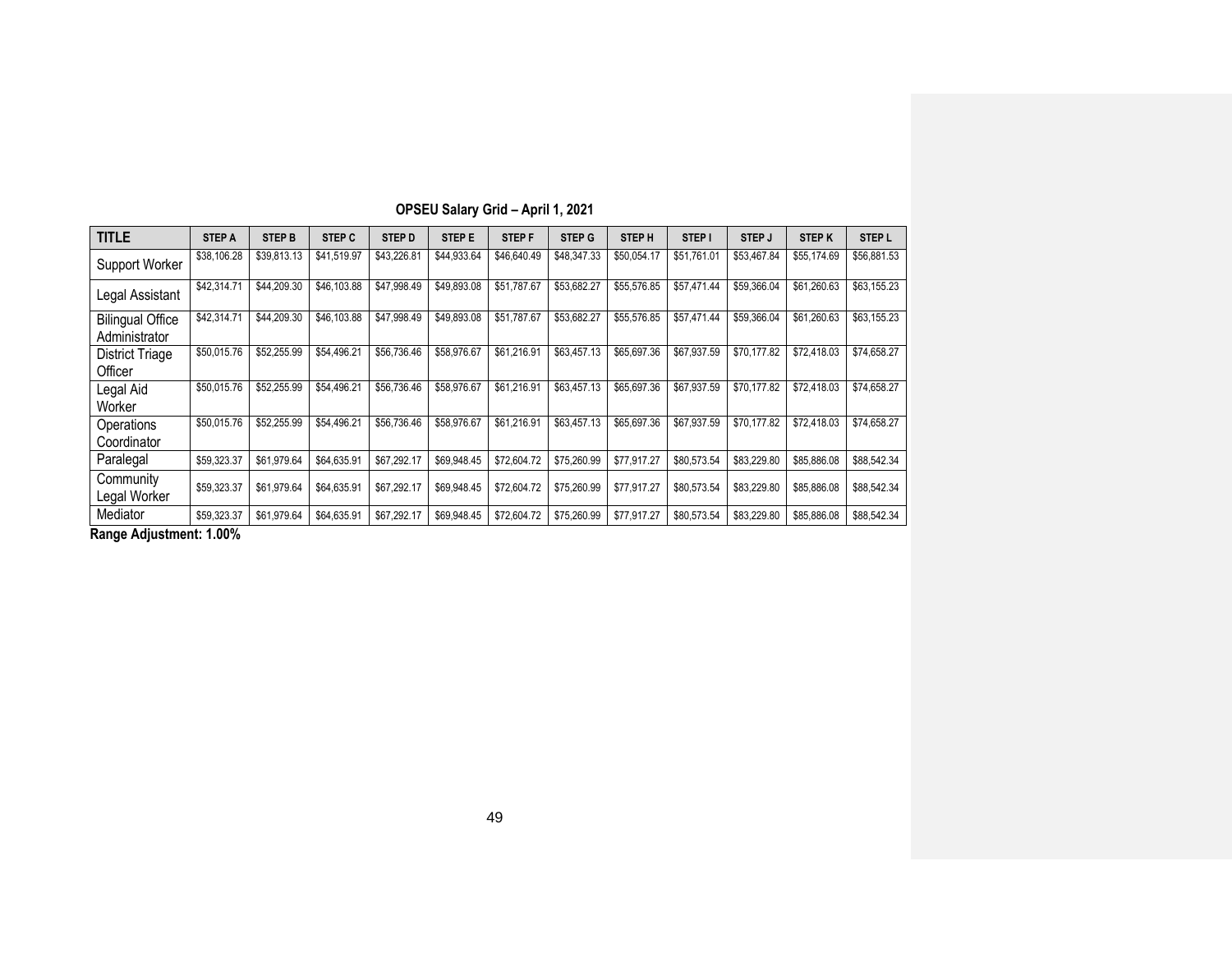| <b>TITLE</b>                             | <b>STEP A</b>                          | <b>STEP B</b> | <b>STEP C</b> | <b>STEP D</b> | <b>STEPE</b> | <b>STEPF</b> | <b>STEP G</b> | <b>STEPH</b> | STEP <sub>I</sub> | <b>STEP J</b> | <b>STEPK</b> | <b>STEPL</b> |
|------------------------------------------|----------------------------------------|---------------|---------------|---------------|--------------|--------------|---------------|--------------|-------------------|---------------|--------------|--------------|
| Support Worker                           | \$38,106.28                            | \$39,813.13   | \$41,519.97   | \$43,226.81   | \$44,933.64  | \$46,640.49  | \$48,347.33   | \$50,054.17  | \$51.761.01       | \$53,467.84   | \$55,174.69  | \$56,881.53  |
| Legal Assistant                          | \$42,314.71                            | \$44,209.30   | \$46,103.88   | \$47,998.49   | \$49,893.08  | \$51,787.67  | \$53,682.27   | \$55,576.85  | \$57,471.44       | \$59,366.04   | \$61,260.63  | \$63,155.23  |
| <b>Bilingual Office</b><br>Administrator | \$42.314.71                            | \$44,209.30   | \$46,103.88   | \$47.998.49   | \$49.893.08  | \$51,787.67  | \$53,682.27   | \$55,576.85  | \$57.471.44       | \$59,366.04   | \$61,260.63  | \$63.155.23  |
| District Triage<br>Officer               | \$50,015.76                            | \$52,255.99   | \$54,496.21   | \$56,736.46   | \$58,976.67  | \$61,216.91  | \$63,457.13   | \$65,697.36  | \$67,937.59       | \$70,177.82   | \$72,418.03  | \$74,658.27  |
| Legal Aid<br>Worker                      | \$50,015.76                            | \$52,255.99   | \$54,496.21   | \$56,736.46   | \$58,976.67  | \$61,216.91  | \$63,457.13   | \$65,697.36  | \$67,937.59       | \$70,177.82   | \$72,418.03  | \$74,658.27  |
| Operations<br>Coordinator                | \$50,015.76                            | \$52,255.99   | \$54,496.21   | \$56.736.46   | \$58,976.67  | \$61,216.91  | \$63,457.13   | \$65,697.36  | \$67,937.59       | \$70.177.82   | \$72,418.03  | \$74,658.27  |
| Paralegal                                | \$59,323.37                            | \$61,979.64   | \$64,635.91   | \$67,292.17   | \$69,948.45  | \$72,604.72  | \$75,260.99   | \$77,917.27  | \$80,573.54       | \$83,229.80   | \$85,886.08  | \$88,542.34  |
| Community<br>Legal Worker                | \$59,323.37                            | \$61,979.64   | \$64,635.91   | \$67,292.17   | \$69,948.45  | \$72,604.72  | \$75,260.99   | \$77,917.27  | \$80,573.54       | \$83,229.80   | \$85,886.08  | \$88,542.34  |
| Mediator<br>.                            | \$59,323.37<br>$\cdot$ $\cdot$ $\cdot$ | \$61,979.64   | \$64,635.91   | \$67,292.17   | \$69,948.45  | \$72,604.72  | \$75,260.99   | \$77,917.27  | \$80,573.54       | \$83,229.80   | \$85,886.08  | \$88,542.34  |

# **OPSEU Salary Grid – April 1, 2021**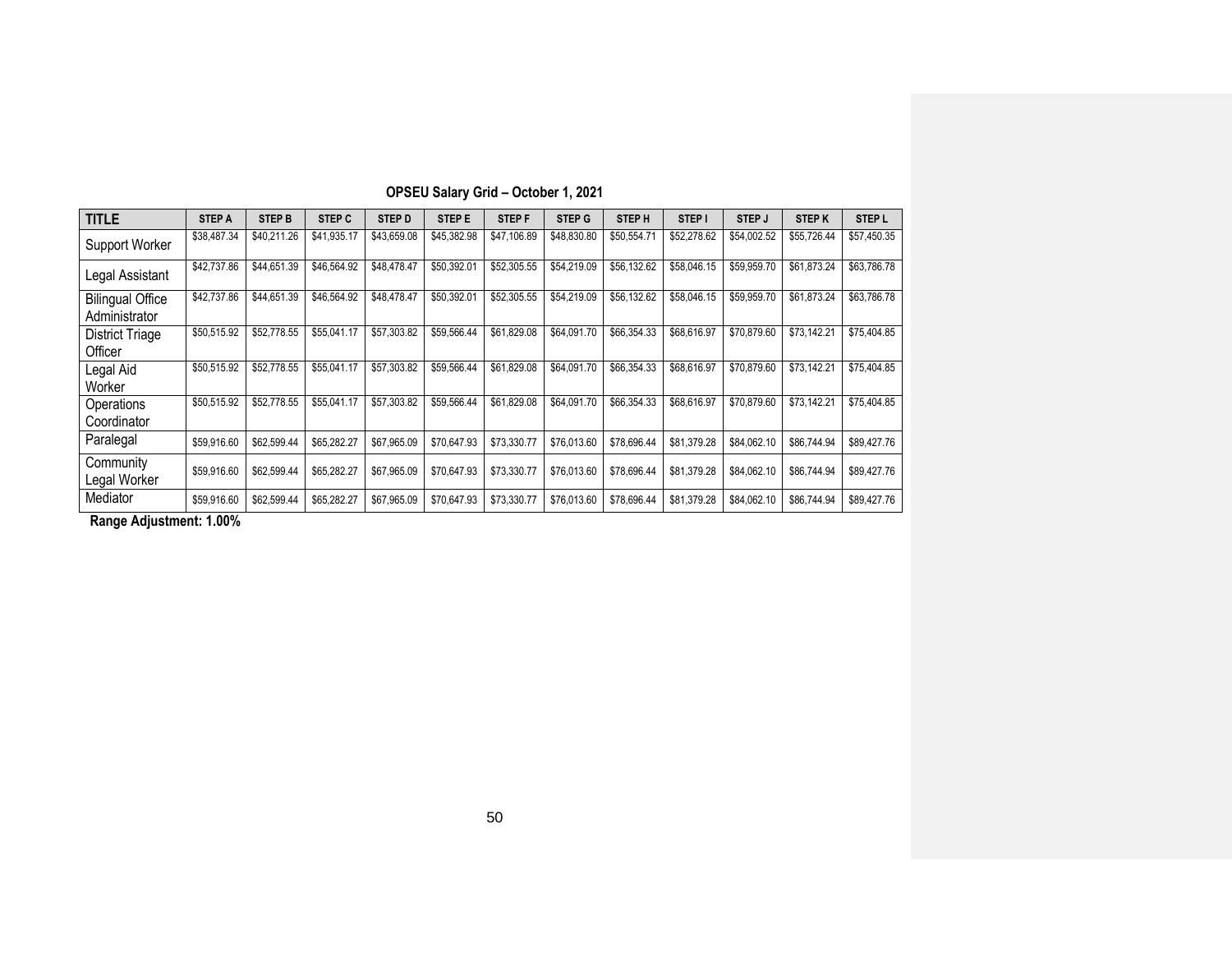| <b>TITLE</b>                             | <b>STEP A</b> | <b>STEP B</b> | <b>STEP C</b> | <b>STEP D</b> | <b>STEPE</b> | <b>STEPF</b> | <b>STEP G</b> | <b>STEPH</b> | STEP <sub>I</sub> | <b>STEP J</b> | <b>STEPK</b> | <b>STEPL</b> |
|------------------------------------------|---------------|---------------|---------------|---------------|--------------|--------------|---------------|--------------|-------------------|---------------|--------------|--------------|
| Support Worker                           | \$38,487.34   | \$40,211.26   | \$41,935.17   | \$43,659.08   | \$45,382.98  | \$47,106.89  | \$48,830.80   | \$50,554.71  | \$52,278.62       | \$54,002.52   | \$55,726.44  | \$57,450.35  |
| Legal Assistant                          | \$42,737.86   | \$44,651.39   | \$46,564.92   | \$48,478.47   | \$50,392.01  | \$52,305.55  | \$54,219.09   | \$56,132.62  | \$58,046.15       | \$59,959.70   | \$61,873.24  | \$63,786.78  |
| <b>Bilingual Office</b><br>Administrator | \$42,737.86   | \$44,651.39   | \$46,564.92   | \$48,478.47   | \$50,392.01  | \$52,305.55  | \$54,219.09   | \$56,132.62  | \$58,046.15       | \$59,959.70   | \$61,873.24  | \$63,786.78  |
| <b>District Triage</b><br>Officer        | \$50,515.92   | \$52,778.55   | \$55,041.17   | \$57,303.82   | \$59,566.44  | \$61,829.08  | \$64,091.70   | \$66,354.33  | \$68,616.97       | \$70,879.60   | \$73,142.21  | \$75,404.85  |
| Legal Aid<br>Worker                      | \$50,515.92   | \$52.778.55   | \$55.041.17   | \$57,303.82   | \$59,566.44  | \$61.829.08  | \$64.091.70   | \$66,354.33  | \$68,616.97       | \$70.879.60   | \$73.142.21  | \$75.404.85  |
| Operations<br>Coordinator                | \$50,515.92   | \$52.778.55   | \$55,041.17   | \$57,303.82   | \$59,566.44  | \$61,829.08  | \$64,091.70   | \$66,354.33  | \$68,616.97       | \$70.879.60   | \$73,142.21  | \$75.404.85  |
| Paralegal                                | \$59,916.60   | \$62,599.44   | \$65,282.27   | \$67,965.09   | \$70,647.93  | \$73,330.77  | \$76,013.60   | \$78,696.44  | \$81.379.28       | \$84.062.10   | \$86,744.94  | \$89,427.76  |
| Community<br>Legal Worker                | \$59,916.60   | \$62,599.44   | \$65,282.27   | \$67,965.09   | \$70,647.93  | \$73,330.77  | \$76,013.60   | \$78,696.44  | \$81,379.28       | \$84,062.10   | \$86,744.94  | \$89,427.76  |
| Mediator                                 | \$59,916.60   | \$62,599.44   | \$65,282.27   | \$67,965.09   | \$70,647.93  | \$73,330.77  | \$76,013.60   | \$78,696.44  | \$81,379.28       | \$84,062.10   | \$86,744.94  | \$89,427.76  |

**OPSEU Salary Grid – October 1, 2021**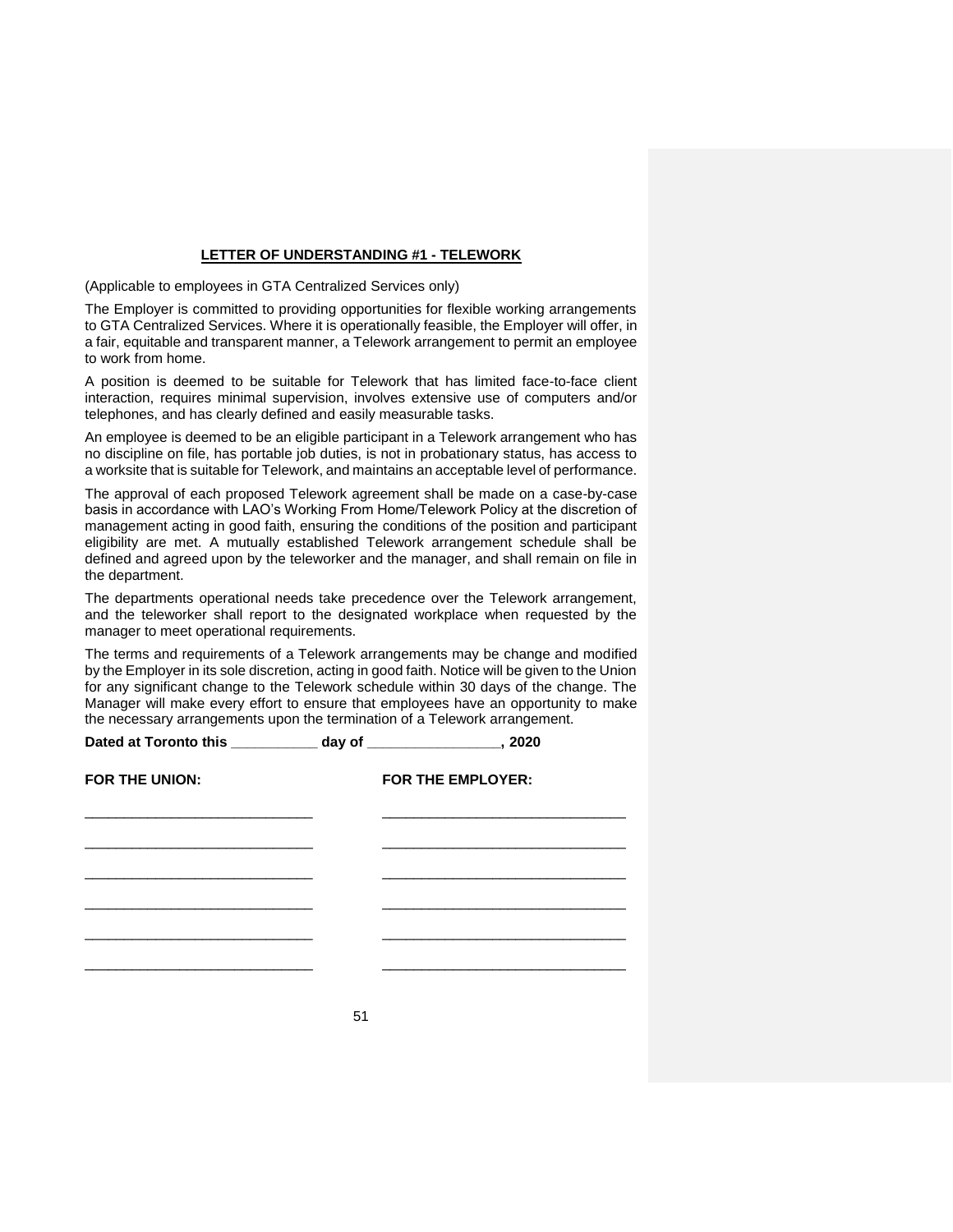#### **LETTER OF UNDERSTANDING #1 - TELEWORK**

<span id="page-53-0"></span>(Applicable to employees in GTA Centralized Services only)

The Employer is committed to providing opportunities for flexible working arrangements to GTA Centralized Services. Where it is operationally feasible, the Employer will offer, in a fair, equitable and transparent manner, a Telework arrangement to permit an employee to work from home.

A position is deemed to be suitable for Telework that has limited face-to-face client interaction, requires minimal supervision, involves extensive use of computers and/or telephones, and has clearly defined and easily measurable tasks.

An employee is deemed to be an eligible participant in a Telework arrangement who has no discipline on file, has portable job duties, is not in probationary status, has access to a worksite that is suitable for Telework, and maintains an acceptable level of performance.

The approval of each proposed Telework agreement shall be made on a case-by-case basis in accordance with LAO's Working From Home/Telework Policy at the discretion of management acting in good faith, ensuring the conditions of the position and participant eligibility are met. A mutually established Telework arrangement schedule shall be defined and agreed upon by the teleworker and the manager, and shall remain on file in the department.

The departments operational needs take precedence over the Telework arrangement, and the teleworker shall report to the designated workplace when requested by the manager to meet operational requirements.

The terms and requirements of a Telework arrangements may be change and modified by the Employer in its sole discretion, acting in good faith. Notice will be given to the Union for any significant change to the Telework schedule within 30 days of the change. The Manager will make every effort to ensure that employees have an opportunity to make the necessary arrangements upon the termination of a Telework arrangement.

<span id="page-53-1"></span>**Dated at Toronto this \_\_\_\_\_\_\_\_\_\_\_ day of \_\_\_\_\_\_\_\_\_\_\_\_\_\_\_\_\_, 2020**

| FOR THE UNION:                                                                                                                                                | <b>FOR THE EMPLOYER:</b>                                                   |
|---------------------------------------------------------------------------------------------------------------------------------------------------------------|----------------------------------------------------------------------------|
| the contract of the contract of the contract of the contract of the contract of<br>the control of the control of the control of the control of the control of | the control of the control of the control of the control of the control of |
|                                                                                                                                                               |                                                                            |
|                                                                                                                                                               |                                                                            |
|                                                                                                                                                               |                                                                            |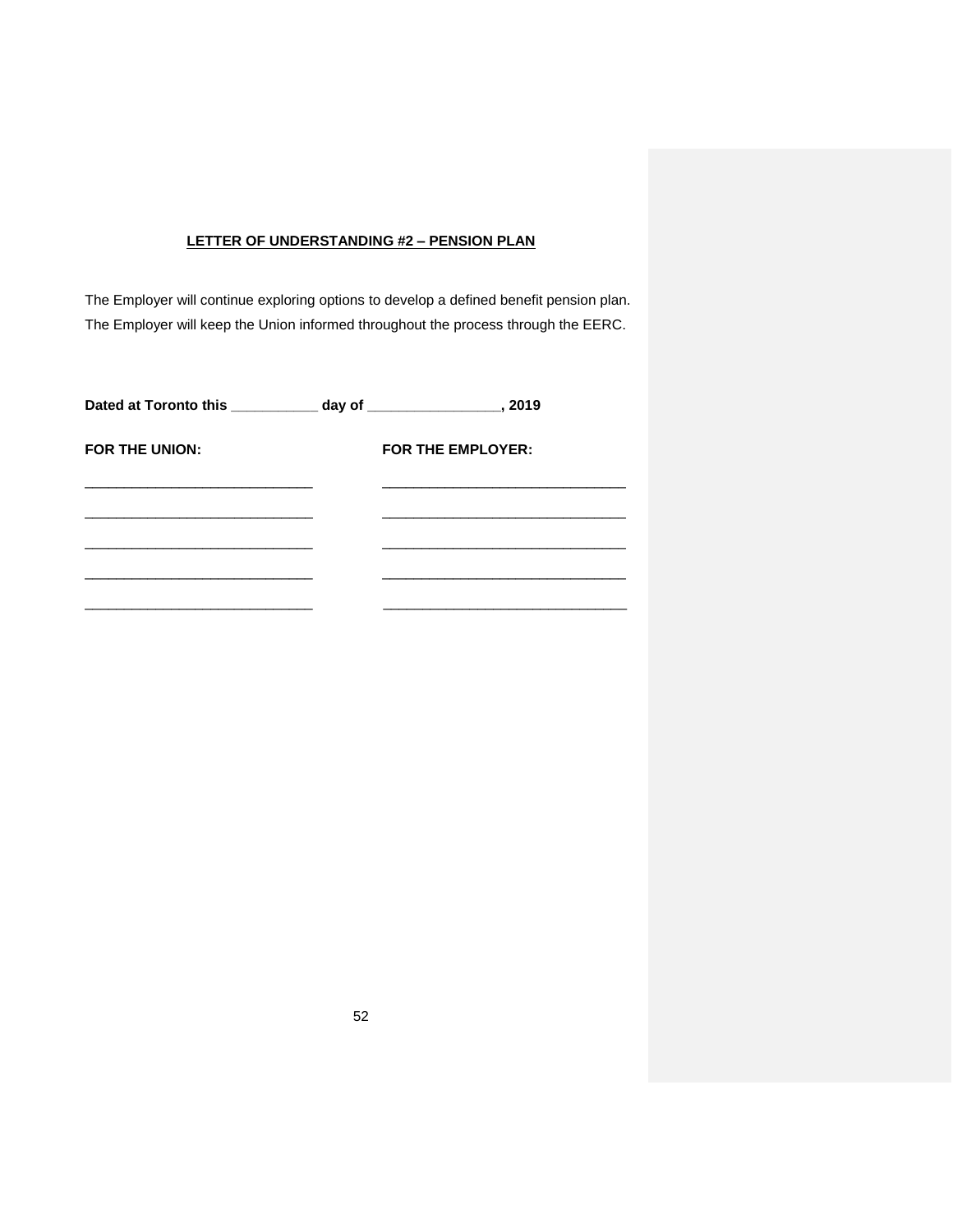# **LETTER OF UNDERSTANDING #2 – PENSION PLAN**

The Employer will continue exploring options to develop a defined benefit pension plan. The Employer will keep the Union informed throughout the process through the EERC.

| Dated at Toronto this _____________ day of ____________________, 2019 |                          |
|-----------------------------------------------------------------------|--------------------------|
| <b>FOR THE UNION:</b>                                                 | <b>FOR THE EMPLOYER:</b> |
|                                                                       |                          |
|                                                                       |                          |
|                                                                       |                          |
|                                                                       |                          |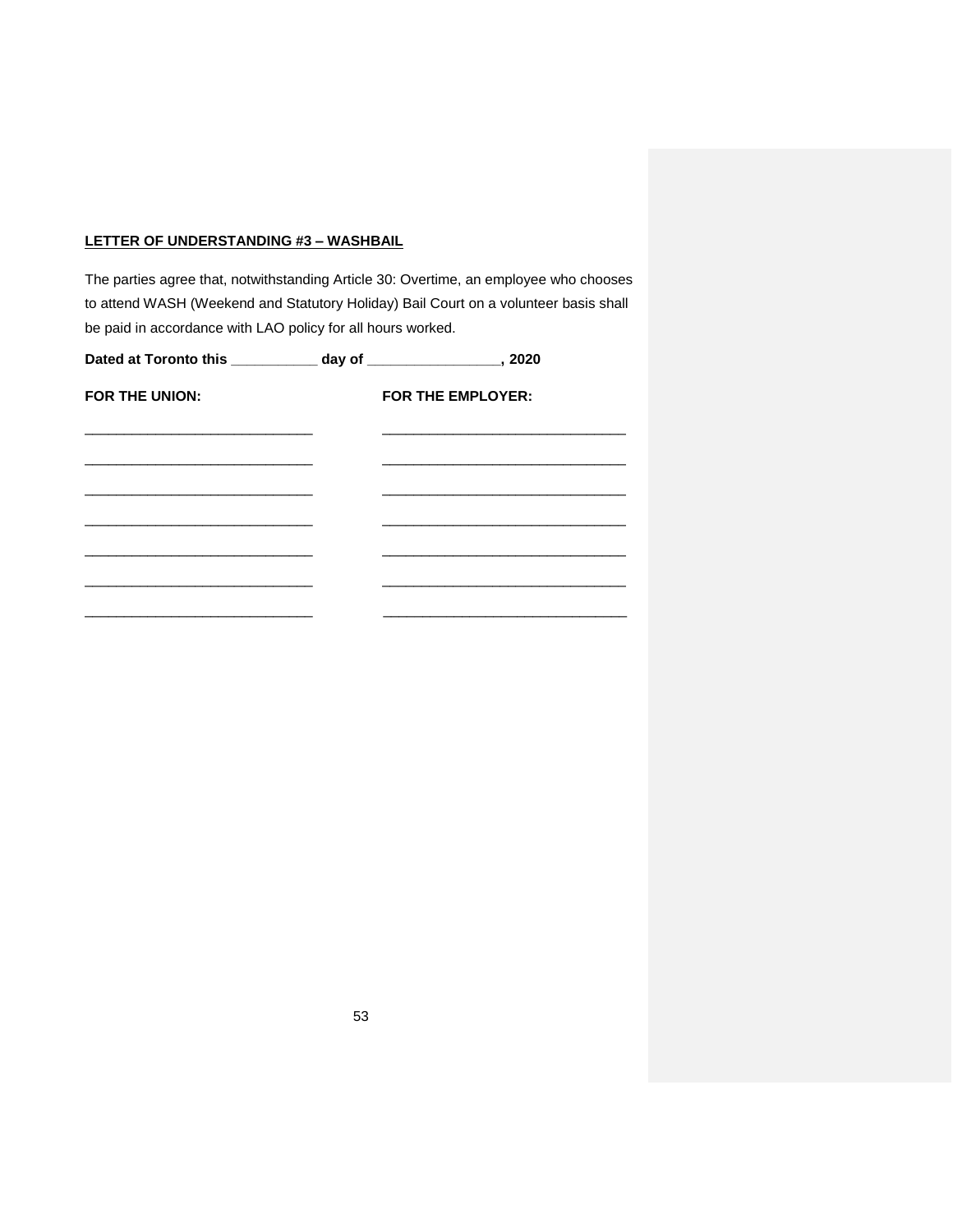# <span id="page-55-0"></span>**LETTER OF UNDERSTANDING #3 – WASHBAIL**

The parties agree that, notwithstanding Article 30: Overtime, an employee who chooses to attend WASH (Weekend and Statutory Holiday) Bail Court on a volunteer basis shall be paid in accordance with LAO policy for all hours worked.

| Dated at Toronto this | day of | . 2020 |
|-----------------------|--------|--------|
|-----------------------|--------|--------|

| <b>FOR THE UNION:</b> | <b>FOR THE EMPLOYER:</b> |
|-----------------------|--------------------------|
|                       |                          |
|                       |                          |
|                       |                          |
|                       |                          |
|                       |                          |
|                       |                          |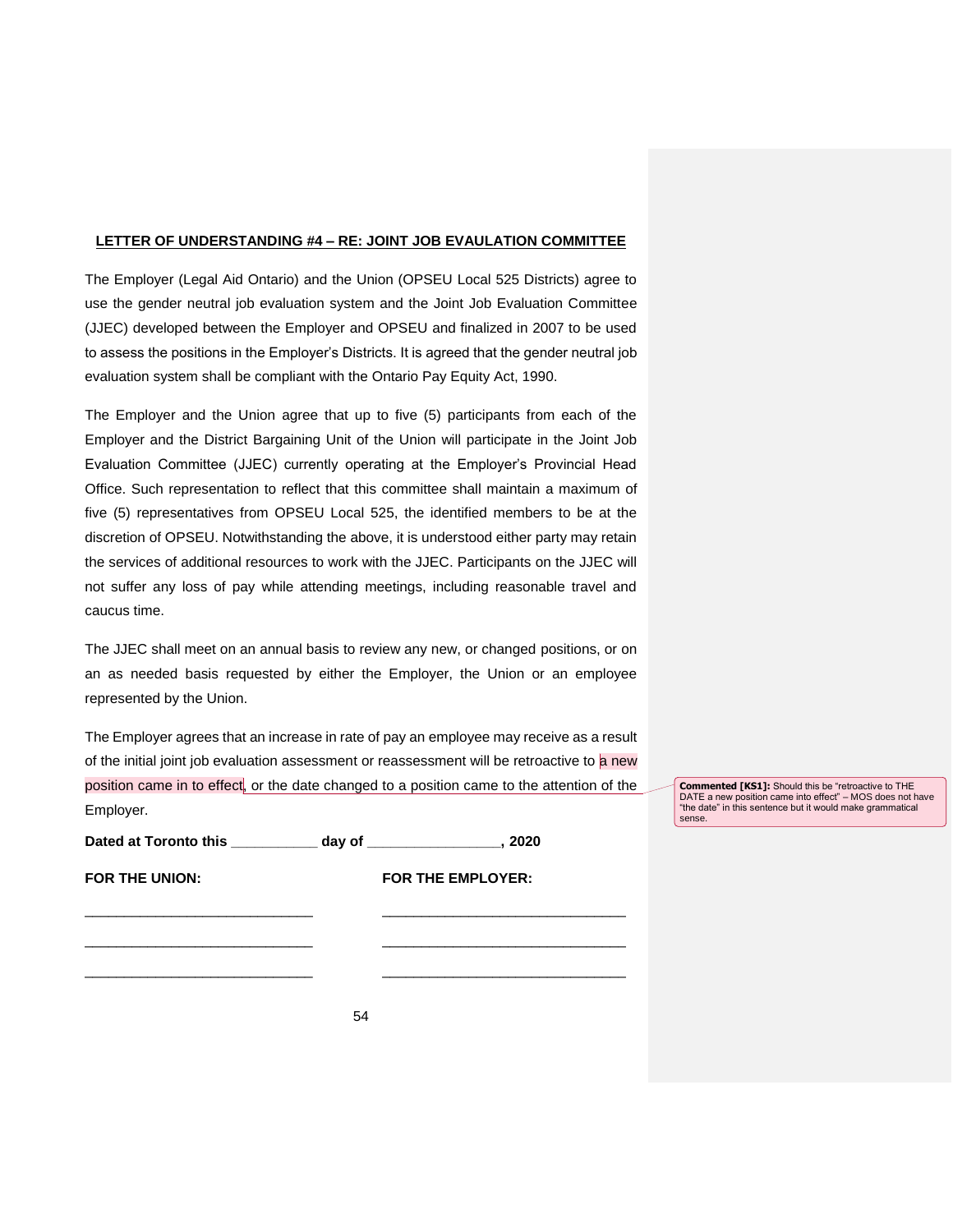#### <span id="page-56-0"></span>**LETTER OF UNDERSTANDING #4 – RE: JOINT JOB EVAULATION COMMITTEE**

The Employer (Legal Aid Ontario) and the Union (OPSEU Local 525 Districts) agree to use the gender neutral job evaluation system and the Joint Job Evaluation Committee (JJEC) developed between the Employer and OPSEU and finalized in 2007 to be used to assess the positions in the Employer's Districts. It is agreed that the gender neutral job evaluation system shall be compliant with the Ontario Pay Equity Act, 1990.

The Employer and the Union agree that up to five (5) participants from each of the Employer and the District Bargaining Unit of the Union will participate in the Joint Job Evaluation Committee (JJEC) currently operating at the Employer's Provincial Head Office. Such representation to reflect that this committee shall maintain a maximum of five (5) representatives from OPSEU Local 525, the identified members to be at the discretion of OPSEU. Notwithstanding the above, it is understood either party may retain the services of additional resources to work with the JJEC. Participants on the JJEC will not suffer any loss of pay while attending meetings, including reasonable travel and caucus time.

The JJEC shall meet on an annual basis to review any new, or changed positions, or on an as needed basis requested by either the Employer, the Union or an employee represented by the Union.

The Employer agrees that an increase in rate of pay an employee may receive as a result of the initial joint job evaluation assessment or reassessment will be retroactive to a new position came in to effect, or the date changed to a position came to the attention of the Employer.

| Dated at Toronto this | day of | .2020 |
|-----------------------|--------|-------|
|                       |        |       |

**FOR THE UNION: FOR THE EMPLOYER:**

**Commented [KS1]:** Should this be "retroactive to THE DATE a new position came into effect" – MOS does not have "the date" in this sentence but it would make grammatical sense.

 $\_$  , and the set of the set of the set of the set of the set of the set of the set of the set of the set of the set of the set of the set of the set of the set of the set of the set of the set of the set of the set of th \_\_\_\_\_\_\_\_\_\_\_\_\_\_\_\_\_\_\_\_\_\_\_\_\_\_\_\_\_ \_\_\_\_\_\_\_\_\_\_\_\_\_\_\_\_\_\_\_\_\_\_\_\_\_\_\_\_\_\_\_ \_\_\_\_\_\_\_\_\_\_\_\_\_\_\_\_\_\_\_\_\_\_\_\_\_\_\_\_\_ \_\_\_\_\_\_\_\_\_\_\_\_\_\_\_\_\_\_\_\_\_\_\_\_\_\_\_\_\_\_\_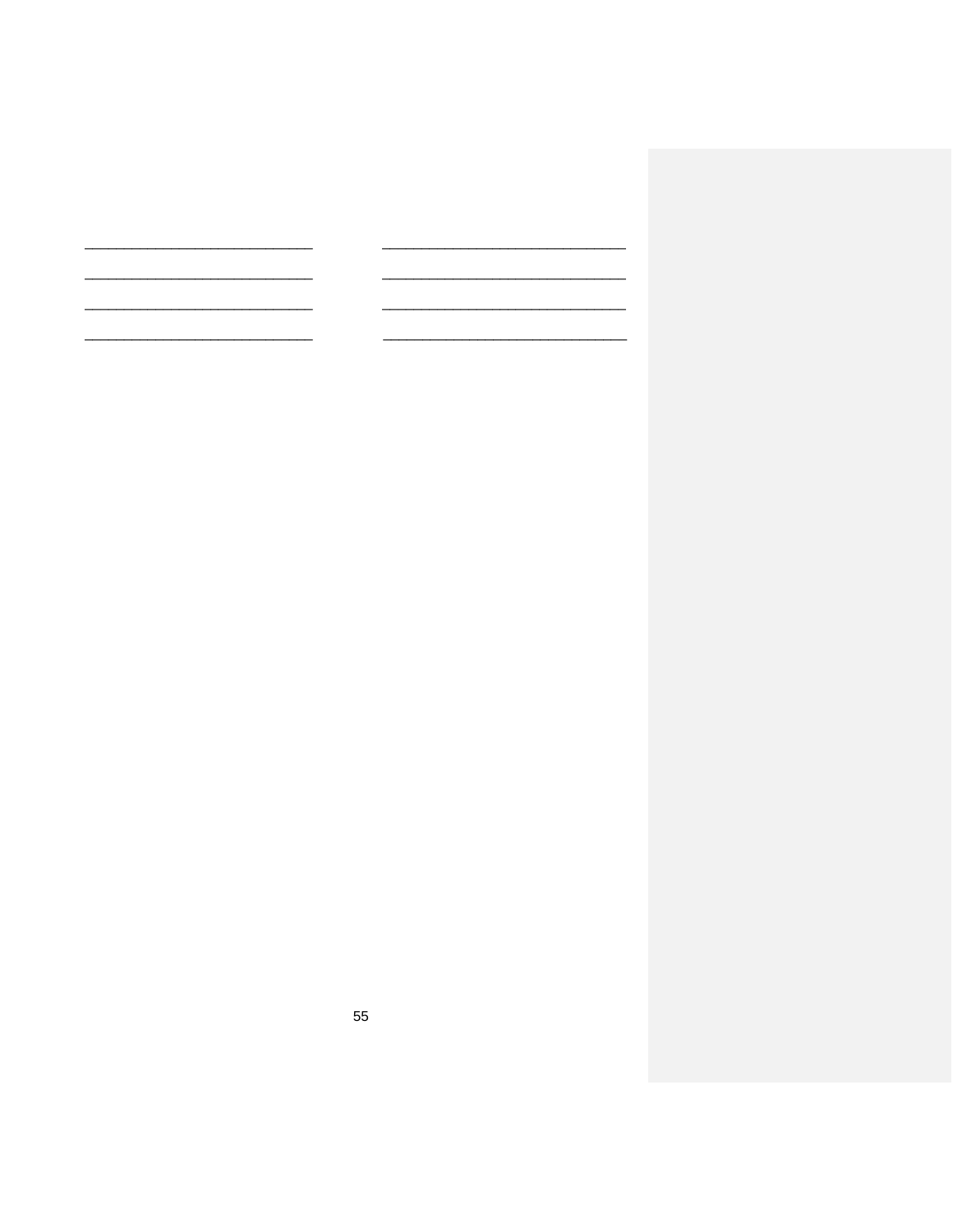$\overline{\phantom{0}}$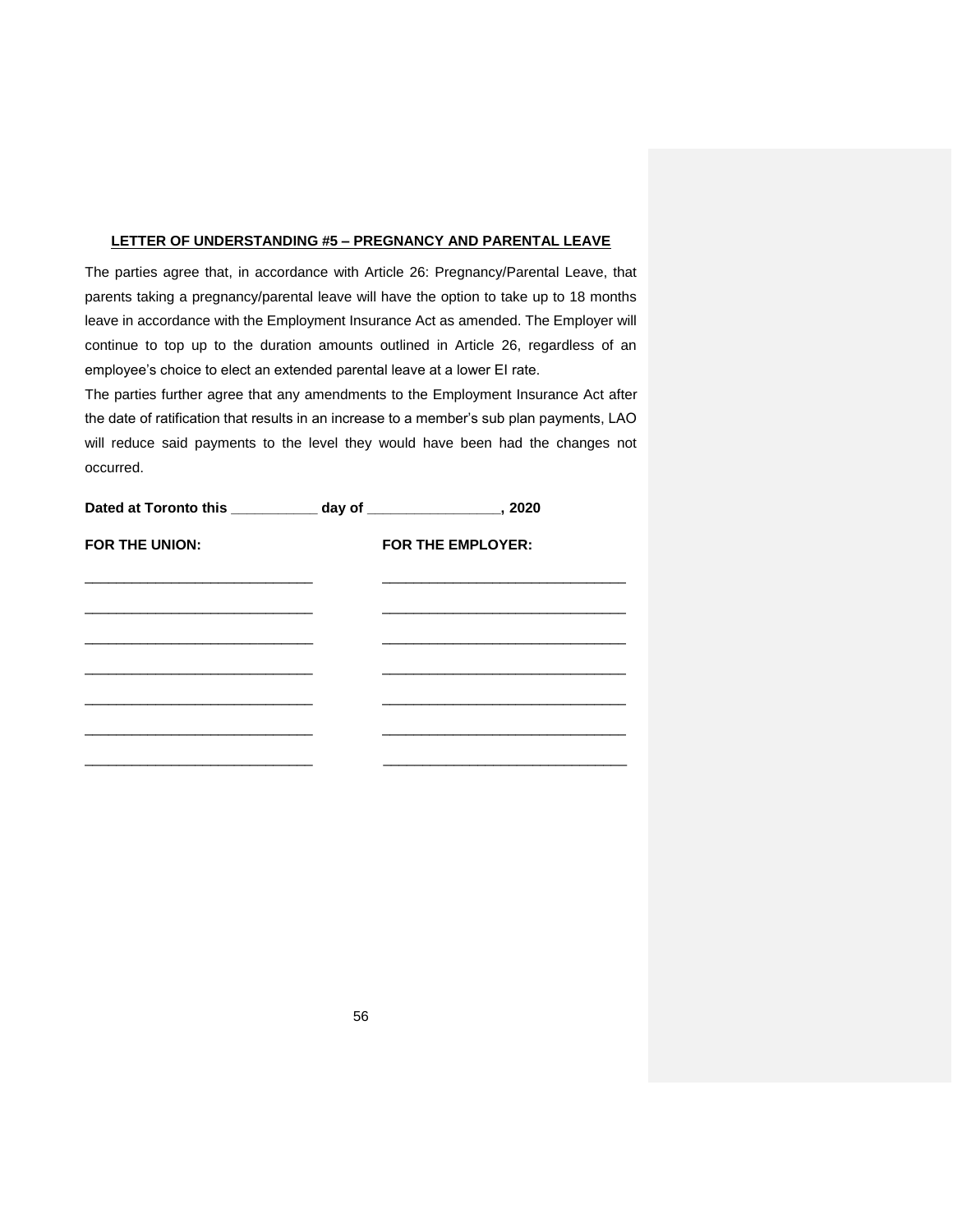#### <span id="page-58-0"></span>**LETTER OF UNDERSTANDING #5 – PREGNANCY AND PARENTAL LEAVE**

The parties agree that, in accordance with Article 26: Pregnancy/Parental Leave, that parents taking a pregnancy/parental leave will have the option to take up to 18 months leave in accordance with the Employment Insurance Act as amended. The Employer will continue to top up to the duration amounts outlined in Article 26, regardless of an employee's choice to elect an extended parental leave at a lower EI rate.

The parties further agree that any amendments to the Employment Insurance Act after the date of ratification that results in an increase to a member's sub plan payments, LAO will reduce said payments to the level they would have been had the changes not occurred.

| Dated at Toronto this ____________ day of ____________________, 2020                      |                          |
|-------------------------------------------------------------------------------------------|--------------------------|
| <b>FOR THE UNION:</b>                                                                     | <b>FOR THE EMPLOYER:</b> |
| the control of the control of the control of the control of the control of the control of |                          |
|                                                                                           |                          |
|                                                                                           |                          |
|                                                                                           |                          |
|                                                                                           |                          |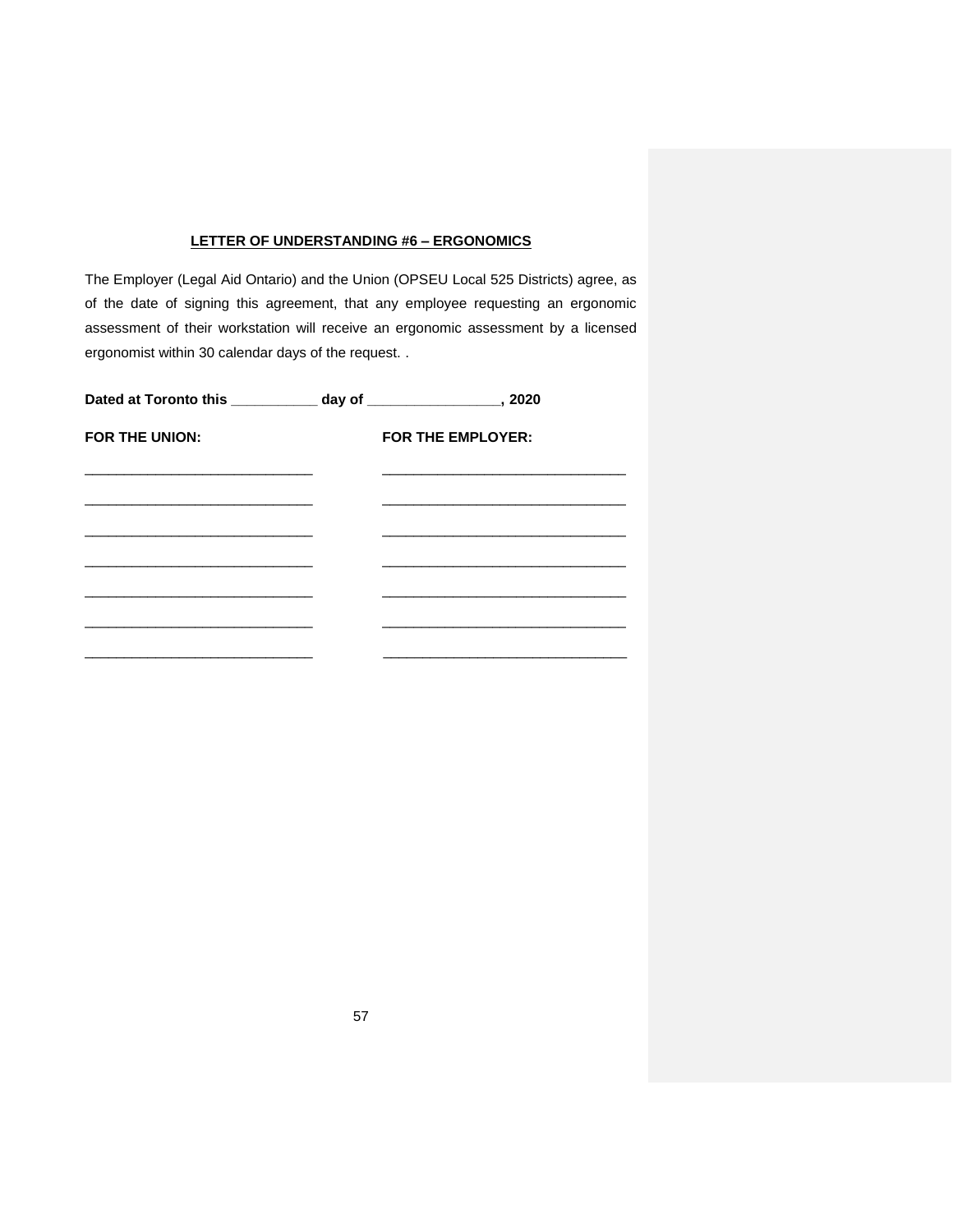# **LETTER OF UNDERSTANDING #6 – ERGONOMICS**

<span id="page-59-0"></span>The Employer (Legal Aid Ontario) and the Union (OPSEU Local 525 Districts) agree, as of the date of signing this agreement, that any employee requesting an ergonomic assessment of their workstation will receive an ergonomic assessment by a licensed ergonomist within 30 calendar days of the request. .

| Dated at Toronto this ____________ day of ____________________, 2020                                                                                                                                                          |                                                                                                                       |  |
|-------------------------------------------------------------------------------------------------------------------------------------------------------------------------------------------------------------------------------|-----------------------------------------------------------------------------------------------------------------------|--|
| <b>FOR THE UNION:</b>                                                                                                                                                                                                         | <b>FOR THE EMPLOYER:</b>                                                                                              |  |
|                                                                                                                                                                                                                               |                                                                                                                       |  |
| the control of the control of the control of the control of the control of the control of the control of the control of the control of the control of the control of the control of the control of the control of the control | <u> 1980 - Johann John Stone, markin amerikan bisa di sebagai personal dan personal dan personal dan personal dan</u> |  |
|                                                                                                                                                                                                                               |                                                                                                                       |  |
|                                                                                                                                                                                                                               |                                                                                                                       |  |
|                                                                                                                                                                                                                               |                                                                                                                       |  |
|                                                                                                                                                                                                                               |                                                                                                                       |  |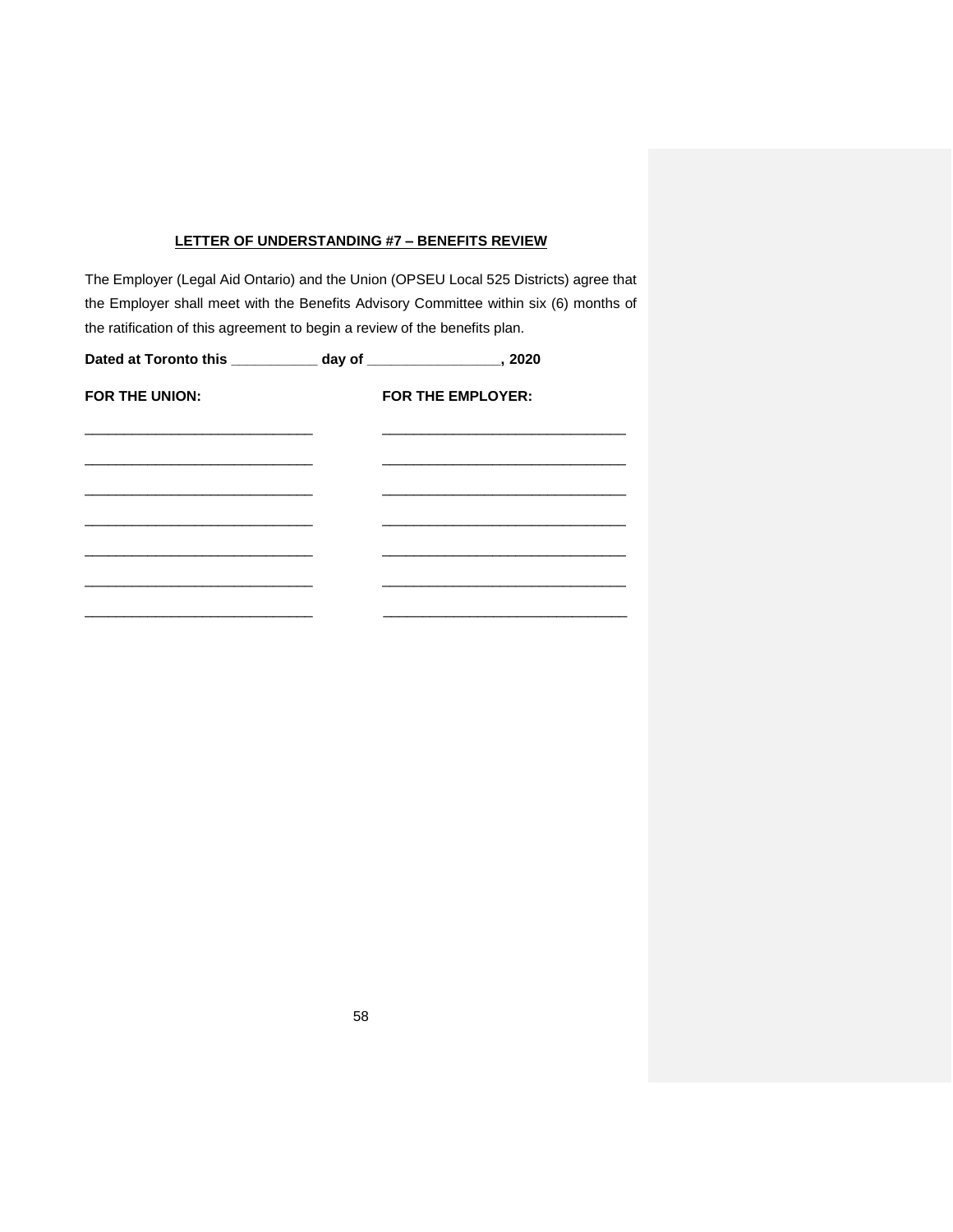# **LETTER OF UNDERSTANDING #7 – BENEFITS REVIEW**

<span id="page-60-0"></span>The Employer (Legal Aid Ontario) and the Union (OPSEU Local 525 Districts) agree that the Employer shall meet with the Benefits Advisory Committee within six (6) months of the ratification of this agreement to begin a review of the benefits plan.

| Dated at Toronto this | dav of | .2020 |
|-----------------------|--------|-------|

| <b>FOR THE UNION:</b> | <b>FOR THE EMPLOYER:</b> |
|-----------------------|--------------------------|
|                       |                          |
|                       |                          |
|                       |                          |
|                       |                          |
|                       |                          |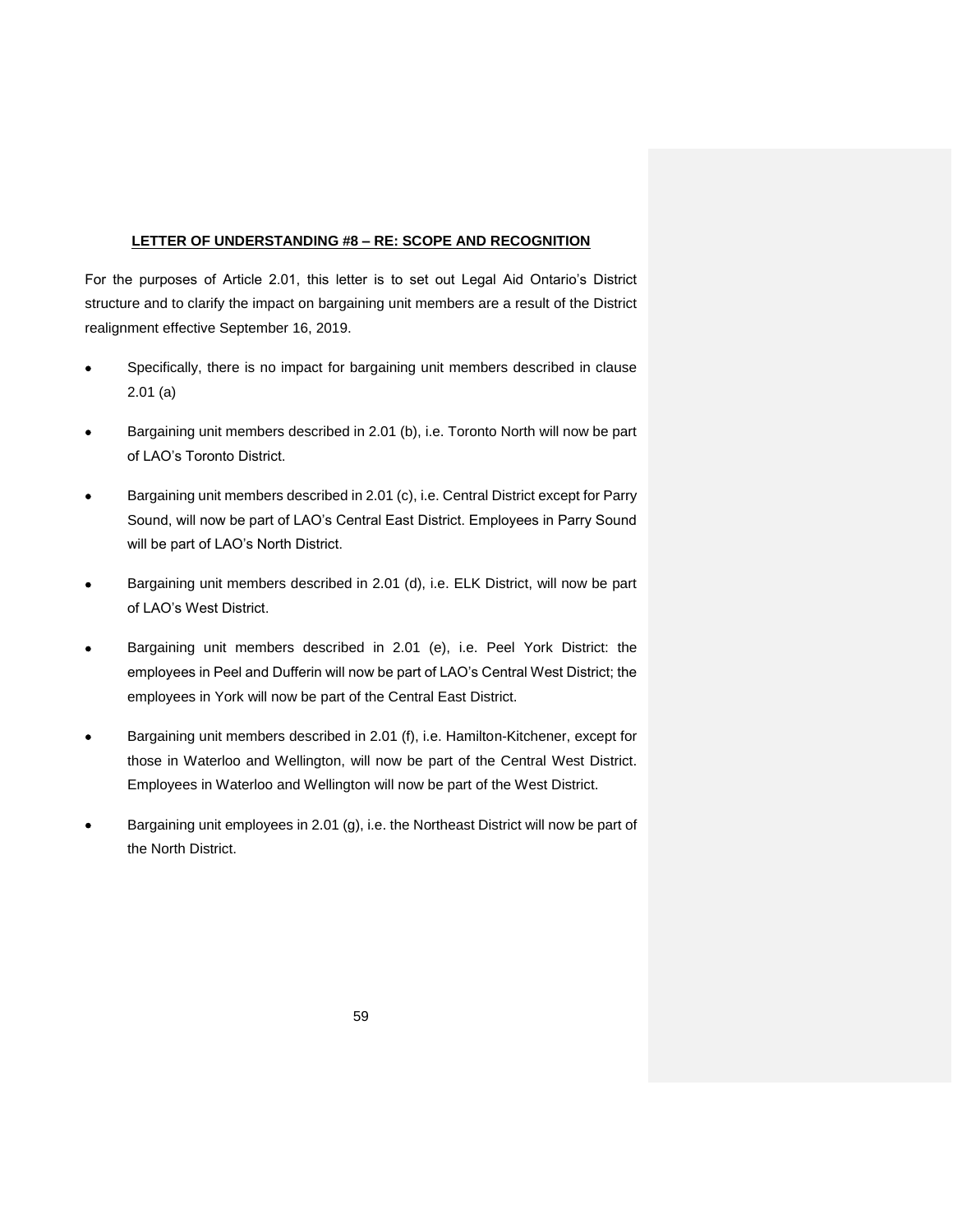#### **LETTER OF UNDERSTANDING #8 – RE: SCOPE AND RECOGNITION**

<span id="page-61-0"></span>For the purposes of Article 2.01, this letter is to set out Legal Aid Ontario's District structure and to clarify the impact on bargaining unit members are a result of the District realignment effective September 16, 2019.

- Specifically, there is no impact for bargaining unit members described in clause 2.01 (a)
- Bargaining unit members described in 2.01 (b), i.e. Toronto North will now be part of LAO's Toronto District.
- Bargaining unit members described in 2.01 (c), i.e. Central District except for Parry Sound, will now be part of LAO's Central East District. Employees in Parry Sound will be part of LAO's North District.
- Bargaining unit members described in 2.01 (d), i.e. ELK District, will now be part of LAO's West District.
- Bargaining unit members described in 2.01 (e), i.e. Peel York District: the employees in Peel and Dufferin will now be part of LAO's Central West District; the employees in York will now be part of the Central East District.
- Bargaining unit members described in 2.01 (f), i.e. Hamilton-Kitchener, except for those in Waterloo and Wellington, will now be part of the Central West District. Employees in Waterloo and Wellington will now be part of the West District.
- Bargaining unit employees in 2.01 (g), i.e. the Northeast District will now be part of the North District.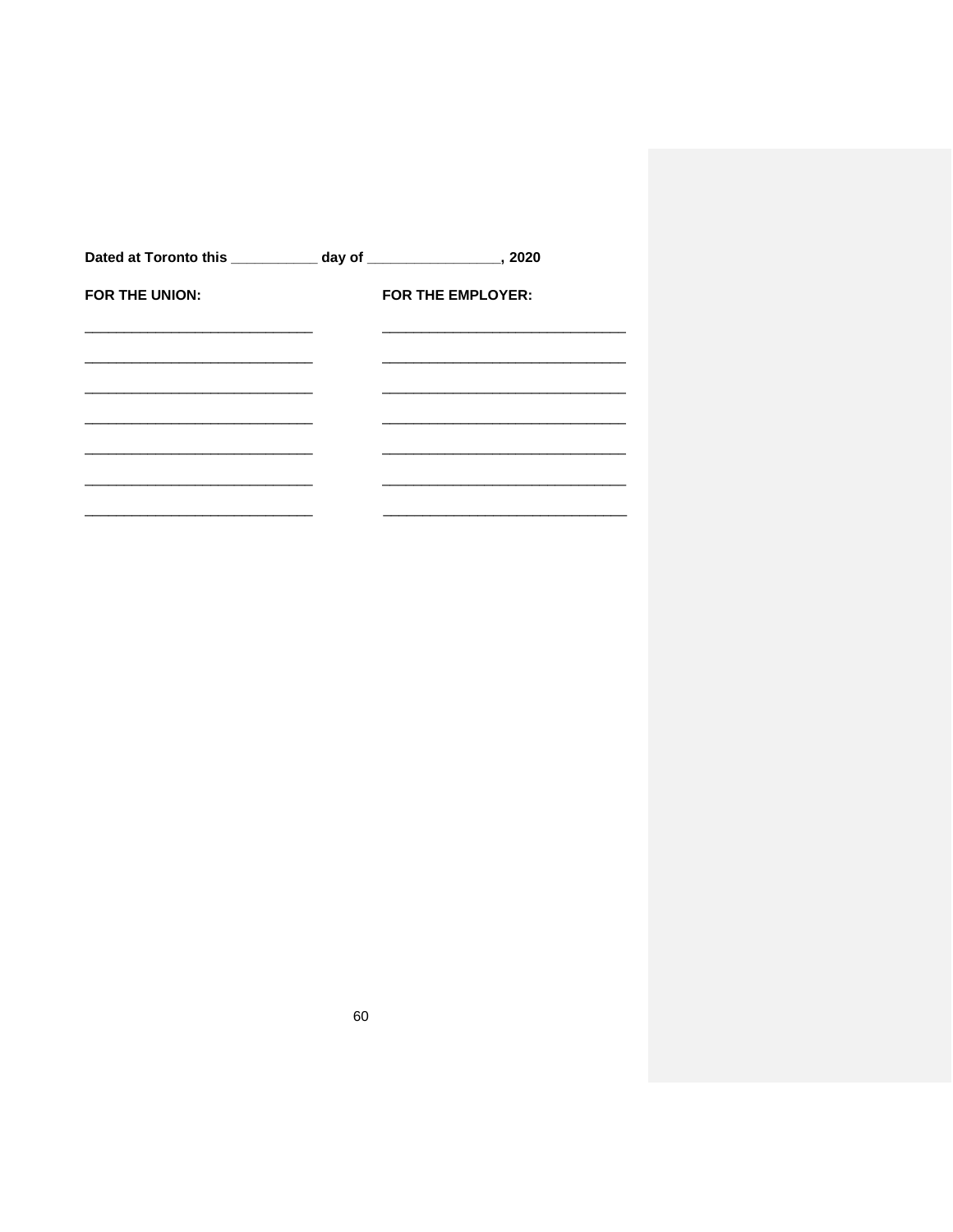| Dated at Toronto this _____________ day of ___________________, 2020                                                                                                                                                          |                          |
|-------------------------------------------------------------------------------------------------------------------------------------------------------------------------------------------------------------------------------|--------------------------|
| <b>FOR THE UNION:</b>                                                                                                                                                                                                         | <b>FOR THE EMPLOYER:</b> |
| the control of the control of the control of the control of the control of the control of the control of the control of the control of the control of the control of the control of the control of the control of the control |                          |
|                                                                                                                                                                                                                               |                          |
|                                                                                                                                                                                                                               |                          |
|                                                                                                                                                                                                                               |                          |
|                                                                                                                                                                                                                               |                          |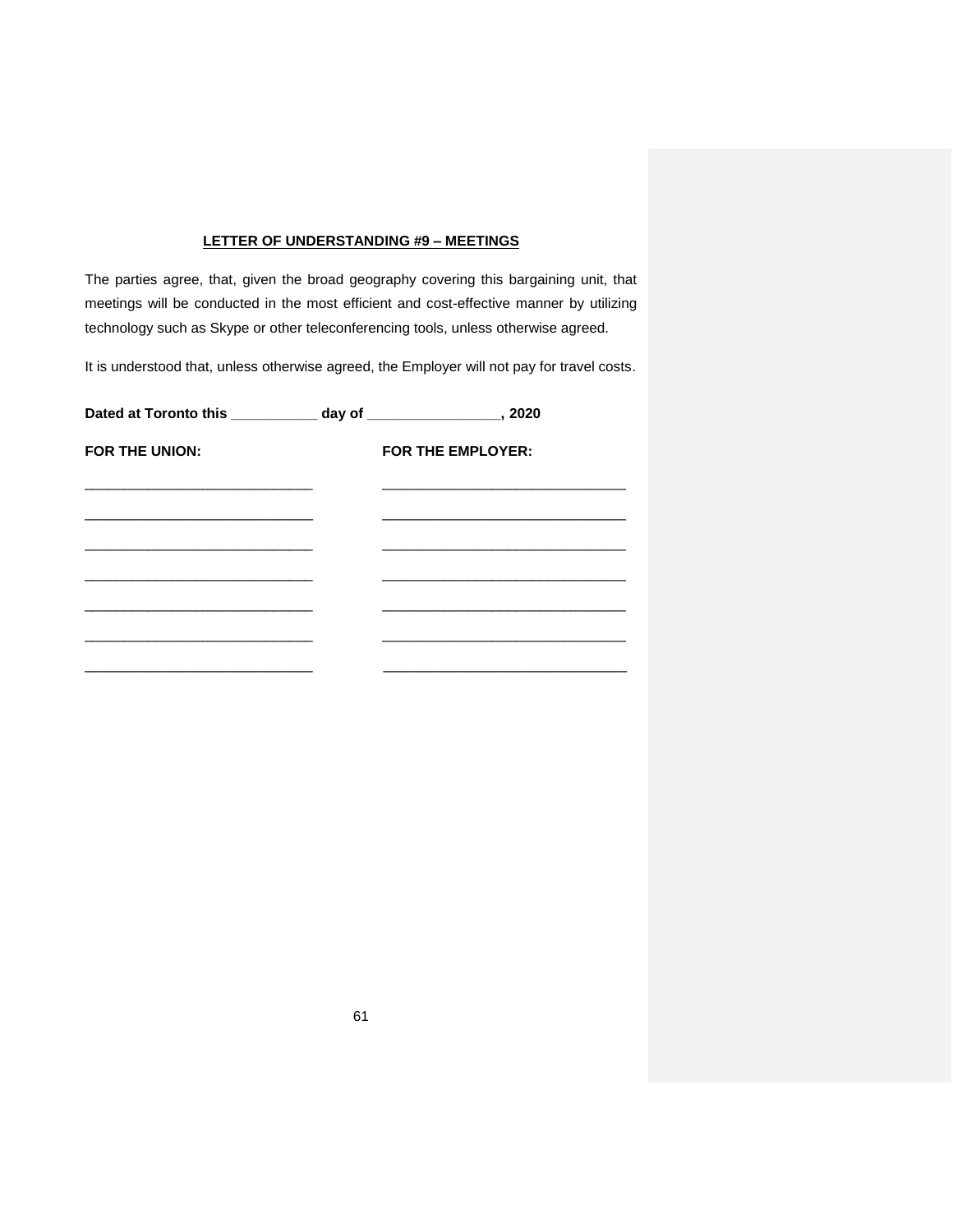# **LETTER OF UNDERSTANDING #9 – MEETINGS**

<span id="page-63-0"></span>The parties agree, that, given the broad geography covering this bargaining unit, that meetings will be conducted in the most efficient and cost-effective manner by utilizing technology such as Skype or other teleconferencing tools, unless otherwise agreed.

It is understood that, unless otherwise agreed, the Employer will not pay for travel costs.

| Dated at Toronto this ____________ day of ____________________, 2020                      |                                                                                                                        |
|-------------------------------------------------------------------------------------------|------------------------------------------------------------------------------------------------------------------------|
| <b>FOR THE UNION:</b>                                                                     | <b>FOR THE EMPLOYER:</b>                                                                                               |
|                                                                                           |                                                                                                                        |
|                                                                                           |                                                                                                                        |
| the control of the control of the control of the control of the control of the control of |                                                                                                                        |
|                                                                                           |                                                                                                                        |
| the control of the control of the control of the control of the control of the control of | <u> 1989 - Johann John Stein, markin fan it ferstjer fan de ferstjer fan it ferstjer fan de ferstjer fan it ferstj</u> |
|                                                                                           |                                                                                                                        |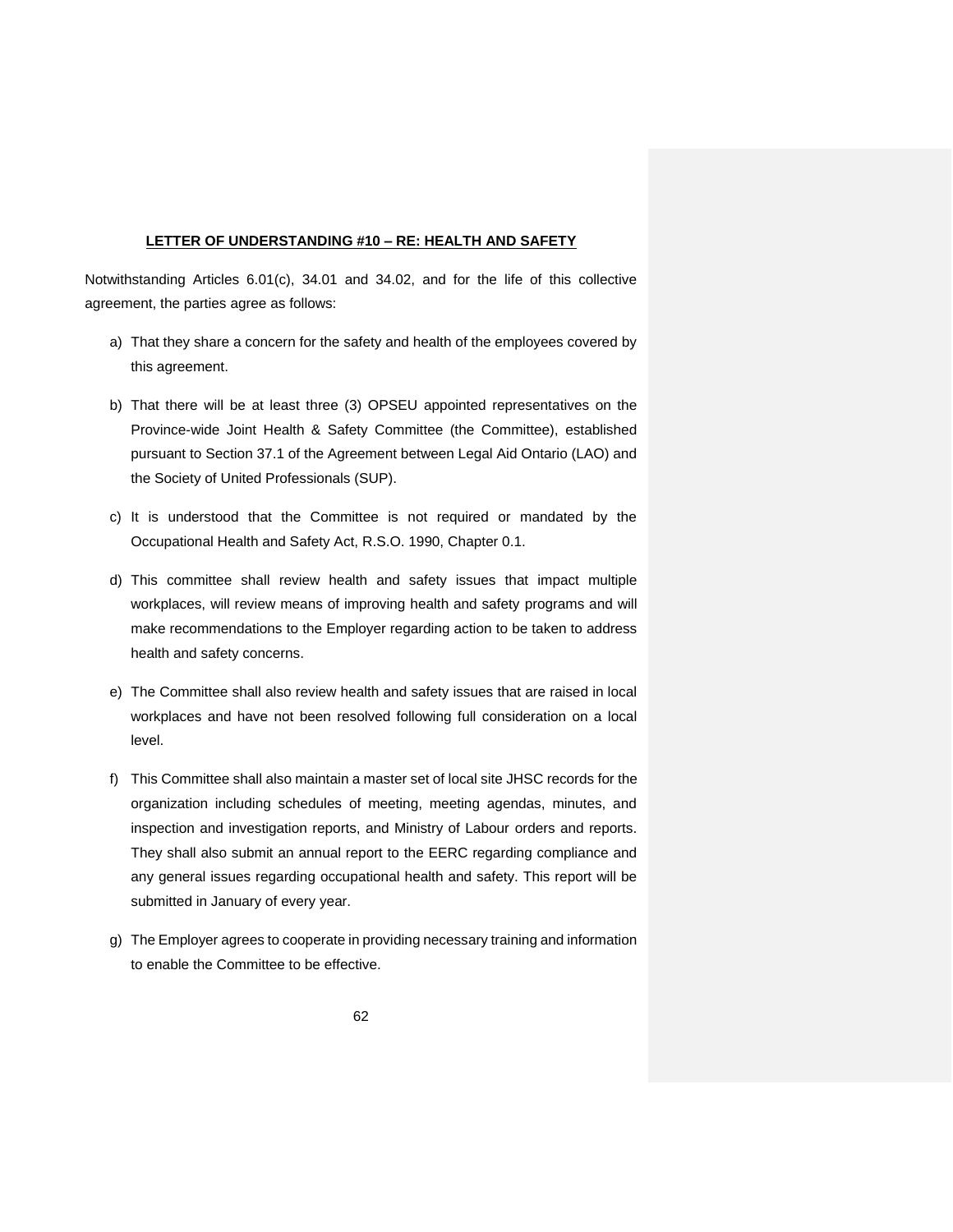#### **LETTER OF UNDERSTANDING #10 – RE: HEALTH AND SAFETY**

<span id="page-64-0"></span>Notwithstanding Articles 6.01(c), 34.01 and 34.02, and for the life of this collective agreement, the parties agree as follows:

- a) That they share a concern for the safety and health of the employees covered by this agreement.
- b) That there will be at least three (3) OPSEU appointed representatives on the Province-wide Joint Health & Safety Committee (the Committee), established pursuant to Section 37.1 of the Agreement between Legal Aid Ontario (LAO) and the Society of United Professionals (SUP).
- c) It is understood that the Committee is not required or mandated by the Occupational Health and Safety Act, R.S.O. 1990, Chapter 0.1.
- d) This committee shall review health and safety issues that impact multiple workplaces, will review means of improving health and safety programs and will make recommendations to the Employer regarding action to be taken to address health and safety concerns.
- e) The Committee shall also review health and safety issues that are raised in local workplaces and have not been resolved following full consideration on a local level.
- f) This Committee shall also maintain a master set of local site JHSC records for the organization including schedules of meeting, meeting agendas, minutes, and inspection and investigation reports, and Ministry of Labour orders and reports. They shall also submit an annual report to the EERC regarding compliance and any general issues regarding occupational health and safety. This report will be submitted in January of every year.
- g) The Employer agrees to cooperate in providing necessary training and information to enable the Committee to be effective.